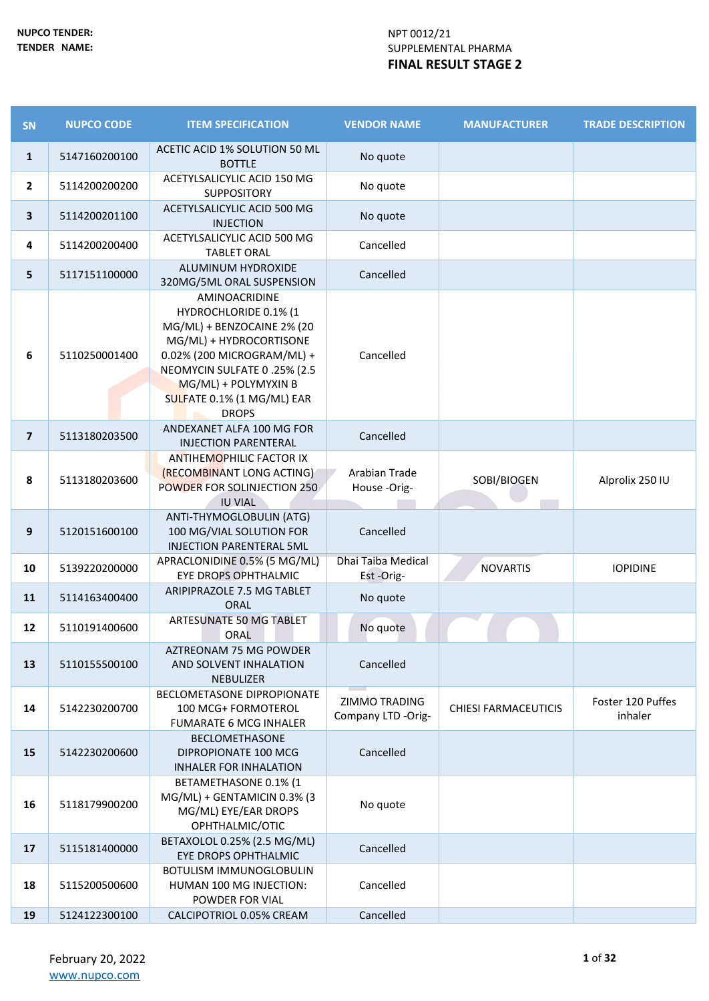| SN             | <b>NUPCO CODE</b> | <b>ITEM SPECIFICATION</b>                                                                                                                                                                                          | <b>VENDOR NAME</b>                  | <b>MANUFACTURER</b>         | <b>TRADE DESCRIPTION</b>     |
|----------------|-------------------|--------------------------------------------------------------------------------------------------------------------------------------------------------------------------------------------------------------------|-------------------------------------|-----------------------------|------------------------------|
| $\mathbf{1}$   | 5147160200100     | ACETIC ACID 1% SOLUTION 50 ML<br><b>BOTTLE</b>                                                                                                                                                                     | No quote                            |                             |                              |
| $\overline{2}$ | 5114200200200     | ACETYLSALICYLIC ACID 150 MG<br><b>SUPPOSITORY</b>                                                                                                                                                                  | No quote                            |                             |                              |
| $\mathbf{3}$   | 5114200201100     | ACETYLSALICYLIC ACID 500 MG<br><b>INJECTION</b>                                                                                                                                                                    | No quote                            |                             |                              |
| 4              | 5114200200400     | ACETYLSALICYLIC ACID 500 MG<br><b>TABLET ORAL</b>                                                                                                                                                                  | Cancelled                           |                             |                              |
| 5              | 5117151100000     | ALUMINUM HYDROXIDE<br>320MG/5ML ORAL SUSPENSION                                                                                                                                                                    | Cancelled                           |                             |                              |
| 6              | 5110250001400     | AMINOACRIDINE<br>HYDROCHLORIDE 0.1% (1<br>MG/ML) + BENZOCAINE 2% (20<br>MG/ML) + HYDROCORTISONE<br>0.02% (200 MICROGRAM/ML) +<br>NEOMYCIN SULFATE 0.25% (2.5<br>MG/ML) + POLYMYXIN B<br>SULFATE 0.1% (1 MG/ML) EAR | Cancelled                           |                             |                              |
| $\overline{7}$ | 5113180203500     | <b>DROPS</b><br>ANDEXANET ALFA 100 MG FOR                                                                                                                                                                          | Cancelled                           |                             |                              |
| 8              | 5113180203600     | <b>INJECTION PARENTERAL</b><br>ANTIHEMOPHILIC FACTOR IX<br>(RECOMBINANT LONG ACTING)<br>POWDER FOR SOLINJECTION 250<br><b>IU VIAL</b>                                                                              | Arabian Trade<br>House -Orig-       | SOBI/BIOGEN                 | Alprolix 250 IU              |
| 9              | 5120151600100     | ANTI-THYMOGLOBULIN (ATG)<br>100 MG/VIAL SOLUTION FOR<br>INJECTION PARENTERAL 5ML                                                                                                                                   | Cancelled                           |                             |                              |
| 10             | 5139220200000     | APRACLONIDINE 0.5% (5 MG/ML)<br>EYE DROPS OPHTHALMIC                                                                                                                                                               | Dhai Taiba Medical<br>Est-Orig-     | <b>NOVARTIS</b>             | <b>IOPIDINE</b>              |
| 11             | 5114163400400     | ARIPIPRAZOLE 7.5 MG TABLET<br><b>ORAL</b>                                                                                                                                                                          | No quote                            |                             |                              |
| 12             | 5110191400600     | ARTESUNATE 50 MG TABLET<br>ORAL                                                                                                                                                                                    | No quote                            |                             |                              |
| 13             | 5110155500100     | AZTREONAM 75 MG POWDER<br>AND SOLVENT INHALATION<br><b>NEBULIZER</b>                                                                                                                                               | Cancelled                           |                             |                              |
| 14             | 5142230200700     | <b>BECLOMETASONE DIPROPIONATE</b><br>100 MCG+ FORMOTEROL<br><b>FUMARATE 6 MCG INHALER</b>                                                                                                                          | ZIMMO TRADING<br>Company LTD -Orig- | <b>CHIESI FARMACEUTICIS</b> | Foster 120 Puffes<br>inhaler |
| 15             | 5142230200600     | <b>BECLOMETHASONE</b><br>DIPROPIONATE 100 MCG<br><b>INHALER FOR INHALATION</b>                                                                                                                                     | Cancelled                           |                             |                              |
| 16             | 5118179900200     | BETAMETHASONE 0.1% (1<br>MG/ML) + GENTAMICIN 0.3% (3<br>MG/ML) EYE/EAR DROPS<br>OPHTHALMIC/OTIC                                                                                                                    | No quote                            |                             |                              |
| 17             | 5115181400000     | BETAXOLOL 0.25% (2.5 MG/ML)<br>EYE DROPS OPHTHALMIC                                                                                                                                                                | Cancelled                           |                             |                              |
| 18             | 5115200500600     | <b>BOTULISM IMMUNOGLOBULIN</b><br>HUMAN 100 MG INJECTION:<br>POWDER FOR VIAL                                                                                                                                       | Cancelled                           |                             |                              |
| 19             | 5124122300100     | CALCIPOTRIOL 0.05% CREAM                                                                                                                                                                                           | Cancelled                           |                             |                              |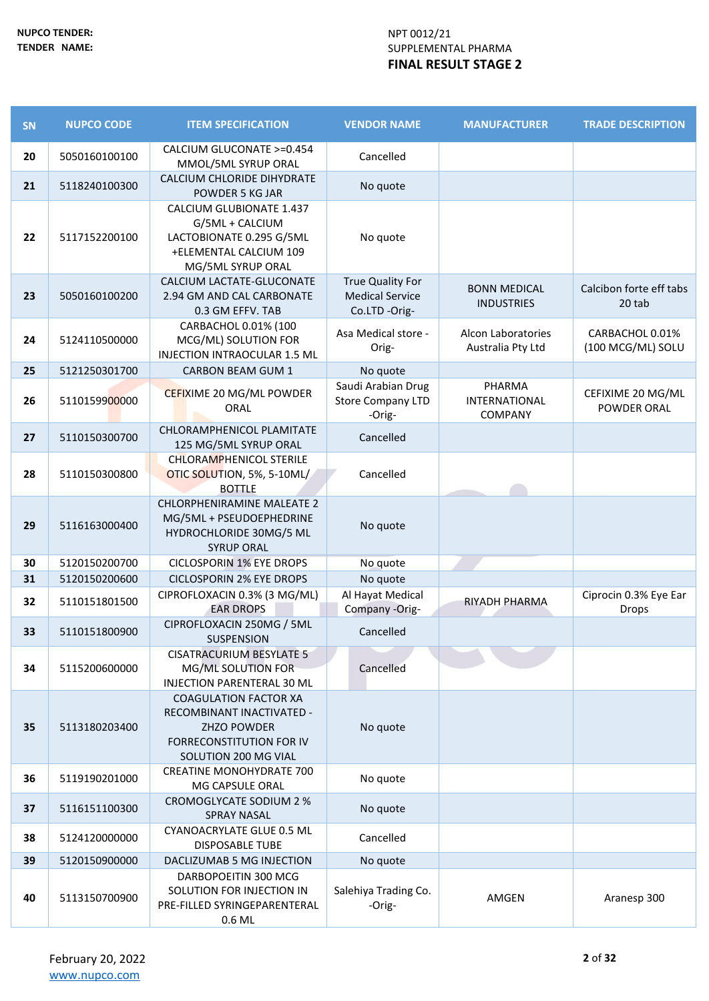| SN | <b>NUPCO CODE</b> | <b>ITEM SPECIFICATION</b>                                                                                                     | <b>VENDOR NAME</b>                                                 | <b>MANUFACTURER</b>                              | <b>TRADE DESCRIPTION</b>              |
|----|-------------------|-------------------------------------------------------------------------------------------------------------------------------|--------------------------------------------------------------------|--------------------------------------------------|---------------------------------------|
| 20 | 5050160100100     | CALCIUM GLUCONATE >=0.454<br>MMOL/5ML SYRUP ORAL                                                                              | Cancelled                                                          |                                                  |                                       |
| 21 | 5118240100300     | CALCIUM CHLORIDE DIHYDRATE<br>POWDER 5 KG JAR                                                                                 | No quote                                                           |                                                  |                                       |
| 22 | 5117152200100     | <b>CALCIUM GLUBIONATE 1.437</b><br>G/5ML + CALCIUM<br>LACTOBIONATE 0.295 G/5ML<br>+ELEMENTAL CALCIUM 109<br>MG/5ML SYRUP ORAL | No quote                                                           |                                                  |                                       |
| 23 | 5050160100200     | CALCIUM LACTATE-GLUCONATE<br>2.94 GM AND CAL CARBONATE<br>0.3 GM EFFV. TAB                                                    | <b>True Quality For</b><br><b>Medical Service</b><br>Co.LTD -Orig- | <b>BONN MEDICAL</b><br><b>INDUSTRIES</b>         | Calcibon forte eff tabs<br>20 tab     |
| 24 | 5124110500000     | CARBACHOL 0.01% (100<br>MCG/ML) SOLUTION FOR<br>INJECTION INTRAOCULAR 1.5 ML                                                  | Asa Medical store -<br>Orig-                                       | Alcon Laboratories<br>Australia Pty Ltd          | CARBACHOL 0.01%<br>(100 MCG/ML) SOLU  |
| 25 | 5121250301700     | <b>CARBON BEAM GUM 1</b>                                                                                                      | No quote                                                           |                                                  |                                       |
| 26 | 5110159900000     | CEFIXIME 20 MG/ML POWDER<br>ORAL                                                                                              | Saudi Arabian Drug<br><b>Store Company LTD</b><br>-Orig-           | PHARMA<br><b>INTERNATIONAL</b><br><b>COMPANY</b> | CEFIXIME 20 MG/ML<br>POWDER ORAL      |
| 27 | 5110150300700     | CHLORAMPHENICOL PLAMITATE<br>125 MG/5ML SYRUP ORAL                                                                            | Cancelled                                                          |                                                  |                                       |
| 28 | 5110150300800     | CHLORAMPHENICOL STERILE<br>OTIC SOLUTION, 5%, 5-10ML/<br><b>BOTTLE</b>                                                        | Cancelled                                                          |                                                  |                                       |
| 29 | 5116163000400     | <b>CHLORPHENIRAMINE MALEATE 2</b><br>MG/5ML + PSEUDOEPHEDRINE<br>HYDROCHLORIDE 30MG/5 ML<br><b>SYRUP ORAL</b>                 | No quote                                                           |                                                  |                                       |
| 30 | 5120150200700     | <b>CICLOSPORIN 1% EYE DROPS</b>                                                                                               | No quote                                                           |                                                  |                                       |
| 31 | 5120150200600     | <b>CICLOSPORIN 2% EYE DROPS</b>                                                                                               | No quote                                                           |                                                  |                                       |
| 32 | 5110151801500     | CIPROFLOXACIN 0.3% (3 MG/ML)<br><b>EAR DROPS</b>                                                                              | Al Hayat Medical<br>Company - Orig-                                | RIYADH PHARMA                                    | Ciprocin 0.3% Eye Ear<br><b>Drops</b> |
| 33 | 5110151800900     | CIPROFLOXACIN 250MG / 5ML<br><b>SUSPENSION</b>                                                                                | Cancelled                                                          |                                                  |                                       |
| 34 | 5115200600000     | <b>CISATRACURIUM BESYLATE 5</b><br>MG/ML SOLUTION FOR<br>INJECTION PARENTERAL 30 ML                                           | Cancelled                                                          |                                                  |                                       |
| 35 | 5113180203400     | <b>COAGULATION FACTOR XA</b><br>RECOMBINANT INACTIVATED -<br>ZHZO POWDER<br>FORRECONSTITUTION FOR IV<br>SOLUTION 200 MG VIAL  | No quote                                                           |                                                  |                                       |
| 36 | 5119190201000     | <b>CREATINE MONOHYDRATE 700</b><br>MG CAPSULE ORAL                                                                            | No quote                                                           |                                                  |                                       |
| 37 | 5116151100300     | CROMOGLYCATE SODIUM 2 %<br><b>SPRAY NASAL</b>                                                                                 | No quote                                                           |                                                  |                                       |
| 38 | 5124120000000     | CYANOACRYLATE GLUE 0.5 ML<br><b>DISPOSABLE TUBE</b>                                                                           | Cancelled                                                          |                                                  |                                       |
| 39 | 5120150900000     | DACLIZUMAB 5 MG INJECTION                                                                                                     | No quote                                                           |                                                  |                                       |
| 40 | 5113150700900     | DARBOPOEITIN 300 MCG<br>SOLUTION FOR INJECTION IN<br>PRE-FILLED SYRINGEPARENTERAL<br>0.6 ML                                   | Salehiya Trading Co.<br>-Orig-                                     | AMGEN                                            | Aranesp 300                           |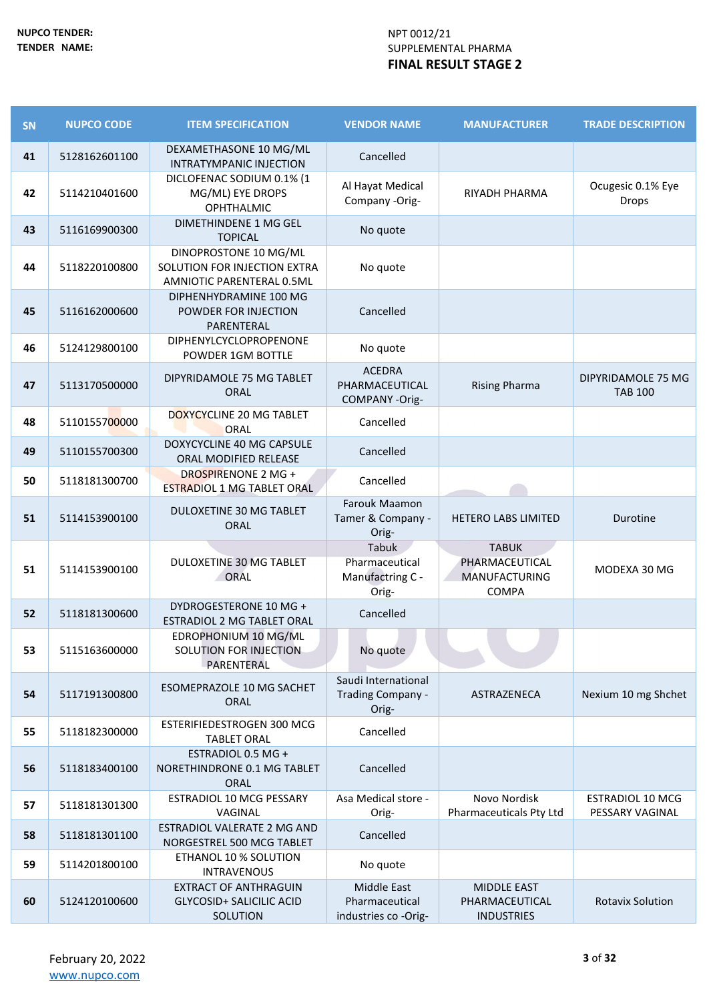| SN | <b>NUPCO CODE</b> | <b>ITEM SPECIFICATION</b>                                                          | <b>VENDOR NAME</b>                                          | <b>MANUFACTURER</b>                                                    | <b>TRADE DESCRIPTION</b>                   |
|----|-------------------|------------------------------------------------------------------------------------|-------------------------------------------------------------|------------------------------------------------------------------------|--------------------------------------------|
| 41 | 5128162601100     | DEXAMETHASONE 10 MG/ML<br>INTRATYMPANIC INJECTION                                  | Cancelled                                                   |                                                                        |                                            |
| 42 | 5114210401600     | DICLOFENAC SODIUM 0.1% (1<br>MG/ML) EYE DROPS<br><b>OPHTHALMIC</b>                 | Al Hayat Medical<br>Company -Orig-                          | RIYADH PHARMA                                                          | Ocugesic 0.1% Eye<br>Drops                 |
| 43 | 5116169900300     | <b>DIMETHINDENE 1 MG GEL</b><br><b>TOPICAL</b>                                     | No quote                                                    |                                                                        |                                            |
| 44 | 5118220100800     | DINOPROSTONE 10 MG/ML<br>SOLUTION FOR INJECTION EXTRA<br>AMNIOTIC PARENTERAL 0.5ML | No quote                                                    |                                                                        |                                            |
| 45 | 5116162000600     | DIPHENHYDRAMINE 100 MG<br>POWDER FOR INJECTION<br>PARENTERAL                       | Cancelled                                                   |                                                                        |                                            |
| 46 | 5124129800100     | DIPHENYLCYCLOPROPENONE<br>POWDER 1GM BOTTLE                                        | No quote                                                    |                                                                        |                                            |
| 47 | 5113170500000     | DIPYRIDAMOLE 75 MG TABLET<br><b>ORAL</b>                                           | <b>ACEDRA</b><br>PHARMACEUTICAL<br>COMPANY-Orig-            | <b>Rising Pharma</b>                                                   | DIPYRIDAMOLE 75 MG<br><b>TAB 100</b>       |
| 48 | 5110155700000     | DOXYCYCLINE 20 MG TABLET<br>ORAL                                                   | Cancelled                                                   |                                                                        |                                            |
| 49 | 5110155700300     | DOXYCYCLINE 40 MG CAPSULE<br>ORAL MODIFIED RELEASE                                 | Cancelled                                                   |                                                                        |                                            |
| 50 | 5118181300700     | <b>DROSPIRENONE 2 MG +</b><br>ESTRADIOL 1 MG TABLET ORAL                           | Cancelled                                                   |                                                                        |                                            |
| 51 | 5114153900100     | DULOXETINE 30 MG TABLET<br>ORAL                                                    | Farouk Maamon<br>Tamer & Company -<br>Orig-                 | <b>HETERO LABS LIMITED</b>                                             | Durotine                                   |
| 51 | 5114153900100     | <b>DULOXETINE 30 MG TABLET</b><br><b>ORAL</b>                                      | <b>Tabuk</b><br>Pharmaceutical<br>Manufactring C -<br>Orig- | <b>TABUK</b><br>PHARMACEUTICAL<br><b>MANUFACTURING</b><br><b>COMPA</b> | MODEXA 30 MG                               |
| 52 | 5118181300600     | DYDROGESTERONE 10 MG +<br>ESTRADIOL 2 MG TABLET ORAL                               | Cancelled                                                   |                                                                        |                                            |
| 53 | 5115163600000     | EDROPHONIUM 10 MG/ML<br>SOLUTION FOR INJECTION<br>PARENTERAL                       | No quote                                                    |                                                                        |                                            |
| 54 | 5117191300800     | ESOMEPRAZOLE 10 MG SACHET<br>ORAL                                                  | Saudi International<br>Trading Company -<br>Orig-           | ASTRAZENECA                                                            | Nexium 10 mg Shchet                        |
| 55 | 5118182300000     | ESTERIFIEDESTROGEN 300 MCG<br><b>TABLET ORAL</b>                                   | Cancelled                                                   |                                                                        |                                            |
| 56 | 5118183400100     | ESTRADIOL 0.5 MG +<br>NORETHINDRONE 0.1 MG TABLET<br><b>ORAL</b>                   | Cancelled                                                   |                                                                        |                                            |
| 57 | 5118181301300     | <b>ESTRADIOL 10 MCG PESSARY</b><br>VAGINAL                                         | Asa Medical store -<br>Orig-                                | Novo Nordisk<br>Pharmaceuticals Pty Ltd                                | <b>ESTRADIOL 10 MCG</b><br>PESSARY VAGINAL |
| 58 | 5118181301100     | ESTRADIOL VALERATE 2 MG AND<br>NORGESTREL 500 MCG TABLET                           | Cancelled                                                   |                                                                        |                                            |
| 59 | 5114201800100     | ETHANOL 10 % SOLUTION<br><b>INTRAVENOUS</b>                                        | No quote                                                    |                                                                        |                                            |
| 60 | 5124120100600     | <b>EXTRACT OF ANTHRAGUIN</b><br><b>GLYCOSID+ SALICILIC ACID</b><br>SOLUTION        | Middle East<br>Pharmaceutical<br>industries co -Orig-       | <b>MIDDLE EAST</b><br>PHARMACEUTICAL<br><b>INDUSTRIES</b>              | <b>Rotavix Solution</b>                    |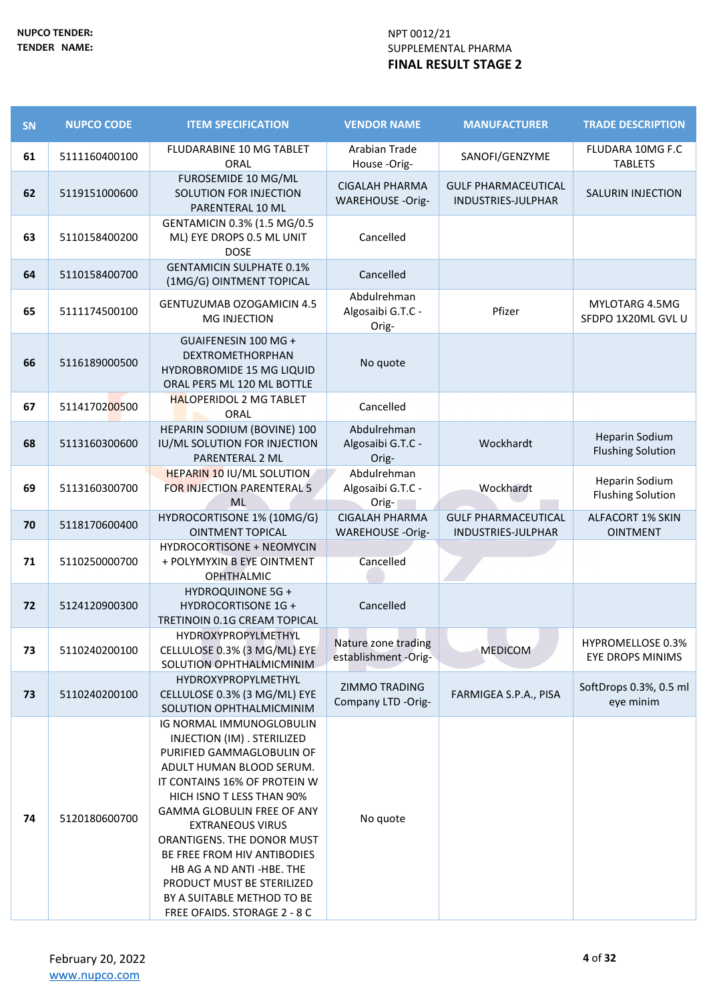| SN | <b>NUPCO CODE</b> | <b>ITEM SPECIFICATION</b>                                                                                                                                                                                                                                                                                                                                                                                                          | <b>VENDOR NAME</b>                               | <b>MANUFACTURER</b>                              | <b>TRADE DESCRIPTION</b>                          |
|----|-------------------|------------------------------------------------------------------------------------------------------------------------------------------------------------------------------------------------------------------------------------------------------------------------------------------------------------------------------------------------------------------------------------------------------------------------------------|--------------------------------------------------|--------------------------------------------------|---------------------------------------------------|
| 61 | 5111160400100     | FLUDARABINE 10 MG TABLET<br>ORAL                                                                                                                                                                                                                                                                                                                                                                                                   | Arabian Trade<br>House-Orig-                     | SANOFI/GENZYME                                   | FLUDARA 10MG F.C<br><b>TABLETS</b>                |
| 62 | 5119151000600     | FUROSEMIDE 10 MG/ML<br>SOLUTION FOR INJECTION<br>PARENTERAL 10 ML                                                                                                                                                                                                                                                                                                                                                                  | <b>CIGALAH PHARMA</b><br>WAREHOUSE -Orig-        | <b>GULF PHARMACEUTICAL</b><br>INDUSTRIES-JULPHAR | <b>SALURIN INJECTION</b>                          |
| 63 | 5110158400200     | GENTAMICIN 0.3% (1.5 MG/0.5<br>ML) EYE DROPS 0.5 ML UNIT<br><b>DOSE</b>                                                                                                                                                                                                                                                                                                                                                            | Cancelled                                        |                                                  |                                                   |
| 64 | 5110158400700     | <b>GENTAMICIN SULPHATE 0.1%</b><br>(1MG/G) OINTMENT TOPICAL                                                                                                                                                                                                                                                                                                                                                                        | Cancelled                                        |                                                  |                                                   |
| 65 | 5111174500100     | <b>GENTUZUMAB OZOGAMICIN 4.5</b><br>MG INJECTION                                                                                                                                                                                                                                                                                                                                                                                   | Abdulrehman<br>Algosaibi G.T.C -<br>Orig-        | Pfizer                                           | MYLOTARG 4.5MG<br>SFDPO 1X20ML GVL U              |
| 66 | 5116189000500     | GUAIFENESIN 100 MG +<br>DEXTROMETHORPHAN<br><b>HYDROBROMIDE 15 MG LIQUID</b><br>ORAL PER5 ML 120 ML BOTTLE                                                                                                                                                                                                                                                                                                                         | No quote                                         |                                                  |                                                   |
| 67 | 5114170200500     | <b>HALOPERIDOL 2 MG TABLET</b><br>ORAL                                                                                                                                                                                                                                                                                                                                                                                             | Cancelled                                        |                                                  |                                                   |
| 68 | 5113160300600     | HEPARIN SODIUM (BOVINE) 100<br>IU/ML SOLUTION FOR INJECTION<br>PARENTERAL 2 ML                                                                                                                                                                                                                                                                                                                                                     | Abdulrehman<br>Algosaibi G.T.C -<br>Orig-        | Wockhardt                                        | <b>Heparin Sodium</b><br><b>Flushing Solution</b> |
| 69 | 5113160300700     | <b>HEPARIN 10 IU/ML SOLUTION</b><br><b>FOR INJECTION PARENTERAL 5</b><br><b>ML</b>                                                                                                                                                                                                                                                                                                                                                 | Abdulrehman<br>Algosaibi G.T.C -<br>Orig-        | Wockhardt                                        | <b>Heparin Sodium</b><br><b>Flushing Solution</b> |
| 70 | 5118170600400     | HYDROCORTISONE 1% (10MG/G)<br><b>OINTMENT TOPICAL</b>                                                                                                                                                                                                                                                                                                                                                                              | <b>CIGALAH PHARMA</b><br><b>WAREHOUSE -Orig-</b> | <b>GULF PHARMACEUTICAL</b><br>INDUSTRIES-JULPHAR | <b>ALFACORT 1% SKIN</b><br><b>OINTMENT</b>        |
| 71 | 5110250000700     | <b>HYDROCORTISONE + NEOMYCIN</b><br>+ POLYMYXIN B EYE OINTMENT<br><b>OPHTHALMIC</b>                                                                                                                                                                                                                                                                                                                                                | Cancelled                                        |                                                  |                                                   |
| 72 | 5124120900300     | <b>HYDROQUINONE 5G +</b><br><b>HYDROCORTISONE 1G +</b><br>TRETINOIN 0.1G CREAM TOPICAL                                                                                                                                                                                                                                                                                                                                             | Cancelled                                        |                                                  |                                                   |
| 73 | 5110240200100     | HYDROXYPROPYLMETHYL<br>CELLULOSE 0.3% (3 MG/ML) EYE<br>SOLUTION OPHTHALMICMINIM                                                                                                                                                                                                                                                                                                                                                    | Nature zone trading<br>establishment -Orig-      | <b>MEDICOM</b>                                   | HYPROMELLOSE 0.3%<br><b>EYE DROPS MINIMS</b>      |
| 73 | 5110240200100     | HYDROXYPROPYLMETHYL<br>CELLULOSE 0.3% (3 MG/ML) EYE<br>SOLUTION OPHTHALMICMINIM                                                                                                                                                                                                                                                                                                                                                    | ZIMMO TRADING<br>Company LTD -Orig-              | FARMIGEA S.P.A., PISA                            | SoftDrops 0.3%, 0.5 ml<br>eye minim               |
| 74 | 5120180600700     | IG NORMAL IMMUNOGLOBULIN<br>INJECTION (IM) . STERILIZED<br>PURIFIED GAMMAGLOBULIN OF<br>ADULT HUMAN BLOOD SERUM.<br>IT CONTAINS 16% OF PROTEIN W<br>HICH ISNO T LESS THAN 90%<br><b>GAMMA GLOBULIN FREE OF ANY</b><br><b>EXTRANEOUS VIRUS</b><br>ORANTIGENS. THE DONOR MUST<br>BE FREE FROM HIV ANTIBODIES<br>HB AG A ND ANTI-HBE. THE<br>PRODUCT MUST BE STERILIZED<br>BY A SUITABLE METHOD TO BE<br>FREE OFAIDS. STORAGE 2 - 8 C | No quote                                         |                                                  |                                                   |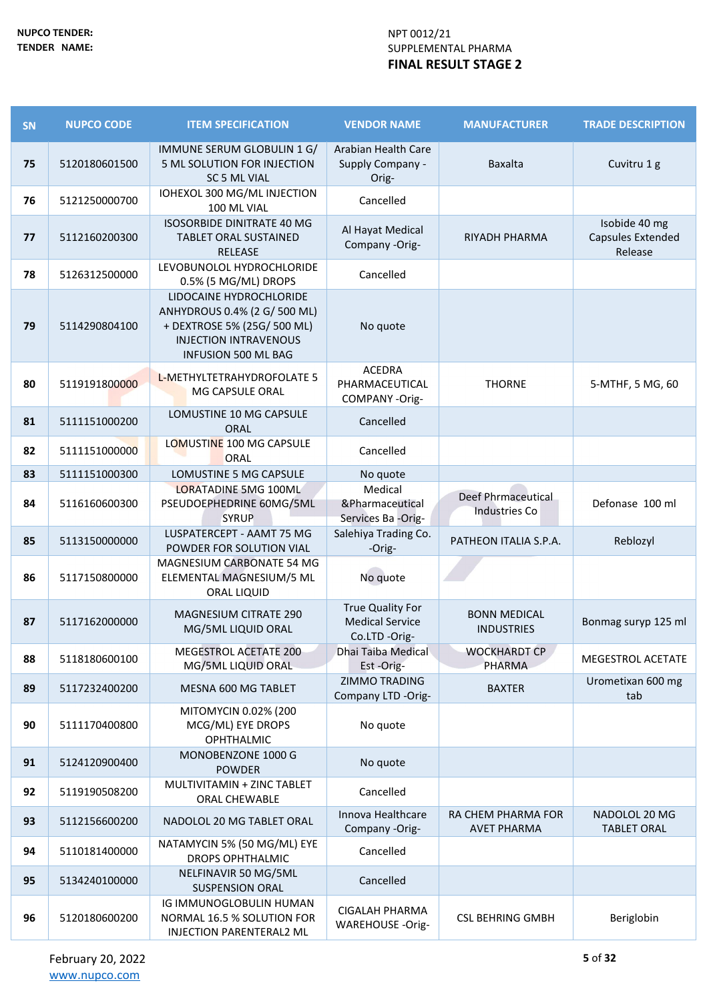| SN | <b>NUPCO CODE</b> | <b>ITEM SPECIFICATION</b>                                                                                                                            | <b>VENDOR NAME</b>                                          | <b>MANUFACTURER</b>                        | <b>TRADE DESCRIPTION</b>                      |
|----|-------------------|------------------------------------------------------------------------------------------------------------------------------------------------------|-------------------------------------------------------------|--------------------------------------------|-----------------------------------------------|
| 75 | 5120180601500     | IMMUNE SERUM GLOBULIN 1 G/<br>5 ML SOLUTION FOR INJECTION<br>SC 5 ML VIAL                                                                            | Arabian Health Care<br>Supply Company -<br>Orig-            | Baxalta                                    | Cuvitru 1 g                                   |
| 76 | 5121250000700     | IOHEXOL 300 MG/ML INJECTION<br>100 ML VIAL                                                                                                           | Cancelled                                                   |                                            |                                               |
| 77 | 5112160200300     | <b>ISOSORBIDE DINITRATE 40 MG</b><br><b>TABLET ORAL SUSTAINED</b><br><b>RELEASE</b>                                                                  | Al Hayat Medical<br>Company -Orig-                          | RIYADH PHARMA                              | Isobide 40 mg<br>Capsules Extended<br>Release |
| 78 | 5126312500000     | LEVOBUNOLOL HYDROCHLORIDE<br>0.5% (5 MG/ML) DROPS                                                                                                    | Cancelled                                                   |                                            |                                               |
| 79 | 5114290804100     | LIDOCAINE HYDROCHLORIDE<br>ANHYDROUS 0.4% (2 G/ 500 ML)<br>+ DEXTROSE 5% (25G/ 500 ML)<br><b>INJECTION INTRAVENOUS</b><br><b>INFUSION 500 ML BAG</b> | No quote                                                    |                                            |                                               |
| 80 | 5119191800000     | L-METHYLTETRAHYDROFOLATE 5<br>MG CAPSULE ORAL                                                                                                        | <b>ACEDRA</b><br>PHARMACEUTICAL<br>COMPANY-Orig-            | <b>THORNE</b>                              | 5-MTHF, 5 MG, 60                              |
| 81 | 5111151000200     | LOMUSTINE 10 MG CAPSULE<br><b>ORAL</b>                                                                                                               | Cancelled                                                   |                                            |                                               |
| 82 | 5111151000000     | LOMUSTINE 100 MG CAPSULE<br>ORAL                                                                                                                     | Cancelled                                                   |                                            |                                               |
| 83 | 5111151000300     | LOMUSTINE 5 MG CAPSULE                                                                                                                               | No quote                                                    |                                            |                                               |
| 84 | 5116160600300     | <b>LORATADINE 5MG 100ML</b><br>PSEUDOEPHEDRINE 60MG/5ML<br><b>SYRUP</b>                                                                              | Medical<br>&Pharmaceutical<br>Services Ba -Orig-            | Deef Phrmaceutical<br><b>Industries Co</b> | Defonase 100 ml                               |
| 85 | 5113150000000     | LUSPATERCEPT - AAMT 75 MG<br>POWDER FOR SOLUTION VIAL                                                                                                | Salehiya Trading Co.<br>-Orig-                              | PATHEON ITALIA S.P.A.                      | Reblozyl                                      |
| 86 | 5117150800000     | MAGNESIUM CARBONATE 54 MG<br>ELEMENTAL MAGNESIUM/5 ML<br>ORAL LIQUID                                                                                 | No quote                                                    |                                            |                                               |
| 87 | 5117162000000     | <b>MAGNESIUM CITRATE 290</b><br>MG/5ML LIQUID ORAL                                                                                                   | True Quality For<br><b>Medical Service</b><br>Co.LTD -Orig- | <b>BONN MEDICAL</b><br><b>INDUSTRIES</b>   | Bonmag suryp 125 ml                           |
| 88 | 5118180600100     | MEGESTROL ACETATE 200<br>MG/5ML LIQUID ORAL                                                                                                          | Dhai Taiba Medical<br>Est-Orig-                             | <b>WOCKHARDT CP</b><br><b>PHARMA</b>       | <b>MEGESTROL ACETATE</b>                      |
| 89 | 5117232400200     | MESNA 600 MG TABLET                                                                                                                                  | ZIMMO TRADING<br>Company LTD -Orig-                         | <b>BAXTER</b>                              | Urometixan 600 mg<br>tab                      |
| 90 | 5111170400800     | MITOMYCIN 0.02% (200<br>MCG/ML) EYE DROPS<br><b>OPHTHALMIC</b>                                                                                       | No quote                                                    |                                            |                                               |
| 91 | 5124120900400     | MONOBENZONE 1000 G<br><b>POWDER</b>                                                                                                                  | No quote                                                    |                                            |                                               |
| 92 | 5119190508200     | MULTIVITAMIN + ZINC TABLET<br>ORAL CHEWABLE                                                                                                          | Cancelled                                                   |                                            |                                               |
| 93 | 5112156600200     | NADOLOL 20 MG TABLET ORAL                                                                                                                            | Innova Healthcare<br>Company -Orig-                         | RA CHEM PHARMA FOR<br><b>AVET PHARMA</b>   | NADOLOL 20 MG<br><b>TABLET ORAL</b>           |
| 94 | 5110181400000     | NATAMYCIN 5% (50 MG/ML) EYE<br><b>DROPS OPHTHALMIC</b>                                                                                               | Cancelled                                                   |                                            |                                               |
| 95 | 5134240100000     | NELFINAVIR 50 MG/5ML<br><b>SUSPENSION ORAL</b>                                                                                                       | Cancelled                                                   |                                            |                                               |
| 96 | 5120180600200     | IG IMMUNOGLOBULIN HUMAN<br>NORMAL 16.5 % SOLUTION FOR<br>INJECTION PARENTERAL2 ML                                                                    | <b>CIGALAH PHARMA</b><br><b>WAREHOUSE -Orig-</b>            | <b>CSL BEHRING GMBH</b>                    | Beriglobin                                    |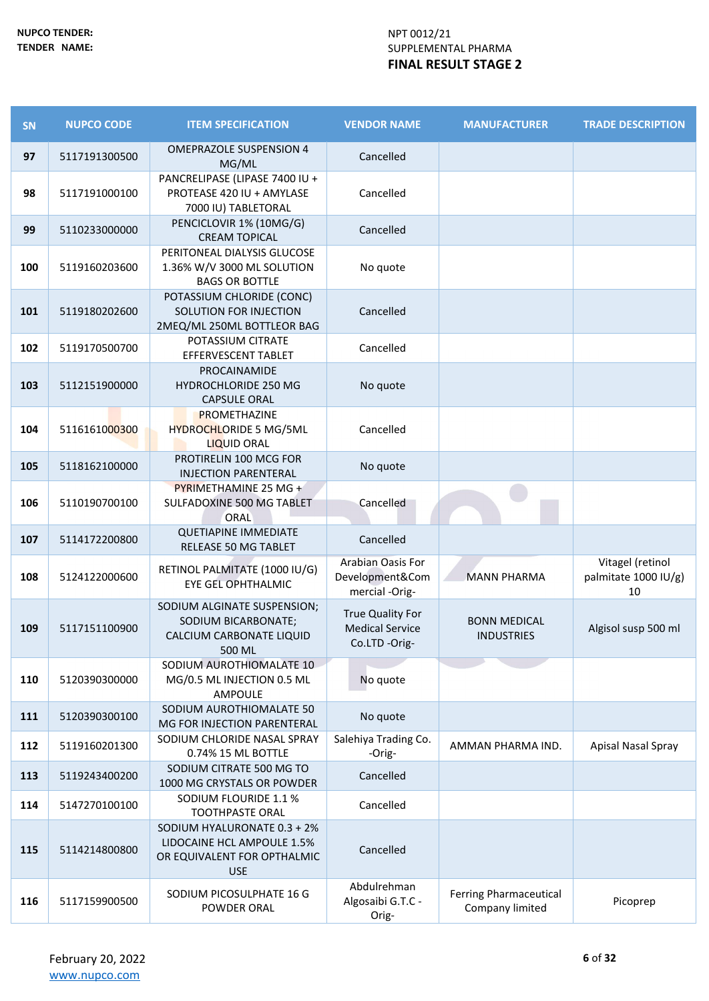| SN  | <b>NUPCO CODE</b> | <b>ITEM SPECIFICATION</b>                                                                              | <b>VENDOR NAME</b>                                                 | <b>MANUFACTURER</b>                       | <b>TRADE DESCRIPTION</b>                       |
|-----|-------------------|--------------------------------------------------------------------------------------------------------|--------------------------------------------------------------------|-------------------------------------------|------------------------------------------------|
| 97  | 5117191300500     | <b>OMEPRAZOLE SUSPENSION 4</b><br>MG/ML                                                                | Cancelled                                                          |                                           |                                                |
| 98  | 5117191000100     | PANCRELIPASE (LIPASE 7400 IU +<br>PROTEASE 420 IU + AMYLASE<br>7000 IU) TABLETORAL                     | Cancelled                                                          |                                           |                                                |
| 99  | 5110233000000     | PENCICLOVIR 1% (10MG/G)<br><b>CREAM TOPICAL</b>                                                        | Cancelled                                                          |                                           |                                                |
| 100 | 5119160203600     | PERITONEAL DIALYSIS GLUCOSE<br>1.36% W/V 3000 ML SOLUTION<br><b>BAGS OR BOTTLE</b>                     | No quote                                                           |                                           |                                                |
| 101 | 5119180202600     | POTASSIUM CHLORIDE (CONC)<br>SOLUTION FOR INJECTION<br>2MEQ/ML 250ML BOTTLEOR BAG                      | Cancelled                                                          |                                           |                                                |
| 102 | 5119170500700     | POTASSIUM CITRATE<br>EFFERVESCENT TABLET                                                               | Cancelled                                                          |                                           |                                                |
| 103 | 5112151900000     | PROCAINAMIDE<br><b>HYDROCHLORIDE 250 MG</b><br><b>CAPSULE ORAL</b>                                     | No quote                                                           |                                           |                                                |
| 104 | 5116161000300     | PROMETHAZINE<br>HYDROCHLORIDE 5 MG/5ML<br><b>LIQUID ORAL</b>                                           | Cancelled                                                          |                                           |                                                |
| 105 | 5118162100000     | PROTIRELIN 100 MCG FOR<br><b>INJECTION PARENTERAL</b>                                                  | No quote                                                           |                                           |                                                |
| 106 | 5110190700100     | PYRIMETHAMINE 25 MG +<br>SULFADOXINE 500 MG TABLET<br>ORAL                                             | Cancelled                                                          |                                           |                                                |
| 107 | 5114172200800     | <b>QUETIAPINE IMMEDIATE</b><br>RELEASE 50 MG TABLET                                                    | Cancelled                                                          |                                           |                                                |
| 108 | 5124122000600     | RETINOL PALMITATE (1000 IU/G)<br><b>EYE GEL OPHTHALMIC</b>                                             | Arabian Oasis For<br>Development&Com<br>mercial -Orig-             | <b>MANN PHARMA</b>                        | Vitagel (retinol<br>palmitate 1000 IU/g)<br>10 |
| 109 | 5117151100900     | SODIUM ALGINATE SUSPENSION;<br>SODIUM BICARBONATE;<br>CALCIUM CARBONATE LIQUID<br>500 ML               | <b>True Quality For</b><br><b>Medical Service</b><br>Co.LTD -Orig- | <b>BONN MEDICAL</b><br><b>INDUSTRIES</b>  | Algisol susp 500 ml                            |
| 110 | 5120390300000     | SODIUM AUROTHIOMALATE 10<br>MG/0.5 ML INJECTION 0.5 ML<br>AMPOULE                                      | No quote                                                           |                                           |                                                |
| 111 | 5120390300100     | SODIUM AUROTHIOMALATE 50<br>MG FOR INJECTION PARENTERAL                                                | No quote                                                           |                                           |                                                |
| 112 | 5119160201300     | SODIUM CHLORIDE NASAL SPRAY<br>0.74% 15 ML BOTTLE                                                      | Salehiya Trading Co.<br>-Orig-                                     | AMMAN PHARMA IND.                         | Apisal Nasal Spray                             |
| 113 | 5119243400200     | SODIUM CITRATE 500 MG TO<br>1000 MG CRYSTALS OR POWDER                                                 | Cancelled                                                          |                                           |                                                |
| 114 | 5147270100100     | SODIUM FLOURIDE 1.1 %<br><b>TOOTHPASTE ORAL</b>                                                        | Cancelled                                                          |                                           |                                                |
| 115 | 5114214800800     | SODIUM HYALURONATE 0.3 + 2%<br>LIDOCAINE HCL AMPOULE 1.5%<br>OR EQUIVALENT FOR OPTHALMIC<br><b>USE</b> | Cancelled                                                          |                                           |                                                |
| 116 | 5117159900500     | SODIUM PICOSULPHATE 16 G<br>POWDER ORAL                                                                | Abdulrehman<br>Algosaibi G.T.C -<br>Orig-                          | Ferring Pharmaceutical<br>Company limited | Picoprep                                       |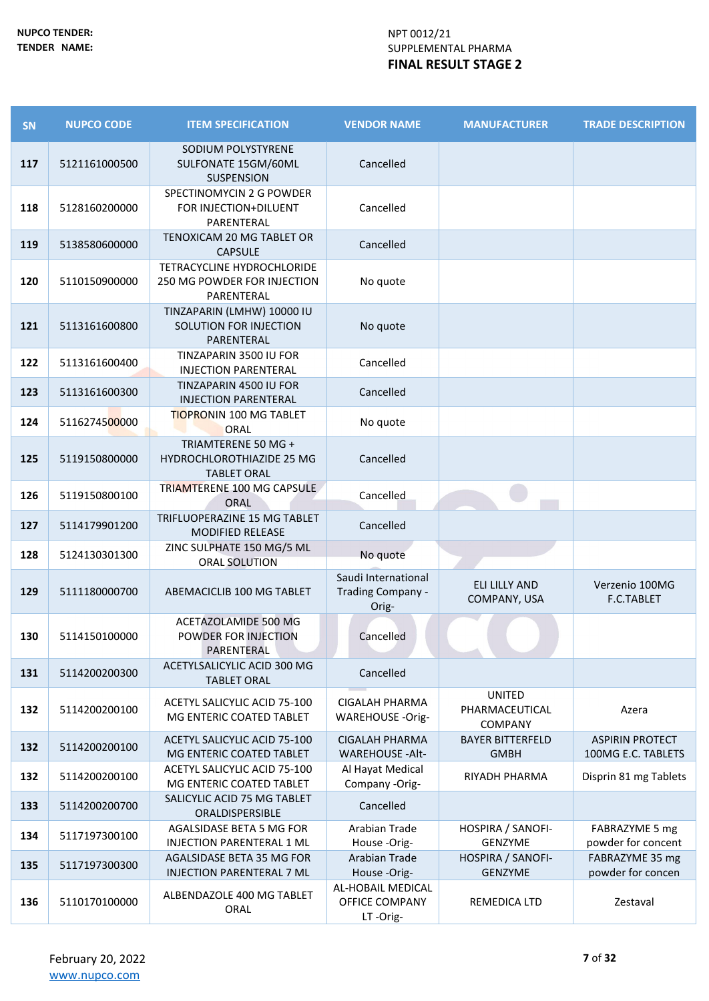| SN  | <b>NUPCO CODE</b> | <b>ITEM SPECIFICATION</b>                                               | <b>VENDOR NAME</b>                                     | <b>MANUFACTURER</b>                               | <b>TRADE DESCRIPTION</b>                     |
|-----|-------------------|-------------------------------------------------------------------------|--------------------------------------------------------|---------------------------------------------------|----------------------------------------------|
| 117 | 5121161000500     | SODIUM POLYSTYRENE<br>SULFONATE 15GM/60ML<br><b>SUSPENSION</b>          | Cancelled                                              |                                                   |                                              |
| 118 | 5128160200000     | SPECTINOMYCIN 2 G POWDER<br>FOR INJECTION+DILUENT<br>PARENTERAL         | Cancelled                                              |                                                   |                                              |
| 119 | 5138580600000     | TENOXICAM 20 MG TABLET OR<br><b>CAPSULE</b>                             | Cancelled                                              |                                                   |                                              |
| 120 | 5110150900000     | TETRACYCLINE HYDROCHLORIDE<br>250 MG POWDER FOR INJECTION<br>PARENTERAL | No quote                                               |                                                   |                                              |
| 121 | 5113161600800     | TINZAPARIN (LMHW) 10000 IU<br>SOLUTION FOR INJECTION<br>PARENTERAL      | No quote                                               |                                                   |                                              |
| 122 | 5113161600400     | TINZAPARIN 3500 IU FOR<br><b>INJECTION PARENTERAL</b>                   | Cancelled                                              |                                                   |                                              |
| 123 | 5113161600300     | TINZAPARIN 4500 IU FOR<br><b>INJECTION PARENTERAL</b>                   | Cancelled                                              |                                                   |                                              |
| 124 | 5116274500000     | <b>TIOPRONIN 100 MG TABLET</b><br>ORAL                                  | No quote                                               |                                                   |                                              |
| 125 | 5119150800000     | TRIAMTERENE 50 MG +<br>HYDROCHLOROTHIAZIDE 25 MG<br><b>TABLET ORAL</b>  | Cancelled                                              |                                                   |                                              |
| 126 | 5119150800100     | TRIAMTERENE 100 MG CAPSULE<br><b>ORAL</b>                               | Cancelled                                              |                                                   |                                              |
| 127 | 5114179901200     | TRIFLUOPERAZINE 15 MG TABLET<br><b>MODIFIED RELEASE</b>                 | Cancelled                                              |                                                   |                                              |
| 128 | 5124130301300     | ZINC SULPHATE 150 MG/5 ML<br>ORAL SOLUTION                              | No quote                                               |                                                   |                                              |
| 129 | 5111180000700     | ABEMACICLIB 100 MG TABLET                                               | Saudi International<br>Trading Company -<br>Orig-      | ELI LILLY AND<br>COMPANY, USA                     | Verzenio 100MG<br><b>F.C.TABLET</b>          |
| 130 | 5114150100000     | ACETAZOLAMIDE 500 MG<br>POWDER FOR INJECTION<br>PARENTERAL              | Cancelled                                              |                                                   |                                              |
| 131 | 5114200200300     | ACETYLSALICYLIC ACID 300 MG<br><b>TABLET ORAL</b>                       | Cancelled                                              |                                                   |                                              |
| 132 | 5114200200100     | ACETYL SALICYLIC ACID 75-100<br>MG ENTERIC COATED TABLET                | <b>CIGALAH PHARMA</b><br><b>WAREHOUSE -Orig-</b>       | <b>UNITED</b><br>PHARMACEUTICAL<br><b>COMPANY</b> | Azera                                        |
| 132 | 5114200200100     | ACETYL SALICYLIC ACID 75-100<br>MG ENTERIC COATED TABLET                | <b>CIGALAH PHARMA</b><br><b>WAREHOUSE - Alt-</b>       | <b>BAYER BITTERFELD</b><br><b>GMBH</b>            | <b>ASPIRIN PROTECT</b><br>100MG E.C. TABLETS |
| 132 | 5114200200100     | ACETYL SALICYLIC ACID 75-100<br>MG ENTERIC COATED TABLET                | Al Hayat Medical<br>Company -Orig-                     | RIYADH PHARMA                                     | Disprin 81 mg Tablets                        |
| 133 | 5114200200700     | SALICYLIC ACID 75 MG TABLET<br>ORALDISPERSIBLE                          | Cancelled                                              |                                                   |                                              |
| 134 | 5117197300100     | AGALSIDASE BETA 5 MG FOR<br>INJECTION PARENTERAL 1 ML                   | Arabian Trade<br>House-Orig-                           | HOSPIRA / SANOFI-<br>GENZYME                      | FABRAZYME 5 mg<br>powder for concent         |
| 135 | 5117197300300     | AGALSIDASE BETA 35 MG FOR<br><b>INJECTION PARENTERAL 7 ML</b>           | <b>Arabian Trade</b><br>House-Orig-                    | HOSPIRA / SANOFI-<br><b>GENZYME</b>               | FABRAZYME 35 mg<br>powder for concen         |
| 136 | 5110170100000     | ALBENDAZOLE 400 MG TABLET<br>ORAL                                       | AL-HOBAIL MEDICAL<br><b>OFFICE COMPANY</b><br>LT-Orig- | REMEDICA LTD                                      | Zestaval                                     |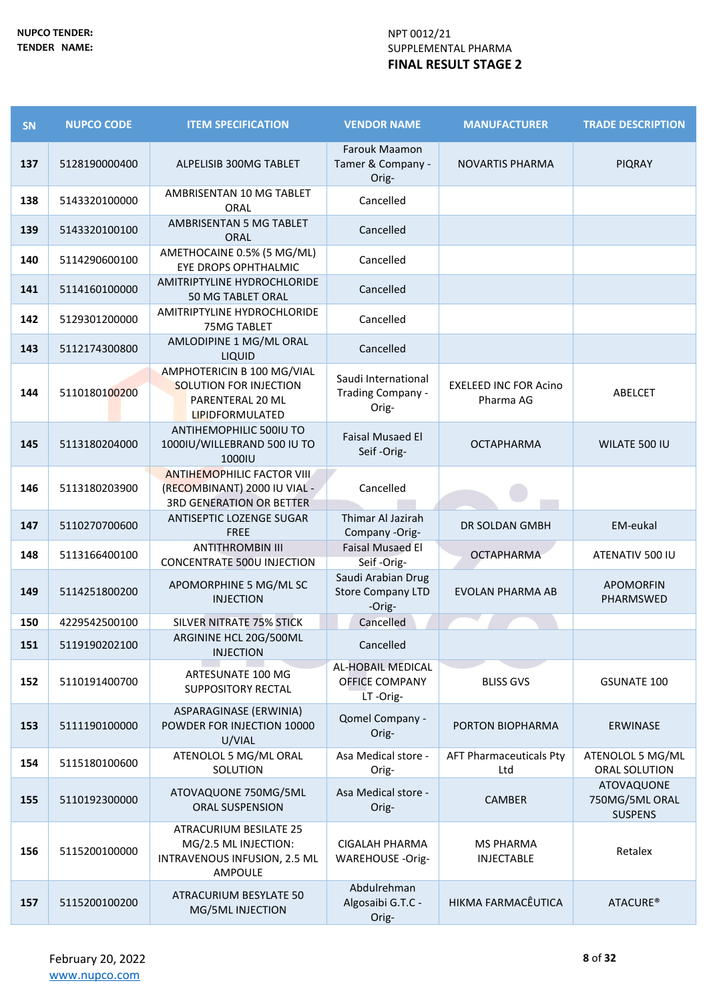| <b>SN</b> | <b>NUPCO CODE</b> | <b>ITEM SPECIFICATION</b>                                                                            | <b>VENDOR NAME</b>                                       | <b>MANUFACTURER</b>                       | <b>TRADE DESCRIPTION</b>                       |
|-----------|-------------------|------------------------------------------------------------------------------------------------------|----------------------------------------------------------|-------------------------------------------|------------------------------------------------|
| 137       | 5128190000400     | ALPELISIB 300MG TABLET                                                                               | Farouk Maamon<br>Tamer & Company -<br>Orig-              | <b>NOVARTIS PHARMA</b>                    | <b>PIQRAY</b>                                  |
| 138       | 5143320100000     | AMBRISENTAN 10 MG TABLET<br>ORAL                                                                     | Cancelled                                                |                                           |                                                |
| 139       | 5143320100100     | AMBRISENTAN 5 MG TABLET<br><b>ORAL</b>                                                               | Cancelled                                                |                                           |                                                |
| 140       | 5114290600100     | AMETHOCAINE 0.5% (5 MG/ML)<br>EYE DROPS OPHTHALMIC                                                   | Cancelled                                                |                                           |                                                |
| 141       | 5114160100000     | AMITRIPTYLINE HYDROCHLORIDE<br>50 MG TABLET ORAL                                                     | Cancelled                                                |                                           |                                                |
| 142       | 5129301200000     | AMITRIPTYLINE HYDROCHLORIDE<br>75MG TABLET                                                           | Cancelled                                                |                                           |                                                |
| 143       | 5112174300800     | AMLODIPINE 1 MG/ML ORAL<br>LIQUID                                                                    | Cancelled                                                |                                           |                                                |
| 144       | 5110180100200     | AMPHOTERICIN B 100 MG/VIAL<br><b>SOLUTION FOR INJECTION</b><br>PARENTERAL 20 ML<br>LIPIDFORMULATED   | Saudi International<br>Trading Company -<br>Orig-        | <b>EXELEED INC FOR Acino</b><br>Pharma AG | ABELCET                                        |
| 145       | 5113180204000     | ANTIHEMOPHILIC 500IU TO<br>1000IU/WILLEBRAND 500 IU TO<br>1000IU                                     | <b>Faisal Musaed El</b><br>Seif-Orig-                    | <b>OCTAPHARMA</b>                         | WILATE 500 IU                                  |
| 146       | 5113180203900     | <b>ANTIHEMOPHILIC FACTOR VIII</b><br>(RECOMBINANT) 2000 IU VIAL -<br><b>3RD GENERATION OR BETTER</b> | Cancelled                                                |                                           |                                                |
| 147       | 5110270700600     | ANTISEPTIC LOZENGE SUGAR<br><b>FREE</b>                                                              | Thimar Al Jazirah<br>Company -Orig-                      | DR SOLDAN GMBH                            | EM-eukal                                       |
| 148       | 5113166400100     | <b>ANTITHROMBIN III</b><br><b>CONCENTRATE 500U INJECTION</b>                                         | <b>Faisal Musaed El</b><br>Seif-Orig-                    | <b>OCTAPHARMA</b>                         | ATENATIV 500 IU                                |
| 149       | 5114251800200     | APOMORPHINE 5 MG/ML SC<br><b>INJECTION</b>                                                           | Saudi Arabian Drug<br><b>Store Company LTD</b><br>-Orig- | <b>EVOLAN PHARMA AB</b>                   | <b>APOMORFIN</b><br>PHARMSWED                  |
| 150       | 4229542500100     | SILVER NITRATE 75% STICK                                                                             | Cancelled                                                |                                           |                                                |
| 151       | 5119190202100     | ARGININE HCL 20G/500ML<br><b>INJECTION</b>                                                           | Cancelled                                                |                                           |                                                |
| 152       | 5110191400700     | ARTESUNATE 100 MG<br><b>SUPPOSITORY RECTAL</b>                                                       | AL-HOBAIL MEDICAL<br><b>OFFICE COMPANY</b><br>LT-Orig-   | <b>BLISS GVS</b>                          | <b>GSUNATE 100</b>                             |
| 153       | 5111190100000     | ASPARAGINASE (ERWINIA)<br>POWDER FOR INJECTION 10000<br>U/VIAL                                       | Qomel Company -<br>Orig-                                 | PORTON BIOPHARMA                          | <b>ERWINASE</b>                                |
| 154       | 5115180100600     | ATENOLOL 5 MG/ML ORAL<br>SOLUTION                                                                    | Asa Medical store -<br>Orig-                             | <b>AFT Pharmaceuticals Pty</b><br>Ltd     | ATENOLOL 5 MG/ML<br>ORAL SOLUTION              |
| 155       | 5110192300000     | ATOVAQUONE 750MG/5ML<br><b>ORAL SUSPENSION</b>                                                       | Asa Medical store -<br>Orig-                             | <b>CAMBER</b>                             | ATOVAQUONE<br>750MG/5ML ORAL<br><b>SUSPENS</b> |
| 156       | 5115200100000     | <b>ATRACURIUM BESILATE 25</b><br>MG/2.5 ML INJECTION:<br>INTRAVENOUS INFUSION, 2.5 ML<br>AMPOULE     | <b>CIGALAH PHARMA</b><br>WAREHOUSE -Orig-                | <b>MS PHARMA</b><br><b>INJECTABLE</b>     | Retalex                                        |
| 157       | 5115200100200     | ATRACURIUM BESYLATE 50<br>MG/5ML INJECTION                                                           | Abdulrehman<br>Algosaibi G.T.C -<br>Orig-                | HIKMA FARMACÊUTICA                        | <b>ATACURE®</b>                                |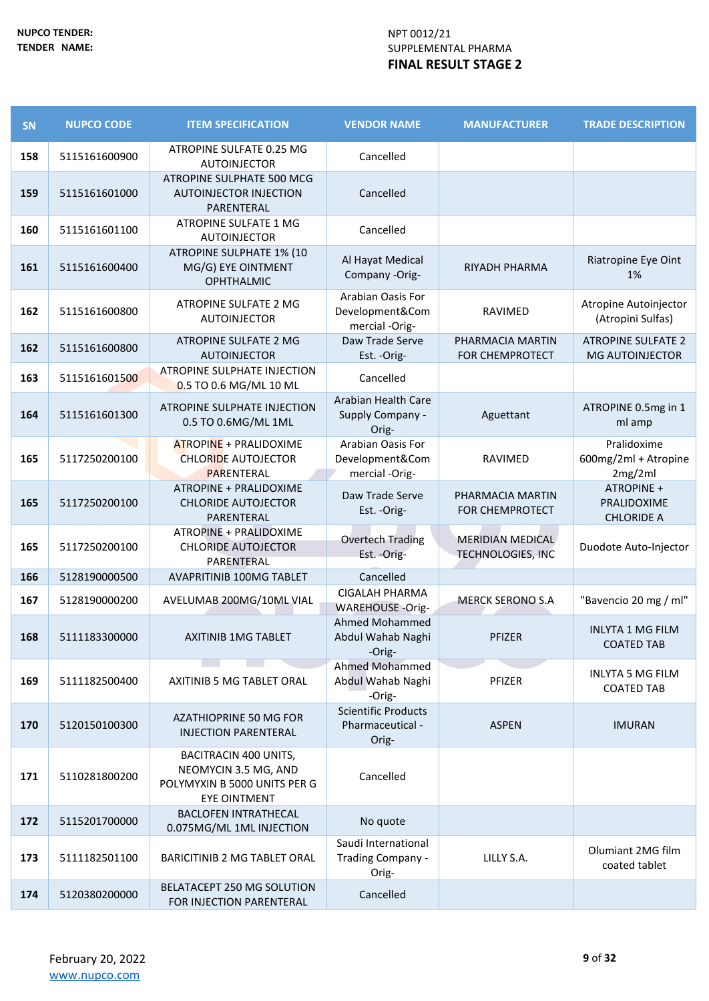| SN  | <b>NUPCO CODE</b> | <b>ITEM SPECIFICATION</b>                                                                            | <b>VENDOR NAME</b>                                      | <b>MANUFACTURER</b>                                 | <b>TRADE DESCRIPTION</b>                            |
|-----|-------------------|------------------------------------------------------------------------------------------------------|---------------------------------------------------------|-----------------------------------------------------|-----------------------------------------------------|
| 158 | 5115161600900     | ATROPINE SULFATE 0.25 MG<br><b>AUTOINJECTOR</b>                                                      | Cancelled                                               |                                                     |                                                     |
| 159 | 5115161601000     | ATROPINE SULPHATE 500 MCG<br><b>AUTOINJECTOR INJECTION</b><br>PARENTERAL                             | Cancelled                                               |                                                     |                                                     |
| 160 | 5115161601100     | <b>ATROPINE SULFATE 1 MG</b><br><b>AUTOINJECTOR</b>                                                  | Cancelled                                               |                                                     |                                                     |
| 161 | 5115161600400     | <b>ATROPINE SULPHATE 1% (10</b><br>MG/G) EYE OINTMENT<br><b>OPHTHALMIC</b>                           | Al Hayat Medical<br>Company -Orig-                      | RIYADH PHARMA                                       | Riatropine Eye Oint<br>1%                           |
| 162 | 5115161600800     | ATROPINE SULFATE 2 MG<br><b>AUTOINJECTOR</b>                                                         | Arabian Oasis For<br>Development&Com<br>mercial -Orig-  | RAVIMED                                             | Atropine Autoinjector<br>(Atropini Sulfas)          |
| 162 | 5115161600800     | ATROPINE SULFATE 2 MG<br><b>AUTOINJECTOR</b>                                                         | Daw Trade Serve<br>Est. - Orig-                         | PHARMACIA MARTIN<br><b>FOR CHEMPROTECT</b>          | <b>ATROPINE SULFATE 2</b><br><b>MG AUTOINJECTOR</b> |
| 163 | 5115161601500     | <b>ATROPINE SULPHATE INJECTION</b><br>0.5 TO 0.6 MG/ML 10 ML                                         | Cancelled                                               |                                                     |                                                     |
| 164 | 5115161601300     | ATROPINE SULPHATE INJECTION<br>0.5 TO 0.6MG/ML 1ML                                                   | Arabian Health Care<br>Supply Company -<br>Orig-        | Aguettant                                           | ATROPINE 0.5mg in 1<br>ml amp                       |
| 165 | 5117250200100     | <b>ATROPINE + PRALIDOXIME</b><br><b>CHLORIDE AUTOJECTOR</b><br>PARENTERAL                            | Arabian Oasis For<br>Development&Com<br>mercial -Orig-  | <b>RAVIMED</b>                                      | Pralidoxime<br>600mg/2ml + Atropine<br>2mg/2ml      |
| 165 | 5117250200100     | ATROPINE + PRALIDOXIME<br><b>CHLORIDE AUTOJECTOR</b><br>PARENTERAL                                   | Daw Trade Serve<br>Est. - Orig-                         | PHARMACIA MARTIN<br><b>FOR CHEMPROTECT</b>          | ATROPINE +<br>PRALIDOXIME<br><b>CHLORIDE A</b>      |
| 165 | 5117250200100     | ATROPINE + PRALIDOXIME<br><b>CHLORIDE AUTOJECTOR</b><br>PARENTERAL                                   | <b>Overtech Trading</b><br>Est. - Orig-                 | <b>MERIDIAN MEDICAL</b><br><b>TECHNOLOGIES, INC</b> | Duodote Auto-Injector                               |
| 166 | 5128190000500     | <b>AVAPRITINIB 100MG TABLET</b>                                                                      | Cancelled                                               |                                                     |                                                     |
| 167 | 5128190000200     | AVELUMAB 200MG/10ML VIAL                                                                             | <b>CIGALAH PHARMA</b><br><b>WAREHOUSE -Orig-</b>        | <b>MERCK SERONO S.A</b>                             | "Bavencio 20 mg / ml"                               |
| 168 | 5111183300000     | <b>AXITINIB 1MG TABLET</b>                                                                           | Ahmed Mohammed<br>Abdul Wahab Naghi<br>-Orig-           | PFIZER                                              | <b>INLYTA 1 MG FILM</b><br><b>COATED TAB</b>        |
| 169 | 5111182500400     | <b>AXITINIB 5 MG TABLET ORAL</b>                                                                     | Ahmed Mohammed<br>Abdul Wahab Naghi<br>-Orig-           | PFIZER                                              | <b>INLYTA 5 MG FILM</b><br><b>COATED TAB</b>        |
| 170 | 5120150100300     | <b>AZATHIOPRINE 50 MG FOR</b><br><b>INJECTION PARENTERAL</b>                                         | <b>Scientific Products</b><br>Pharmaceutical -<br>Orig- | <b>ASPEN</b>                                        | <b>IMURAN</b>                                       |
| 171 | 5110281800200     | BACITRACIN 400 UNITS,<br>NEOMYCIN 3.5 MG, AND<br>POLYMYXIN B 5000 UNITS PER G<br><b>EYE OINTMENT</b> | Cancelled                                               |                                                     |                                                     |
| 172 | 5115201700000     | <b>BACLOFEN INTRATHECAL</b><br>0.075MG/ML 1ML INJECTION                                              | No quote                                                |                                                     |                                                     |
| 173 | 5111182501100     | <b>BARICITINIB 2 MG TABLET ORAL</b>                                                                  | Saudi International<br>Trading Company -<br>Orig-       | LILLY S.A.                                          | Olumiant 2MG film<br>coated tablet                  |
| 174 | 5120380200000     | BELATACEPT 250 MG SOLUTION<br>FOR INJECTION PARENTERAL                                               | Cancelled                                               |                                                     |                                                     |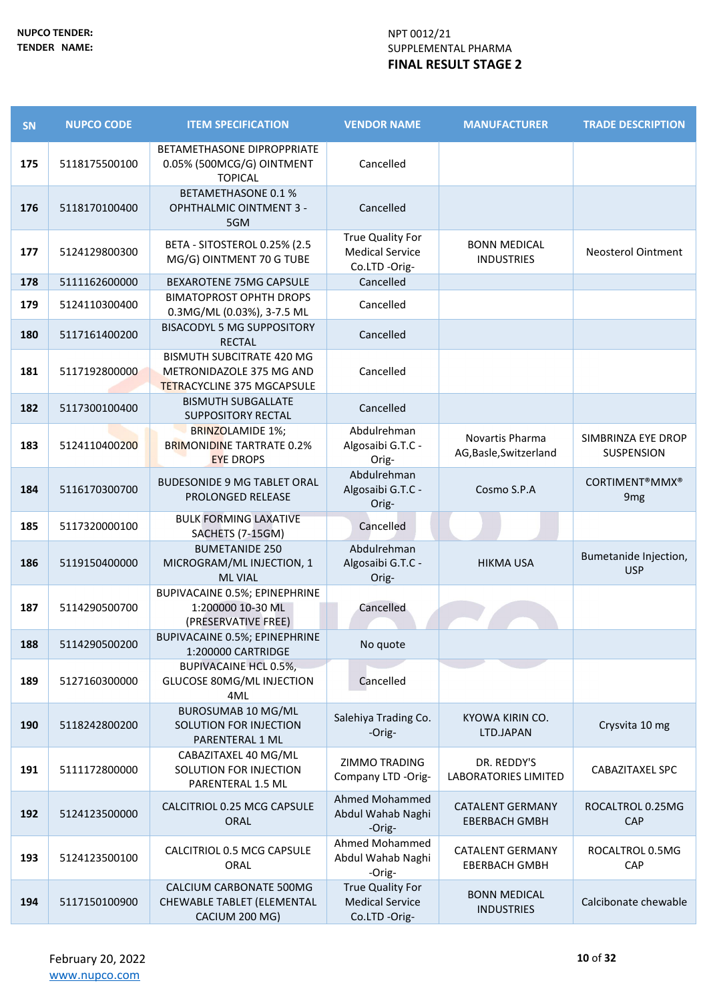| <b>SN</b> | <b>NUPCO CODE</b> | <b>ITEM SPECIFICATION</b>                                                                         | <b>VENDOR NAME</b>                                          | <b>MANUFACTURER</b>                             | <b>TRADE DESCRIPTION</b>                 |
|-----------|-------------------|---------------------------------------------------------------------------------------------------|-------------------------------------------------------------|-------------------------------------------------|------------------------------------------|
| 175       | 5118175500100     | BETAMETHASONE DIPROPPRIATE<br>0.05% (500MCG/G) OINTMENT<br><b>TOPICAL</b>                         | Cancelled                                                   |                                                 |                                          |
| 176       | 5118170100400     | <b>BETAMETHASONE 0.1 %</b><br><b>OPHTHALMIC OINTMENT 3 -</b><br>5GM                               | Cancelled                                                   |                                                 |                                          |
| 177       | 5124129800300     | BETA - SITOSTEROL 0.25% (2.5<br>MG/G) OINTMENT 70 G TUBE                                          | True Quality For<br><b>Medical Service</b><br>Co.LTD -Orig- | <b>BONN MEDICAL</b><br><b>INDUSTRIES</b>        | <b>Neosterol Ointment</b>                |
| 178       | 5111162600000     | BEXAROTENE 75MG CAPSULE                                                                           | Cancelled                                                   |                                                 |                                          |
| 179       | 5124110300400     | <b>BIMATOPROST OPHTH DROPS</b><br>0.3MG/ML (0.03%), 3-7.5 ML                                      | Cancelled                                                   |                                                 |                                          |
| 180       | 5117161400200     | <b>BISACODYL 5 MG SUPPOSITORY</b><br><b>RECTAL</b>                                                | Cancelled                                                   |                                                 |                                          |
| 181       | 5117192800000     | <b>BISMUTH SUBCITRATE 420 MG</b><br>METRONIDAZOLE 375 MG AND<br><b>TETRACYCLINE 375 MGCAPSULE</b> | Cancelled                                                   |                                                 |                                          |
| 182       | 5117300100400     | <b>BISMUTH SUBGALLATE</b><br><b>SUPPOSITORY RECTAL</b>                                            | Cancelled                                                   |                                                 |                                          |
| 183       | 5124110400200     | <b>BRINZOLAMIDE 1%;</b><br><b>BRIMONIDINE TARTRATE 0.2%</b><br><b>EYE DROPS</b>                   | Abdulrehman<br>Algosaibi G.T.C -<br>Orig-                   | Novartis Pharma<br>AG, Basle, Switzerland       | SIMBRINZA EYE DROP<br><b>SUSPENSION</b>  |
| 184       | 5116170300700     | <b>BUDESONIDE 9 MG TABLET ORAL</b><br>PROLONGED RELEASE                                           | Abdulrehman<br>Algosaibi G.T.C -<br>Orig-                   | Cosmo S.P.A                                     | <b>CORTIMENT®MMX®</b><br>9 <sub>mg</sub> |
| 185       | 5117320000100     | <b>BULK FORMING LAXATIVE</b><br>SACHETS (7-15GM)                                                  | Cancelled                                                   |                                                 |                                          |
| 186       | 5119150400000     | <b>BUMETANIDE 250</b><br>MICROGRAM/ML INJECTION, 1<br><b>ML VIAL</b>                              | Abdulrehman<br>Algosaibi G.T.C -<br>Orig-                   | <b>HIKMA USA</b>                                | Bumetanide Injection,<br><b>USP</b>      |
| 187       | 5114290500700     | <b>BUPIVACAINE 0.5%; EPINEPHRINE</b><br>1:200000 10-30 ML<br>(PRESERVATIVE FREE)                  | Cancelled                                                   |                                                 |                                          |
| 188       | 5114290500200     | <b>BUPIVACAINE 0.5%; EPINEPHRINE</b><br>1:200000 CARTRIDGE                                        | No quote                                                    |                                                 |                                          |
| 189       | 5127160300000     | <b>BUPIVACAINE HCL 0.5%,</b><br>GLUCOSE 80MG/ML INJECTION<br>4ML                                  | Cancelled                                                   |                                                 |                                          |
| 190       | 5118242800200     | <b>BUROSUMAB 10 MG/ML</b><br>SOLUTION FOR INJECTION<br>PARENTERAL 1 ML                            | Salehiya Trading Co.<br>-Orig-                              | KYOWA KIRIN CO.<br>LTD.JAPAN                    | Crysvita 10 mg                           |
| 191       | 5111172800000     | CABAZITAXEL 40 MG/ML<br>SOLUTION FOR INJECTION<br>PARENTERAL 1.5 ML                               | ZIMMO TRADING<br>Company LTD -Orig-                         | DR. REDDY'S<br>LABORATORIES LIMITED             | <b>CABAZITAXEL SPC</b>                   |
| 192       | 5124123500000     | CALCITRIOL 0.25 MCG CAPSULE<br>ORAL                                                               | Ahmed Mohammed<br>Abdul Wahab Naghi<br>-Orig-               | <b>CATALENT GERMANY</b><br><b>EBERBACH GMBH</b> | ROCALTROL 0.25MG<br>CAP                  |
| 193       | 5124123500100     | CALCITRIOL 0.5 MCG CAPSULE<br>ORAL                                                                | Ahmed Mohammed<br>Abdul Wahab Naghi<br>-Orig-               | <b>CATALENT GERMANY</b><br><b>EBERBACH GMBH</b> | ROCALTROL 0.5MG<br>CAP                   |
| 194       | 5117150100900     | CALCIUM CARBONATE 500MG<br>CHEWABLE TABLET (ELEMENTAL<br>CACIUM 200 MG)                           | True Quality For<br><b>Medical Service</b><br>Co.LTD -Orig- | <b>BONN MEDICAL</b><br><b>INDUSTRIES</b>        | Calcibonate chewable                     |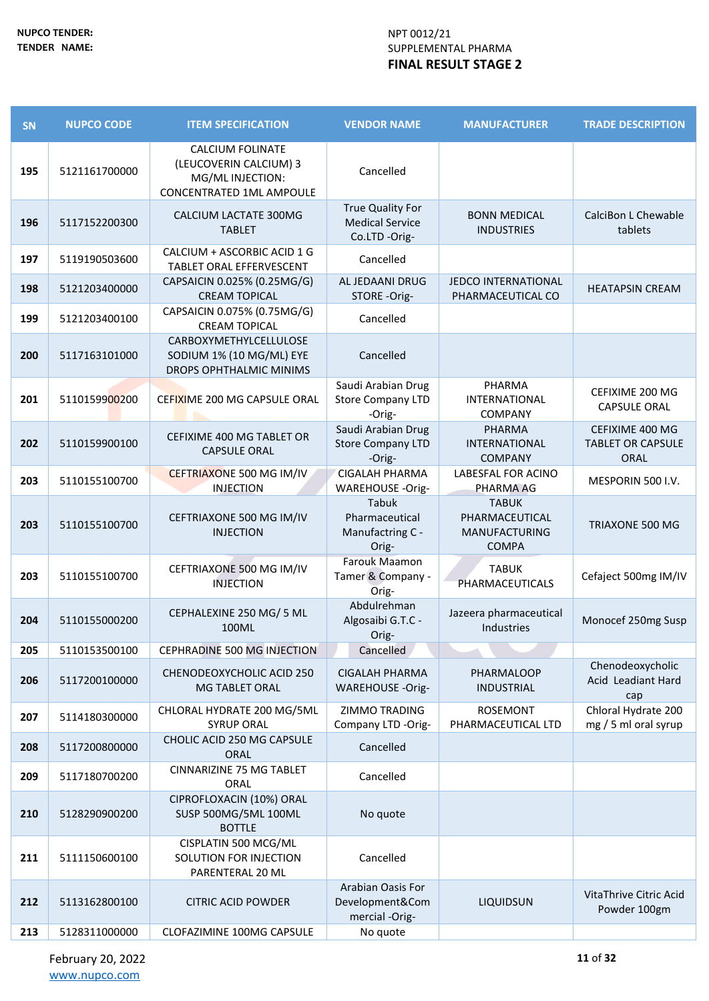| SN  | <b>NUPCO CODE</b> | <b>ITEM SPECIFICATION</b>                                                                         | <b>VENDOR NAME</b>                                          | <b>MANUFACTURER</b>                                                    | <b>TRADE DESCRIPTION</b>                                   |
|-----|-------------------|---------------------------------------------------------------------------------------------------|-------------------------------------------------------------|------------------------------------------------------------------------|------------------------------------------------------------|
| 195 | 5121161700000     | <b>CALCIUM FOLINATE</b><br>(LEUCOVERIN CALCIUM) 3<br>MG/ML INJECTION:<br>CONCENTRATED 1ML AMPOULE | Cancelled                                                   |                                                                        |                                                            |
| 196 | 5117152200300     | CALCIUM LACTATE 300MG<br><b>TABLET</b>                                                            | True Quality For<br><b>Medical Service</b><br>Co.LTD -Orig- | <b>BONN MEDICAL</b><br><b>INDUSTRIES</b>                               | CalciBon L Chewable<br>tablets                             |
| 197 | 5119190503600     | CALCIUM + ASCORBIC ACID 1 G<br>TABLET ORAL EFFERVESCENT                                           | Cancelled                                                   |                                                                        |                                                            |
| 198 | 5121203400000     | CAPSAICIN 0.025% (0.25MG/G)<br><b>CREAM TOPICAL</b>                                               | AL JEDAANI DRUG<br>STORE -Orig-                             | <b>JEDCO INTERNATIONAL</b><br>PHARMACEUTICAL CO                        | <b>HEATAPSIN CREAM</b>                                     |
| 199 | 5121203400100     | CAPSAICIN 0.075% (0.75MG/G)<br><b>CREAM TOPICAL</b>                                               | Cancelled                                                   |                                                                        |                                                            |
| 200 | 5117163101000     | CARBOXYMETHYLCELLULOSE<br>SODIUM 1% (10 MG/ML) EYE<br>DROPS OPHTHALMIC MINIMS                     | Cancelled                                                   |                                                                        |                                                            |
| 201 | 5110159900200     | CEFIXIME 200 MG CAPSULE ORAL                                                                      | Saudi Arabian Drug<br><b>Store Company LTD</b><br>-Orig-    | PHARMA<br>INTERNATIONAL<br>COMPANY                                     | CEFIXIME 200 MG<br><b>CAPSULE ORAL</b>                     |
| 202 | 5110159900100     | CEFIXIME 400 MG TABLET OR<br><b>CAPSULE ORAL</b>                                                  | Saudi Arabian Drug<br><b>Store Company LTD</b><br>-Orig-    | <b>PHARMA</b><br>INTERNATIONAL<br><b>COMPANY</b>                       | CEFIXIME 400 MG<br><b>TABLET OR CAPSULE</b><br><b>ORAL</b> |
| 203 | 5110155100700     | CEFTRIAXONE 500 MG IM/IV<br><b>INJECTION</b>                                                      | <b>CIGALAH PHARMA</b><br><b>WAREHOUSE -Orig-</b>            | LABESFAL FOR ACINO<br>PHARMA AG                                        | MESPORIN 500 I.V.                                          |
| 203 | 5110155100700     | CEFTRIAXONE 500 MG IM/IV<br><b>INJECTION</b>                                                      | Tabuk<br>Pharmaceutical<br>Manufactring C -<br>Orig-        | <b>TABUK</b><br>PHARMACEUTICAL<br><b>MANUFACTURING</b><br><b>COMPA</b> | TRIAXONE 500 MG                                            |
| 203 | 5110155100700     | CEFTRIAXONE 500 MG IM/IV<br><b>INJECTION</b>                                                      | Farouk Maamon<br>Tamer & Company -<br>Orig-                 | <b>TABUK</b><br>PHARMACEUTICALS                                        | Cefaject 500mg IM/IV                                       |
| 204 | 5110155000200     | CEPHALEXINE 250 MG/ 5 ML<br>100ML                                                                 | Abdulrehman<br>Algosaibi G.T.C -<br>Orig-                   | Jazeera pharmaceutical<br>Industries                                   | Monocef 250mg Susp                                         |
| 205 | 5110153500100     | CEPHRADINE 500 MG INJECTION                                                                       | Cancelled                                                   |                                                                        |                                                            |
| 206 | 5117200100000     | CHENODEOXYCHOLIC ACID 250<br>MG TABLET ORAL                                                       | <b>CIGALAH PHARMA</b><br><b>WAREHOUSE -Orig-</b>            | PHARMALOOP<br><b>INDUSTRIAL</b>                                        | Chenodeoxycholic<br>Acid Leadiant Hard<br>cap              |
| 207 | 5114180300000     | CHLORAL HYDRATE 200 MG/5ML<br><b>SYRUP ORAL</b>                                                   | ZIMMO TRADING<br>Company LTD -Orig-                         | <b>ROSEMONT</b><br>PHARMACEUTICAL LTD                                  | Chloral Hydrate 200<br>mg / 5 ml oral syrup                |
| 208 | 5117200800000     | CHOLIC ACID 250 MG CAPSULE<br><b>ORAL</b>                                                         | Cancelled                                                   |                                                                        |                                                            |
| 209 | 5117180700200     | <b>CINNARIZINE 75 MG TABLET</b><br>ORAL                                                           | Cancelled                                                   |                                                                        |                                                            |
| 210 | 5128290900200     | CIPROFLOXACIN (10%) ORAL<br>SUSP 500MG/5ML 100ML<br><b>BOTTLE</b>                                 | No quote                                                    |                                                                        |                                                            |
| 211 | 5111150600100     | CISPLATIN 500 MCG/ML<br>SOLUTION FOR INJECTION<br>PARENTERAL 20 ML                                | Cancelled                                                   |                                                                        |                                                            |
| 212 | 5113162800100     | <b>CITRIC ACID POWDER</b>                                                                         | Arabian Oasis For<br>Development&Com<br>mercial -Orig-      | LIQUIDSUN                                                              | VitaThrive Citric Acid<br>Powder 100gm                     |
| 213 | 5128311000000     | CLOFAZIMINE 100MG CAPSULE                                                                         | No quote                                                    |                                                                        |                                                            |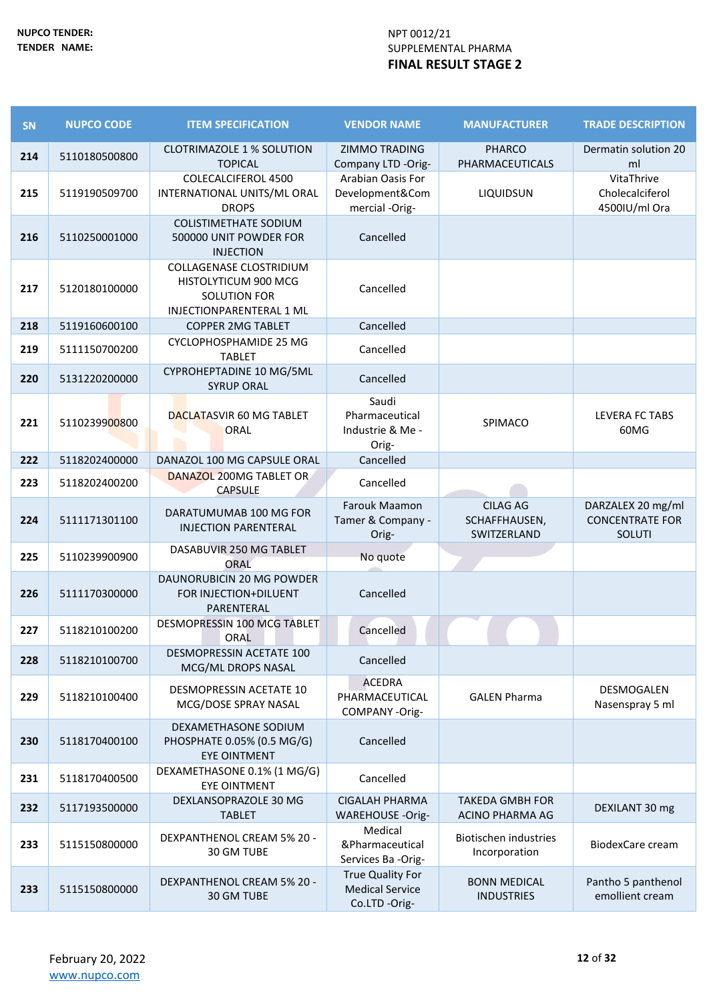| SN  | <b>NUPCO CODE</b> | <b>ITEM SPECIFICATION</b>                                                                          | <b>VENDOR NAME</b>                                          | <b>MANUFACTURER</b>                              | <b>TRADE DESCRIPTION</b>                              |
|-----|-------------------|----------------------------------------------------------------------------------------------------|-------------------------------------------------------------|--------------------------------------------------|-------------------------------------------------------|
| 214 | 5110180500800     | <b>CLOTRIMAZOLE 1 % SOLUTION</b><br><b>TOPICAL</b>                                                 | <b>ZIMMO TRADING</b><br>Company LTD -Orig-                  | <b>PHARCO</b><br>PHARMACEUTICALS                 | Dermatin solution 20<br>ml                            |
| 215 | 5119190509700     | COLECALCIFEROL 4500<br>INTERNATIONAL UNITS/ML ORAL<br><b>DROPS</b>                                 | Arabian Oasis For<br>Development&Com<br>mercial -Orig-      | LIQUIDSUN                                        | VitaThrive<br>Cholecalciferol<br>4500IU/ml Ora        |
| 216 | 5110250001000     | <b>COLISTIMETHATE SODIUM</b><br>500000 UNIT POWDER FOR<br><b>INJECTION</b>                         | Cancelled                                                   |                                                  |                                                       |
| 217 | 5120180100000     | COLLAGENASE CLOSTRIDIUM<br>HISTOLYTICUM 900 MCG<br><b>SOLUTION FOR</b><br>INJECTIONPARENTERAL 1 ML | Cancelled                                                   |                                                  |                                                       |
| 218 | 5119160600100     | <b>COPPER 2MG TABLET</b>                                                                           | Cancelled                                                   |                                                  |                                                       |
| 219 | 5111150700200     | CYCLOPHOSPHAMIDE 25 MG<br><b>TABLET</b>                                                            | Cancelled                                                   |                                                  |                                                       |
| 220 | 5131220200000     | CYPROHEPTADINE 10 MG/5ML<br><b>SYRUP ORAL</b>                                                      | Cancelled                                                   |                                                  |                                                       |
| 221 | 5110239900800     | DACLATASVIR 60 MG TABLET<br>ORAL                                                                   | Saudi<br>Pharmaceutical<br>Industrie & Me -<br>Orig-        | SPIMACO                                          | LEVERA FC TABS<br>60MG                                |
| 222 | 5118202400000     | DANAZOL 100 MG CAPSULE ORAL                                                                        | Cancelled                                                   |                                                  |                                                       |
| 223 | 5118202400200     | DANAZOL 200MG TABLET OR<br><b>CAPSULE</b>                                                          | Cancelled                                                   |                                                  |                                                       |
| 224 | 5111171301100     | DARATUMUMAB 100 MG FOR<br><b>INJECTION PARENTERAL</b>                                              | <b>Farouk Maamon</b><br>Tamer & Company -<br>Orig-          | <b>CILAG AG</b><br>SCHAFFHAUSEN,<br>SWITZERLAND  | DARZALEX 20 mg/ml<br><b>CONCENTRATE FOR</b><br>SOLUTI |
| 225 | 5110239900900     | DASABUVIR 250 MG TABLET<br><b>ORAL</b>                                                             | No quote                                                    |                                                  |                                                       |
| 226 | 5111170300000     | DAUNORUBICIN 20 MG POWDER<br>FOR INJECTION+DILUENT<br>PARENTERAL                                   | Cancelled                                                   |                                                  |                                                       |
| 227 | 5118210100200     | DESMOPRESSIN 100 MCG TABLET<br>ORAL                                                                | Cancelled                                                   |                                                  |                                                       |
| 228 | 5118210100700     | DESMOPRESSIN ACETATE 100<br>MCG/ML DROPS NASAL                                                     | Cancelled                                                   |                                                  |                                                       |
| 229 | 5118210100400     | DESMOPRESSIN ACETATE 10<br>MCG/DOSE SPRAY NASAL                                                    | <b>ACEDRA</b><br>PHARMACEUTICAL<br>COMPANY -Orig-           | <b>GALEN Pharma</b>                              | DESMOGALEN<br>Nasenspray 5 ml                         |
| 230 | 5118170400100     | DEXAMETHASONE SODIUM<br>PHOSPHATE 0.05% (0.5 MG/G)<br><b>EYE OINTMENT</b>                          | Cancelled                                                   |                                                  |                                                       |
| 231 | 5118170400500     | DEXAMETHASONE 0.1% (1 MG/G)<br><b>EYE OINTMENT</b>                                                 | Cancelled                                                   |                                                  |                                                       |
| 232 | 5117193500000     | DEXLANSOPRAZOLE 30 MG<br><b>TABLET</b>                                                             | <b>CIGALAH PHARMA</b><br><b>WAREHOUSE -Orig-</b>            | <b>TAKEDA GMBH FOR</b><br><b>ACINO PHARMA AG</b> | DEXILANT 30 mg                                        |
| 233 | 5115150800000     | DEXPANTHENOL CREAM 5% 20 -<br>30 GM TUBE                                                           | Medical<br>&Pharmaceutical<br>Services Ba -Orig-            | Biotischen industries<br>Incorporation           | <b>BiodexCare cream</b>                               |
| 233 | 5115150800000     | DEXPANTHENOL CREAM 5% 20 -<br>30 GM TUBE                                                           | True Quality For<br><b>Medical Service</b><br>Co.LTD -Orig- | <b>BONN MEDICAL</b><br><b>INDUSTRIES</b>         | Pantho 5 panthenol<br>emollient cream                 |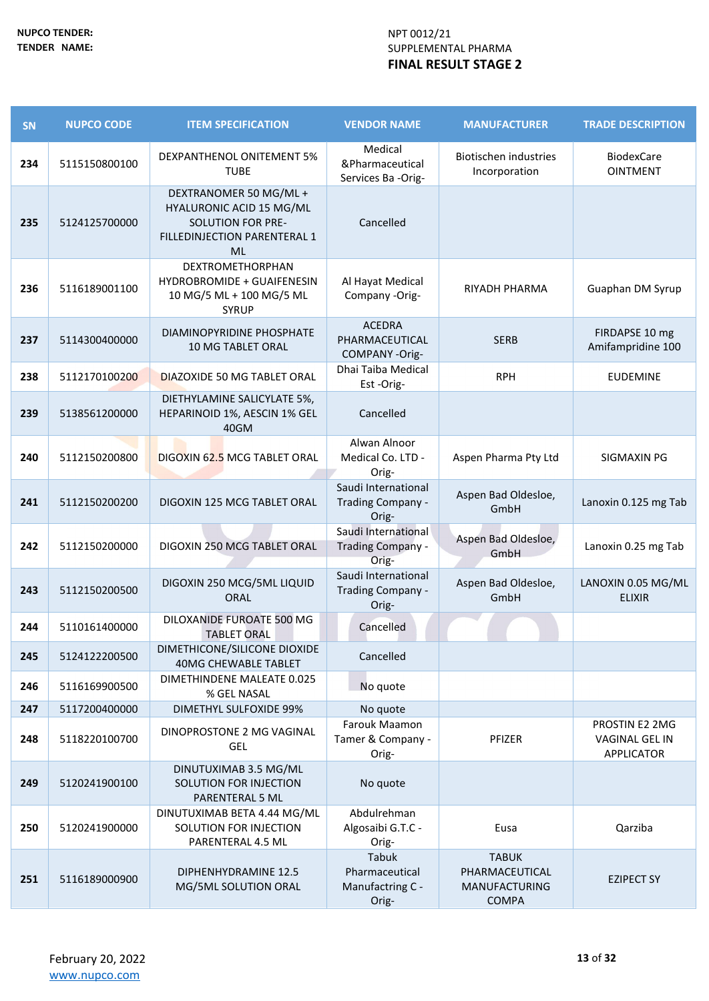| SN  | <b>NUPCO CODE</b> | <b>ITEM SPECIFICATION</b>                                                                                                   | <b>VENDOR NAME</b>                                   | <b>MANUFACTURER</b>                                                    | <b>TRADE DESCRIPTION</b>                              |
|-----|-------------------|-----------------------------------------------------------------------------------------------------------------------------|------------------------------------------------------|------------------------------------------------------------------------|-------------------------------------------------------|
| 234 | 5115150800100     | DEXPANTHENOL ONITEMENT 5%<br><b>TUBE</b>                                                                                    | Medical<br>&Pharmaceutical<br>Services Ba -Orig-     | <b>Biotischen industries</b><br>Incorporation                          | <b>BiodexCare</b><br><b>OINTMENT</b>                  |
| 235 | 5124125700000     | DEXTRANOMER 50 MG/ML +<br>HYALURONIC ACID 15 MG/ML<br><b>SOLUTION FOR PRE-</b><br>FILLEDINJECTION PARENTERAL 1<br><b>ML</b> | Cancelled                                            |                                                                        |                                                       |
| 236 | 5116189001100     | DEXTROMETHORPHAN<br><b>HYDROBROMIDE + GUAIFENESIN</b><br>10 MG/5 ML + 100 MG/5 ML<br><b>SYRUP</b>                           | Al Hayat Medical<br>Company -Orig-                   | RIYADH PHARMA                                                          | Guaphan DM Syrup                                      |
| 237 | 5114300400000     | DIAMINOPYRIDINE PHOSPHATE<br>10 MG TABLET ORAL                                                                              | <b>ACEDRA</b><br>PHARMACEUTICAL<br>COMPANY-Orig-     | <b>SERB</b>                                                            | FIRDAPSE 10 mg<br>Amifampridine 100                   |
| 238 | 5112170100200     | <b>DIAZOXIDE 50 MG TABLET ORAL</b>                                                                                          | Dhai Taiba Medical<br>Est-Orig-                      | <b>RPH</b>                                                             | <b>EUDEMINE</b>                                       |
| 239 | 5138561200000     | DIETHYLAMINE SALICYLATE 5%,<br>HEPARINOID 1%, AESCIN 1% GEL<br>40GM                                                         | Cancelled                                            |                                                                        |                                                       |
| 240 | 5112150200800     | DIGOXIN 62.5 MCG TABLET ORAL                                                                                                | Alwan Alnoor<br>Medical Co. LTD -<br>Orig-           | Aspen Pharma Pty Ltd                                                   | SIGMAXIN PG                                           |
| 241 | 5112150200200     | DIGOXIN 125 MCG TABLET ORAL                                                                                                 | Saudi International<br>Trading Company -<br>Orig-    | Aspen Bad Oldesloe,<br>GmbH                                            | Lanoxin 0.125 mg Tab                                  |
| 242 | 5112150200000     | DIGOXIN 250 MCG TABLET ORAL                                                                                                 | Saudi International<br>Trading Company -<br>Orig-    | Aspen Bad Oldesloe,<br>GmbH                                            | Lanoxin 0.25 mg Tab                                   |
| 243 | 5112150200500     | DIGOXIN 250 MCG/5ML LIQUID<br><b>ORAL</b>                                                                                   | Saudi International<br>Trading Company -<br>Orig-    | Aspen Bad Oldesloe,<br>GmbH                                            | LANOXIN 0.05 MG/ML<br><b>ELIXIR</b>                   |
| 244 | 5110161400000     | DILOXANIDE FUROATE 500 MG<br><b>TABLET ORAL</b>                                                                             | Cancelled                                            |                                                                        |                                                       |
| 245 | 5124122200500     | DIMETHICONE/SILICONE DIOXIDE<br><b>40MG CHEWABLE TABLET</b>                                                                 | Cancelled                                            |                                                                        |                                                       |
| 246 | 5116169900500     | DIMETHINDENE MALEATE 0.025<br>% GEL NASAL                                                                                   | No quote                                             |                                                                        |                                                       |
| 247 | 5117200400000     | DIMETHYL SULFOXIDE 99%                                                                                                      | No quote                                             |                                                                        |                                                       |
| 248 | 5118220100700     | DINOPROSTONE 2 MG VAGINAL<br><b>GEL</b>                                                                                     | Farouk Maamon<br>Tamer & Company -<br>Orig-          | PFIZER                                                                 | PROSTIN E2 2MG<br>VAGINAL GEL IN<br><b>APPLICATOR</b> |
| 249 | 5120241900100     | DINUTUXIMAB 3.5 MG/ML<br>SOLUTION FOR INJECTION<br>PARENTERAL 5 ML                                                          | No quote                                             |                                                                        |                                                       |
| 250 | 5120241900000     | DINUTUXIMAB BETA 4.44 MG/ML<br>SOLUTION FOR INJECTION<br>PARENTERAL 4.5 ML                                                  | Abdulrehman<br>Algosaibi G.T.C -<br>Orig-            | Eusa                                                                   | Qarziba                                               |
| 251 | 5116189000900     | DIPHENHYDRAMINE 12.5<br>MG/5ML SOLUTION ORAL                                                                                | Tabuk<br>Pharmaceutical<br>Manufactring C -<br>Orig- | <b>TABUK</b><br>PHARMACEUTICAL<br><b>MANUFACTURING</b><br><b>COMPA</b> | <b>EZIPECT SY</b>                                     |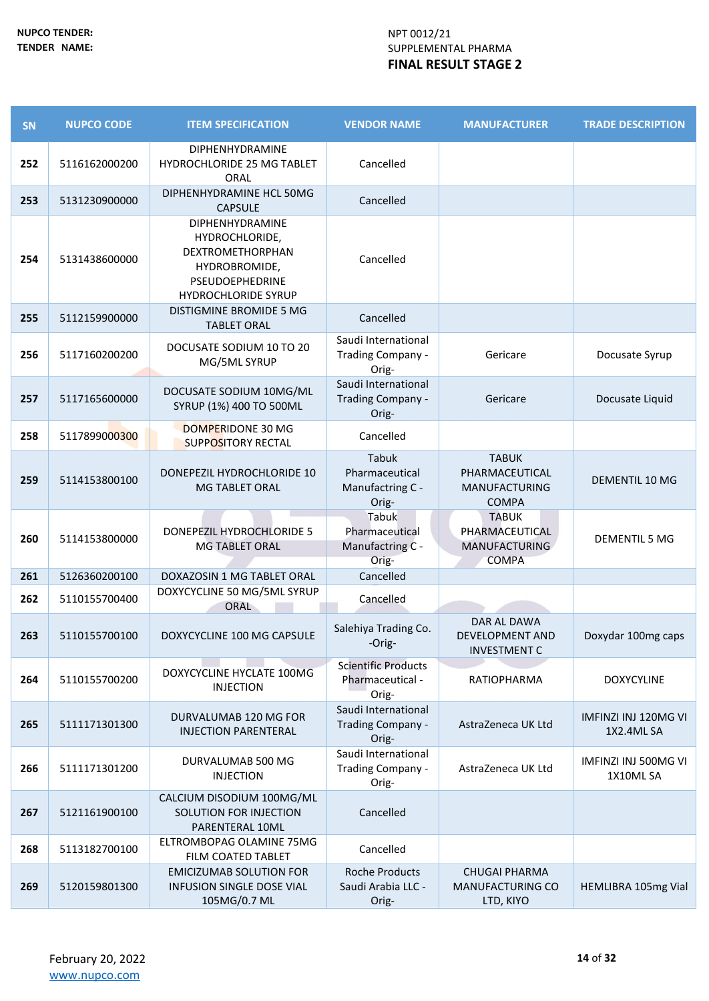| SN  | <b>NUPCO CODE</b> | <b>ITEM SPECIFICATION</b>                                                                                               | <b>VENDOR NAME</b>                                      | <b>MANUFACTURER</b>                                                    | <b>TRADE DESCRIPTION</b>           |
|-----|-------------------|-------------------------------------------------------------------------------------------------------------------------|---------------------------------------------------------|------------------------------------------------------------------------|------------------------------------|
| 252 | 5116162000200     | <b>DIPHENHYDRAMINE</b><br>HYDROCHLORIDE 25 MG TABLET<br>ORAL                                                            | Cancelled                                               |                                                                        |                                    |
| 253 | 5131230900000     | DIPHENHYDRAMINE HCL 50MG<br><b>CAPSULE</b>                                                                              | Cancelled                                               |                                                                        |                                    |
| 254 | 5131438600000     | DIPHENHYDRAMINE<br>HYDROCHLORIDE,<br>DEXTROMETHORPHAN<br>HYDROBROMIDE,<br>PSEUDOEPHEDRINE<br><b>HYDROCHLORIDE SYRUP</b> | Cancelled                                               |                                                                        |                                    |
| 255 | 5112159900000     | DISTIGMINE BROMIDE 5 MG<br><b>TABLET ORAL</b>                                                                           | Cancelled                                               |                                                                        |                                    |
| 256 | 5117160200200     | DOCUSATE SODIUM 10 TO 20<br>MG/5ML SYRUP                                                                                | Saudi International<br>Trading Company -<br>Orig-       | Gericare                                                               | Docusate Syrup                     |
| 257 | 5117165600000     | DOCUSATE SODIUM 10MG/ML<br>SYRUP (1%) 400 TO 500ML                                                                      | Saudi International<br>Trading Company -<br>Orig-       | Gericare                                                               | Docusate Liquid                    |
| 258 | 5117899000300     | DOMPERIDONE 30 MG<br><b>SUPPOSITORY RECTAL</b>                                                                          | Cancelled                                               |                                                                        |                                    |
| 259 | 5114153800100     | DONEPEZIL HYDROCHLORIDE 10<br><b>MG TABLET ORAL</b>                                                                     | Tabuk<br>Pharmaceutical<br>Manufactring C -<br>Orig-    | <b>TABUK</b><br>PHARMACEUTICAL<br><b>MANUFACTURING</b><br><b>COMPA</b> | DEMENTIL 10 MG                     |
| 260 | 5114153800000     | DONEPEZIL HYDROCHLORIDE 5<br><b>MG TABLET ORAL</b>                                                                      | Tabuk<br>Pharmaceutical<br>Manufactring C -<br>Orig-    | <b>TABUK</b><br>PHARMACEUTICAL<br><b>MANUFACTURING</b><br><b>COMPA</b> | <b>DEMENTIL 5 MG</b>               |
| 261 | 5126360200100     | DOXAZOSIN 1 MG TABLET ORAL                                                                                              | Cancelled                                               |                                                                        |                                    |
| 262 | 5110155700400     | DOXYCYCLINE 50 MG/5ML SYRUP<br>ORAL                                                                                     | Cancelled                                               |                                                                        |                                    |
| 263 | 5110155700100     | DOXYCYCLINE 100 MG CAPSULE                                                                                              | Salehiya Trading Co.<br>-Orig-                          | DAR AL DAWA<br>DEVELOPMENT AND<br><b>INVESTMENT C</b>                  | Doxydar 100mg caps                 |
| 264 | 5110155700200     | DOXYCYCLINE HYCLATE 100MG<br><b>INJECTION</b>                                                                           | <b>Scientific Products</b><br>Pharmaceutical -<br>Orig- | <b>RATIOPHARMA</b>                                                     | <b>DOXYCYLINE</b>                  |
| 265 | 5111171301300     | DURVALUMAB 120 MG FOR<br><b>INJECTION PARENTERAL</b>                                                                    | Saudi International<br>Trading Company -<br>Orig-       | AstraZeneca UK Ltd                                                     | IMFINZI INJ 120MG VI<br>1X2.4ML SA |
| 266 | 5111171301200     | DURVALUMAB 500 MG<br><b>INJECTION</b>                                                                                   | Saudi International<br>Trading Company -<br>Orig-       | AstraZeneca UK Ltd                                                     | IMFINZI INJ 500MG VI<br>1X10ML SA  |
| 267 | 5121161900100     | CALCIUM DISODIUM 100MG/ML<br>SOLUTION FOR INJECTION<br>PARENTERAL 10ML                                                  | Cancelled                                               |                                                                        |                                    |
| 268 | 5113182700100     | ELTROMBOPAG OLAMINE 75MG<br>FILM COATED TABLET                                                                          | Cancelled                                               |                                                                        |                                    |
| 269 | 5120159801300     | <b>EMICIZUMAB SOLUTION FOR</b><br><b>INFUSION SINGLE DOSE VIAL</b><br>105MG/0.7 ML                                      | <b>Roche Products</b><br>Saudi Arabia LLC -<br>Orig-    | <b>CHUGAI PHARMA</b><br>MANUFACTURING CO<br>LTD, KIYO                  | HEMLIBRA 105mg Vial                |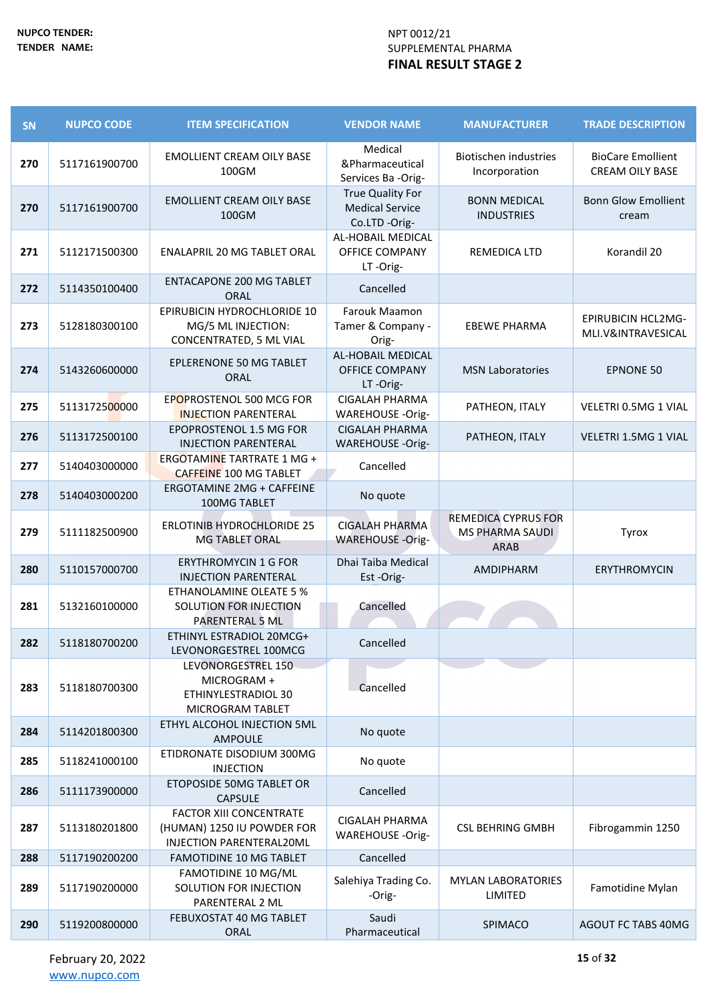| SN  | <b>NUPCO CODE</b> | <b>ITEM SPECIFICATION</b>                                                                | <b>VENDOR NAME</b>                                          | <b>MANUFACTURER</b>                                          | <b>TRADE DESCRIPTION</b>                           |
|-----|-------------------|------------------------------------------------------------------------------------------|-------------------------------------------------------------|--------------------------------------------------------------|----------------------------------------------------|
| 270 | 5117161900700     | <b>EMOLLIENT CREAM OILY BASE</b><br>100GM                                                | Medical<br>&Pharmaceutical<br>Services Ba -Orig-            | <b>Biotischen industries</b><br>Incorporation                | <b>BioCare Emollient</b><br><b>CREAM OILY BASE</b> |
| 270 | 5117161900700     | <b>EMOLLIENT CREAM OILY BASE</b><br>100GM                                                | True Quality For<br><b>Medical Service</b><br>Co.LTD -Orig- | <b>BONN MEDICAL</b><br><b>INDUSTRIES</b>                     | <b>Bonn Glow Emollient</b><br>cream                |
| 271 | 5112171500300     | <b>ENALAPRIL 20 MG TABLET ORAL</b>                                                       | AL-HOBAIL MEDICAL<br><b>OFFICE COMPANY</b><br>LT-Orig-      | REMEDICA LTD                                                 | Korandil 20                                        |
| 272 | 5114350100400     | <b>ENTACAPONE 200 MG TABLET</b><br><b>ORAL</b>                                           | Cancelled                                                   |                                                              |                                                    |
| 273 | 5128180300100     | <b>EPIRUBICIN HYDROCHLORIDE 10</b><br>MG/5 ML INJECTION:<br>CONCENTRATED, 5 ML VIAL      | Farouk Maamon<br>Tamer & Company -<br>Orig-                 | <b>EBEWE PHARMA</b>                                          | <b>EPIRUBICIN HCL2MG-</b><br>MLI.V&INTRAVESICAL    |
| 274 | 5143260600000     | <b>EPLERENONE 50 MG TABLET</b><br>ORAL                                                   | AL-HOBAIL MEDICAL<br><b>OFFICE COMPANY</b><br>LT-Orig-      | <b>MSN Laboratories</b>                                      | <b>EPNONE 50</b>                                   |
| 275 | 5113172500000     | EPOPROSTENOL 500 MCG FOR<br><b>INJECTION PARENTERAL</b>                                  | <b>CIGALAH PHARMA</b><br>WAREHOUSE -Orig-                   | PATHEON, ITALY                                               | VELETRI 0.5MG 1 VIAL                               |
| 276 | 5113172500100     | EPOPROSTENOL 1.5 MG FOR<br><b>INJECTION PARENTERAL</b>                                   | <b>CIGALAH PHARMA</b><br><b>WAREHOUSE -Orig-</b>            | PATHEON, ITALY                                               | VELETRI 1.5MG 1 VIAL                               |
| 277 | 5140403000000     | ERGOTAMINE TARTRATE 1 MG +<br><b>CAFFEINE 100 MG TABLET</b>                              | Cancelled                                                   |                                                              |                                                    |
| 278 | 5140403000200     | <b>ERGOTAMINE 2MG + CAFFEINE</b><br>100MG TABLET                                         | No quote                                                    |                                                              |                                                    |
| 279 | 5111182500900     | <b>ERLOTINIB HYDROCHLORIDE 25</b><br><b>MG TABLET ORAL</b>                               | <b>CIGALAH PHARMA</b><br><b>WAREHOUSE -Orig-</b>            | REMEDICA CYPRUS FOR<br><b>MS PHARMA SAUDI</b><br><b>ARAB</b> | Tyrox                                              |
| 280 | 5110157000700     | <b>ERYTHROMYCIN 1 G FOR</b><br><b>INJECTION PARENTERAL</b>                               | Dhai Taiba Medical<br>Est-Orig-                             | AMDIPHARM                                                    | <b>ERYTHROMYCIN</b>                                |
| 281 | 5132160100000     | ETHANOLAMINE OLEATE 5 %<br>SOLUTION FOR INJECTION<br>PARENTERAL 5 ML                     | Cancelled                                                   |                                                              |                                                    |
| 282 | 5118180700200     | ETHINYL ESTRADIOL 20MCG+<br>LEVONORGESTREL 100MCG                                        | Cancelled                                                   |                                                              |                                                    |
| 283 | 5118180700300     | LEVONORGESTREL 150<br>MICROGRAM +<br>ETHINYLESTRADIOL 30<br>MICROGRAM TABLET             | Cancelled                                                   |                                                              |                                                    |
| 284 | 5114201800300     | ETHYL ALCOHOL INJECTION 5ML<br>AMPOULE                                                   | No quote                                                    |                                                              |                                                    |
| 285 | 5118241000100     | ETIDRONATE DISODIUM 300MG<br><b>INJECTION</b>                                            | No quote                                                    |                                                              |                                                    |
| 286 | 5111173900000     | ETOPOSIDE 50MG TABLET OR<br><b>CAPSULE</b>                                               | Cancelled                                                   |                                                              |                                                    |
| 287 | 5113180201800     | <b>FACTOR XIII CONCENTRATE</b><br>(HUMAN) 1250 IU POWDER FOR<br>INJECTION PARENTERAL20ML | <b>CIGALAH PHARMA</b><br>WAREHOUSE -Orig-                   | <b>CSL BEHRING GMBH</b>                                      | Fibrogammin 1250                                   |
| 288 | 5117190200200     | <b>FAMOTIDINE 10 MG TABLET</b>                                                           | Cancelled                                                   |                                                              |                                                    |
| 289 | 5117190200000     | FAMOTIDINE 10 MG/ML<br>SOLUTION FOR INJECTION<br>PARENTERAL 2 ML                         | Salehiya Trading Co.<br>-Orig-                              | <b>MYLAN LABORATORIES</b><br>LIMITED                         | Famotidine Mylan                                   |
| 290 | 5119200800000     | FEBUXOSTAT 40 MG TABLET<br><b>ORAL</b>                                                   | Saudi<br>Pharmaceutical                                     | SPIMACO                                                      | AGOUT FC TABS 40MG                                 |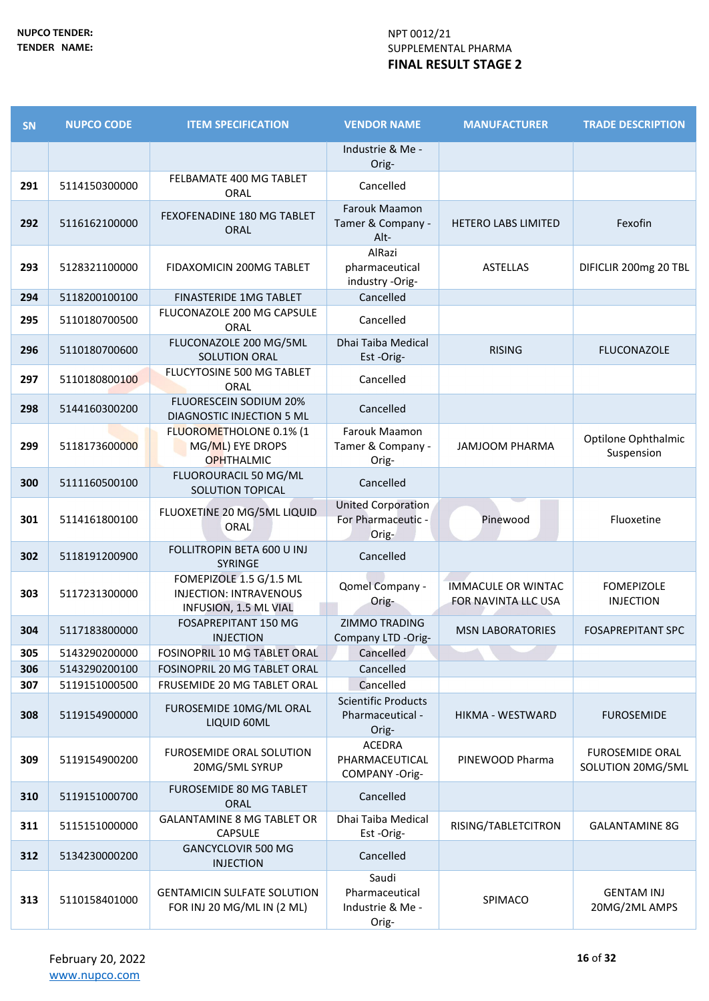| <b>SN</b> | <b>NUPCO CODE</b> | <b>ITEM SPECIFICATION</b>                                                         | <b>VENDOR NAME</b>                                       | <b>MANUFACTURER</b>                              | <b>TRADE DESCRIPTION</b>                    |
|-----------|-------------------|-----------------------------------------------------------------------------------|----------------------------------------------------------|--------------------------------------------------|---------------------------------------------|
|           |                   |                                                                                   | Industrie & Me -<br>Orig-                                |                                                  |                                             |
| 291       | 5114150300000     | FELBAMATE 400 MG TABLET<br>ORAL                                                   | Cancelled                                                |                                                  |                                             |
| 292       | 5116162100000     | <b>FEXOFENADINE 180 MG TABLET</b><br><b>ORAL</b>                                  | Farouk Maamon<br>Tamer & Company -<br>Alt-               | <b>HETERO LABS LIMITED</b>                       | Fexofin                                     |
| 293       | 5128321100000     | FIDAXOMICIN 200MG TABLET                                                          | AlRazi<br>pharmaceutical<br>industry -Orig-              | <b>ASTELLAS</b>                                  | DIFICLIR 200mg 20 TBL                       |
| 294       | 5118200100100     | <b>FINASTERIDE 1MG TABLET</b>                                                     | Cancelled                                                |                                                  |                                             |
| 295       | 5110180700500     | FLUCONAZOLE 200 MG CAPSULE<br>ORAL                                                | Cancelled                                                |                                                  |                                             |
| 296       | 5110180700600     | FLUCONAZOLE 200 MG/5ML<br><b>SOLUTION ORAL</b>                                    | Dhai Taiba Medical<br>Est-Orig-                          | <b>RISING</b>                                    | <b>FLUCONAZOLE</b>                          |
| 297       | 5110180800100     | FLUCYTOSINE 500 MG TABLET<br>ORAL                                                 | Cancelled                                                |                                                  |                                             |
| 298       | 5144160300200     | FLUORESCEIN SODIUM 20%<br>DIAGNOSTIC INJECTION 5 ML                               | Cancelled                                                |                                                  |                                             |
| 299       | 5118173600000     | FLUOROMETHOLONE 0.1% (1<br>MG/ML) EYE DROPS<br><b>OPHTHALMIC</b>                  | Farouk Maamon<br>Tamer & Company -<br>Orig-              | <b>JAMJOOM PHARMA</b>                            | Optilone Ophthalmic<br>Suspension           |
| 300       | 5111160500100     | FLUOROURACIL 50 MG/ML<br>SOLUTION TOPICAL                                         | Cancelled                                                |                                                  |                                             |
| 301       | 5114161800100     | FLUOXETINE 20 MG/5ML LIQUID<br><b>ORAL</b>                                        | <b>United Corporation</b><br>For Pharmaceutic -<br>Orig- | Pinewood                                         | Fluoxetine                                  |
| 302       | 5118191200900     | FOLLITROPIN BETA 600 U INJ<br><b>SYRINGE</b>                                      | Cancelled                                                |                                                  |                                             |
| 303       | 5117231300000     | FOMEPIZOLE 1.5 G/1.5 ML<br><b>INJECTION: INTRAVENOUS</b><br>INFUSION, 1.5 ML VIAL | Qomel Company -<br>Orig-                                 | <b>IMMACULE OR WINTAC</b><br>FOR NAVINTA LLC USA | <b>FOMEPIZOLE</b><br><b>INJECTION</b>       |
| 304       | 5117183800000     | <b>FOSAPREPITANT 150 MG</b><br><b>INJECTION</b>                                   | <b>ZIMMO TRADING</b><br>Company LTD -Orig-               | <b>MSN LABORATORIES</b>                          | <b>FOSAPREPITANT SPC</b>                    |
| 305       | 5143290200000     | <b>FOSINOPRIL 10 MG TABLET ORAL</b>                                               | Cancelled                                                |                                                  |                                             |
| 306       | 5143290200100     | FOSINOPRIL 20 MG TABLET ORAL                                                      | Cancelled                                                |                                                  |                                             |
| 307       | 5119151000500     | FRUSEMIDE 20 MG TABLET ORAL                                                       | Cancelled                                                |                                                  |                                             |
| 308       | 5119154900000     | FUROSEMIDE 10MG/ML ORAL<br>LIQUID 60ML                                            | <b>Scientific Products</b><br>Pharmaceutical -<br>Orig-  | HIKMA - WESTWARD                                 | <b>FUROSEMIDE</b>                           |
| 309       | 5119154900200     | <b>FUROSEMIDE ORAL SOLUTION</b><br>20MG/5ML SYRUP                                 | ACEDRA<br>PHARMACEUTICAL<br>COMPANY-Orig-                | PINEWOOD Pharma                                  | <b>FUROSEMIDE ORAL</b><br>SOLUTION 20MG/5ML |
| 310       | 5119151000700     | <b>FUROSEMIDE 80 MG TABLET</b><br>ORAL                                            | Cancelled                                                |                                                  |                                             |
| 311       | 5115151000000     | <b>GALANTAMINE 8 MG TABLET OR</b><br>CAPSULE                                      | Dhai Taiba Medical<br>Est-Orig-                          | RISING/TABLETCITRON                              | <b>GALANTAMINE 8G</b>                       |
| 312       | 5134230000200     | <b>GANCYCLOVIR 500 MG</b><br><b>INJECTION</b>                                     | Cancelled                                                |                                                  |                                             |
| 313       | 5110158401000     | <b>GENTAMICIN SULFATE SOLUTION</b><br>FOR INJ 20 MG/ML IN (2 ML)                  | Saudi<br>Pharmaceutical<br>Industrie & Me -<br>Orig-     | SPIMACO                                          | <b>GENTAM INJ</b><br>20MG/2ML AMPS          |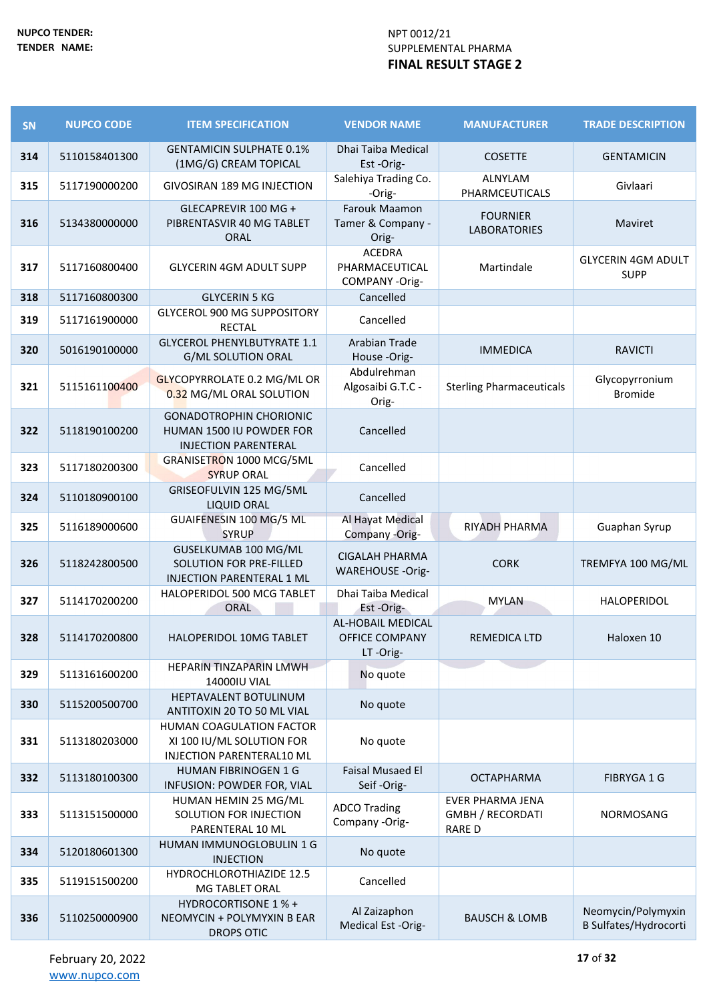| SN  | <b>NUPCO CODE</b> | <b>ITEM SPECIFICATION</b>                                                                 | <b>VENDOR NAME</b>                                            | <b>MANUFACTURER</b>                                                | <b>TRADE DESCRIPTION</b>                    |
|-----|-------------------|-------------------------------------------------------------------------------------------|---------------------------------------------------------------|--------------------------------------------------------------------|---------------------------------------------|
| 314 | 5110158401300     | <b>GENTAMICIN SULPHATE 0.1%</b><br>(1MG/G) CREAM TOPICAL                                  | Dhai Taiba Medical<br>Est-Orig-                               | <b>COSETTE</b>                                                     | <b>GENTAMICIN</b>                           |
| 315 | 5117190000200     | <b>GIVOSIRAN 189 MG INJECTION</b>                                                         | Salehiya Trading Co.<br>-Orig-                                | ALNYLAM<br>PHARMCEUTICALS                                          | Givlaari                                    |
| 316 | 5134380000000     | GLECAPREVIR 100 MG +<br>PIBRENTASVIR 40 MG TABLET<br><b>ORAL</b>                          | Farouk Maamon<br>Tamer & Company -<br>Orig-                   | <b>FOURNIER</b><br><b>LABORATORIES</b>                             | Maviret                                     |
| 317 | 5117160800400     | <b>GLYCERIN 4GM ADULT SUPP</b>                                                            | <b>ACEDRA</b><br>PHARMACEUTICAL<br>COMPANY-Orig-              | Martindale                                                         | <b>GLYCERIN 4GM ADULT</b><br><b>SUPP</b>    |
| 318 | 5117160800300     | <b>GLYCERIN 5 KG</b>                                                                      | Cancelled                                                     |                                                                    |                                             |
| 319 | 5117161900000     | <b>GLYCEROL 900 MG SUPPOSITORY</b><br><b>RECTAL</b>                                       | Cancelled                                                     |                                                                    |                                             |
| 320 | 5016190100000     | <b>GLYCEROL PHENYLBUTYRATE 1.1</b><br><b>G/ML SOLUTION ORAL</b>                           | Arabian Trade<br>House -Orig-                                 | <b>IMMEDICA</b>                                                    | <b>RAVICTI</b>                              |
| 321 | 5115161100400     | <b>GLYCOPYRROLATE 0.2 MG/ML OR</b><br>0.32 MG/ML ORAL SOLUTION                            | Abdulrehman<br>Algosaibi G.T.C -<br>Orig-                     | <b>Sterling Pharmaceuticals</b>                                    | Glycopyrronium<br><b>Bromide</b>            |
| 322 | 5118190100200     | <b>GONADOTROPHIN CHORIONIC</b><br>HUMAN 1500 IU POWDER FOR<br><b>INJECTION PARENTERAL</b> | Cancelled                                                     |                                                                    |                                             |
| 323 | 5117180200300     | GRANISETRON 1000 MCG/5ML<br><b>SYRUP ORAL</b>                                             | Cancelled                                                     |                                                                    |                                             |
| 324 | 5110180900100     | GRISEOFULVIN 125 MG/5ML<br><b>LIQUID ORAL</b>                                             | Cancelled                                                     |                                                                    |                                             |
| 325 | 5116189000600     | GUAIFENESIN 100 MG/5 ML<br><b>SYRUP</b>                                                   | Al Hayat Medical<br>Company -Orig-                            | RIYADH PHARMA                                                      | Guaphan Syrup                               |
| 326 | 5118242800500     | GUSELKUMAB 100 MG/ML<br>SOLUTION FOR PRE-FILLED<br>INJECTION PARENTERAL 1 ML              | <b>CIGALAH PHARMA</b><br><b>WAREHOUSE -Orig-</b>              | <b>CORK</b>                                                        | TREMFYA 100 MG/ML                           |
| 327 | 5114170200200     | HALOPERIDOL 500 MCG TABLET<br>ORAL                                                        | Dhai Taiba Medical<br>Est -Orig-                              | <b>MYLAN</b>                                                       | HALOPERIDOL                                 |
| 328 | 5114170200800     | <b>HALOPERIDOL 10MG TABLET</b>                                                            | <b>AL-HOBAIL MEDICAL</b><br><b>OFFICE COMPANY</b><br>LT-Orig- | <b>REMEDICA LTD</b>                                                | Haloxen 10                                  |
| 329 | 5113161600200     | <b>HEPARIN TINZAPARIN LMWH</b><br>14000IU VIAL                                            | No quote                                                      |                                                                    |                                             |
| 330 | 5115200500700     | HEPTAVALENT BOTULINUM<br>ANTITOXIN 20 TO 50 ML VIAL                                       | No quote                                                      |                                                                    |                                             |
| 331 | 5113180203000     | <b>HUMAN COAGULATION FACTOR</b><br>XI 100 IU/ML SOLUTION FOR<br>INJECTION PARENTERAL10 ML | No quote                                                      |                                                                    |                                             |
| 332 | 5113180100300     | <b>HUMAN FIBRINOGEN 1 G</b><br>INFUSION: POWDER FOR, VIAL                                 | <b>Faisal Musaed El</b><br>Seif-Orig-                         | <b>OCTAPHARMA</b>                                                  | FIBRYGA 1 G                                 |
| 333 | 5113151500000     | HUMAN HEMIN 25 MG/ML<br>SOLUTION FOR INJECTION<br>PARENTERAL 10 ML                        | <b>ADCO Trading</b><br>Company -Orig-                         | <b>EVER PHARMA JENA</b><br><b>GMBH / RECORDATI</b><br><b>RARED</b> | NORMOSANG                                   |
| 334 | 5120180601300     | HUMAN IMMUNOGLOBULIN 1 G<br><b>INJECTION</b>                                              | No quote                                                      |                                                                    |                                             |
| 335 | 5119151500200     | HYDROCHLOROTHIAZIDE 12.5<br>MG TABLET ORAL                                                | Cancelled                                                     |                                                                    |                                             |
| 336 | 5110250000900     | HYDROCORTISONE 1 % +<br>NEOMYCIN + POLYMYXIN B EAR<br>DROPS OTIC                          | Al Zaizaphon<br>Medical Est -Orig-                            | <b>BAUSCH &amp; LOMB</b>                                           | Neomycin/Polymyxin<br>B Sulfates/Hydrocorti |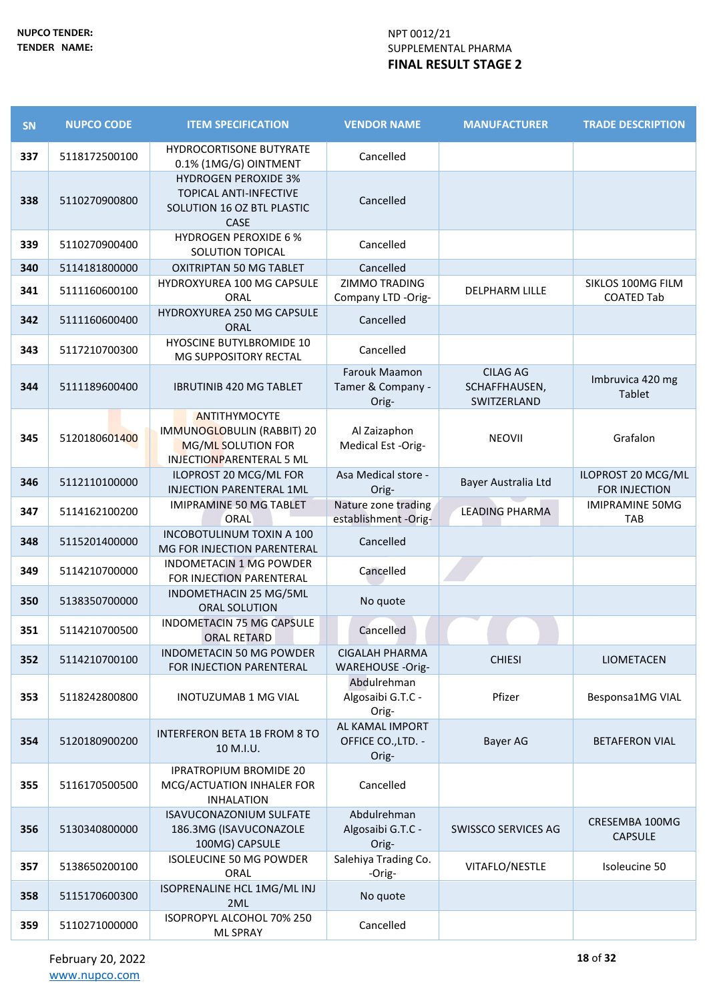| SN  | <b>NUPCO CODE</b> | <b>ITEM SPECIFICATION</b>                                                                            | <b>VENDOR NAME</b>                               | <b>MANUFACTURER</b>                             | <b>TRADE DESCRIPTION</b>               |
|-----|-------------------|------------------------------------------------------------------------------------------------------|--------------------------------------------------|-------------------------------------------------|----------------------------------------|
| 337 | 5118172500100     | HYDROCORTISONE BUTYRATE<br>0.1% (1MG/G) OINTMENT                                                     | Cancelled                                        |                                                 |                                        |
| 338 | 5110270900800     | <b>HYDROGEN PEROXIDE 3%</b><br><b>TOPICAL ANTI-INFECTIVE</b><br>SOLUTION 16 OZ BTL PLASTIC<br>CASE   | Cancelled                                        |                                                 |                                        |
| 339 | 5110270900400     | <b>HYDROGEN PEROXIDE 6 %</b><br><b>SOLUTION TOPICAL</b>                                              | Cancelled                                        |                                                 |                                        |
| 340 | 5114181800000     | <b>OXITRIPTAN 50 MG TABLET</b>                                                                       | Cancelled                                        |                                                 |                                        |
| 341 | 5111160600100     | HYDROXYUREA 100 MG CAPSULE<br>ORAL                                                                   | <b>ZIMMO TRADING</b><br>Company LTD -Orig-       | <b>DELPHARM LILLE</b>                           | SIKLOS 100MG FILM<br><b>COATED Tab</b> |
| 342 | 5111160600400     | HYDROXYUREA 250 MG CAPSULE<br><b>ORAL</b>                                                            | Cancelled                                        |                                                 |                                        |
| 343 | 5117210700300     | HYOSCINE BUTYLBROMIDE 10<br>MG SUPPOSITORY RECTAL                                                    | Cancelled                                        |                                                 |                                        |
| 344 | 5111189600400     | <b>IBRUTINIB 420 MG TABLET</b>                                                                       | Farouk Maamon<br>Tamer & Company -<br>Orig-      | <b>CILAG AG</b><br>SCHAFFHAUSEN,<br>SWITZERLAND | Imbruvica 420 mg<br>Tablet             |
| 345 | 5120180601400     | <b>ANTITHYMOCYTE</b><br>IMMUNOGLOBULIN (RABBIT) 20<br>MG/ML SOLUTION FOR<br>INJECTIONPARENTERAL 5 ML | Al Zaizaphon<br>Medical Est -Orig-               | <b>NEOVII</b>                                   | Grafalon                               |
| 346 | 5112110100000     | ILOPROST 20 MCG/ML FOR<br><b>INJECTION PARENTERAL 1ML</b>                                            | Asa Medical store -<br>Orig-                     | Bayer Australia Ltd                             | ILOPROST 20 MCG/ML<br>FOR INJECTION    |
| 347 | 5114162100200     | IMIPRAMINE 50 MG TABLET<br>ORAL                                                                      | Nature zone trading<br>establishment -Orig-      | <b>LEADING PHARMA</b>                           | <b>IMIPRAMINE 50MG</b><br><b>TAB</b>   |
| 348 | 5115201400000     | <b>INCOBOTULINUM TOXIN A 100</b><br>MG FOR INJECTION PARENTERAL                                      | Cancelled                                        |                                                 |                                        |
| 349 | 5114210700000     | <b>INDOMETACIN 1 MG POWDER</b><br>FOR INJECTION PARENTERAL                                           | Cancelled                                        |                                                 |                                        |
| 350 | 5138350700000     | INDOMETHACIN 25 MG/5ML<br>ORAL SOLUTION                                                              | No quote                                         |                                                 |                                        |
| 351 | 5114210700500     | <b>INDOMETACIN 75 MG CAPSULE</b><br><b>ORAL RETARD</b>                                               | Cancelled                                        |                                                 |                                        |
| 352 | 5114210700100     | INDOMETACIN 50 MG POWDER<br>FOR INJECTION PARENTERAL                                                 | <b>CIGALAH PHARMA</b><br><b>WAREHOUSE -Orig-</b> | <b>CHIESI</b>                                   | LIOMETACEN                             |
| 353 | 5118242800800     | <b>INOTUZUMAB 1 MG VIAL</b>                                                                          | Abdulrehman<br>Algosaibi G.T.C -<br>Orig-        | Pfizer                                          | Besponsa1MG VIAL                       |
| 354 | 5120180900200     | <b>INTERFERON BETA 1B FROM 8 TO</b><br>10 M.I.U.                                                     | AL KAMAL IMPORT<br>OFFICE CO., LTD. -<br>Orig-   | Bayer AG                                        | <b>BETAFERON VIAL</b>                  |
| 355 | 5116170500500     | <b>IPRATROPIUM BROMIDE 20</b><br>MCG/ACTUATION INHALER FOR<br><b>INHALATION</b>                      | Cancelled                                        |                                                 |                                        |
| 356 | 5130340800000     | <b>ISAVUCONAZONIUM SULFATE</b><br>186.3MG (ISAVUCONAZOLE<br>100MG) CAPSULE                           | Abdulrehman<br>Algosaibi G.T.C -<br>Orig-        | SWISSCO SERVICES AG                             | CRESEMBA 100MG<br><b>CAPSULE</b>       |
| 357 | 5138650200100     | <b>ISOLEUCINE 50 MG POWDER</b><br>ORAL                                                               | Salehiya Trading Co.<br>-Orig-                   | VITAFLO/NESTLE                                  | Isoleucine 50                          |
| 358 | 5115170600300     | ISOPRENALINE HCL 1MG/ML INJ<br>2ML                                                                   | No quote                                         |                                                 |                                        |
| 359 | 5110271000000     | ISOPROPYL ALCOHOL 70% 250<br><b>ML SPRAY</b>                                                         | Cancelled                                        |                                                 |                                        |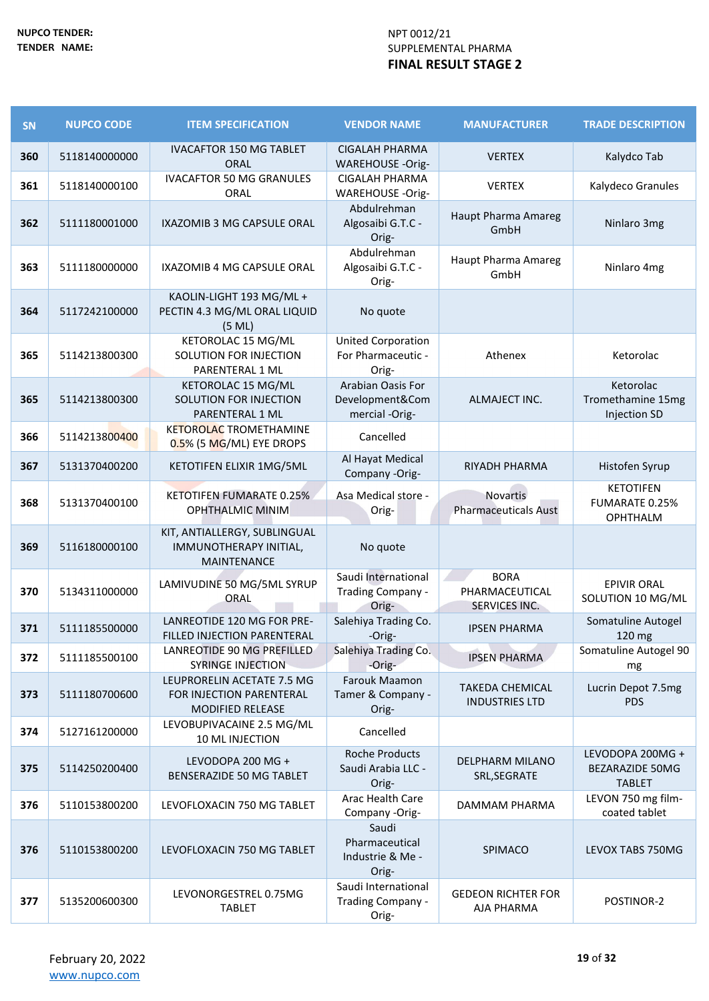| <b>SN</b> | <b>NUPCO CODE</b> | <b>ITEM SPECIFICATION</b>                                                         | <b>VENDOR NAME</b>                                       | <b>MANUFACTURER</b>                             | <b>TRADE DESCRIPTION</b>                                     |
|-----------|-------------------|-----------------------------------------------------------------------------------|----------------------------------------------------------|-------------------------------------------------|--------------------------------------------------------------|
| 360       | 5118140000000     | <b>IVACAFTOR 150 MG TABLET</b><br><b>ORAL</b>                                     | <b>CIGALAH PHARMA</b><br><b>WAREHOUSE -Orig-</b>         | <b>VERTEX</b>                                   | Kalydco Tab                                                  |
| 361       | 5118140000100     | <b>IVACAFTOR 50 MG GRANULES</b><br>ORAL                                           | CIGALAH PHARMA<br>WAREHOUSE -Orig-                       | <b>VERTEX</b>                                   | Kalydeco Granules                                            |
| 362       | 5111180001000     | IXAZOMIB 3 MG CAPSULE ORAL                                                        | Abdulrehman<br>Algosaibi G.T.C -<br>Orig-                | Haupt Pharma Amareg<br>GmbH                     | Ninlaro 3mg                                                  |
| 363       | 5111180000000     | IXAZOMIB 4 MG CAPSULE ORAL                                                        | Abdulrehman<br>Algosaibi G.T.C -<br>Orig-                | Haupt Pharma Amareg<br>GmbH                     | Ninlaro 4mg                                                  |
| 364       | 5117242100000     | KAOLIN-LIGHT 193 MG/ML +<br>PECTIN 4.3 MG/ML ORAL LIQUID<br>(5 ML)                | No quote                                                 |                                                 |                                                              |
| 365       | 5114213800300     | KETOROLAC 15 MG/ML<br>SOLUTION FOR INJECTION<br>PARENTERAL 1 ML                   | <b>United Corporation</b><br>For Pharmaceutic -<br>Orig- | Athenex                                         | Ketorolac                                                    |
| 365       | 5114213800300     | KETOROLAC 15 MG/ML<br>SOLUTION FOR INJECTION<br>PARENTERAL 1 ML                   | Arabian Oasis For<br>Development&Com<br>mercial -Orig-   | ALMAJECT INC.                                   | Ketorolac<br>Tromethamine 15mg<br><b>Injection SD</b>        |
| 366       | 5114213800400     | <b>KETOROLAC TROMETHAMINE</b><br>0.5% (5 MG/ML) EYE DROPS                         | Cancelled                                                |                                                 |                                                              |
| 367       | 5131370400200     | KETOTIFEN ELIXIR 1MG/5ML                                                          | Al Hayat Medical<br>Company -Orig-                       | RIYADH PHARMA                                   | Histofen Syrup                                               |
| 368       | 5131370400100     | <b>KETOTIFEN FUMARATE 0.25%</b><br><b>OPHTHALMIC MINIM</b>                        | Asa Medical store -<br>Orig-                             | Novartis<br><b>Pharmaceuticals Aust</b>         | <b>KETOTIFEN</b><br><b>FUMARATE 0.25%</b><br><b>OPHTHALM</b> |
| 369       | 5116180000100     | KIT, ANTIALLERGY, SUBLINGUAL<br>IMMUNOTHERAPY INITIAL,<br>MAINTENANCE             | No quote                                                 |                                                 |                                                              |
| 370       | 5134311000000     | LAMIVUDINE 50 MG/5ML SYRUP<br>ORAL                                                | Saudi International<br>Trading Company -<br>Orig-        | <b>BORA</b><br>PHARMACEUTICAL<br>SERVICES INC.  | <b>EPIVIR ORAL</b><br>SOLUTION 10 MG/ML                      |
| 371       | 5111185500000     | <b>LANREOTIDE 120 MG FOR PRE-</b><br>FILLED INJECTION PARENTERAL                  | Salehiya Trading Co.<br>-Orig-                           | <b>IPSEN PHARMA</b>                             | Somatuline Autogel<br>120 mg                                 |
| 372       | 5111185500100     | LANREOTIDE 90 MG PREFILLED<br><b>SYRINGE INJECTION</b>                            | Salehiya Trading Co.<br>-Orig-                           | <b>IPSEN PHARMA</b>                             | Somatuline Autogel 90<br>mg                                  |
| 373       | 5111180700600     | LEUPRORELIN ACETATE 7.5 MG<br>FOR INJECTION PARENTERAL<br><b>MODIFIED RELEASE</b> | Farouk Maamon<br>Tamer & Company -<br>Orig-              | <b>TAKEDA CHEMICAL</b><br><b>INDUSTRIES LTD</b> | Lucrin Depot 7.5mg<br><b>PDS</b>                             |
| 374       | 5127161200000     | LEVOBUPIVACAINE 2.5 MG/ML<br>10 ML INJECTION                                      | Cancelled                                                |                                                 |                                                              |
| 375       | 5114250200400     | LEVODOPA 200 MG +<br>BENSERAZIDE 50 MG TABLET                                     | <b>Roche Products</b><br>Saudi Arabia LLC -<br>Orig-     | <b>DELPHARM MILANO</b><br>SRL, SEGRATE          | LEVODOPA 200MG +<br><b>BEZARAZIDE 50MG</b><br><b>TABLET</b>  |
| 376       | 5110153800200     | LEVOFLOXACIN 750 MG TABLET                                                        | Arac Health Care<br>Company -Orig-                       | DAMMAM PHARMA                                   | LEVON 750 mg film-<br>coated tablet                          |
| 376       | 5110153800200     | LEVOFLOXACIN 750 MG TABLET                                                        | Saudi<br>Pharmaceutical<br>Industrie & Me -<br>Orig-     | SPIMACO                                         | LEVOX TABS 750MG                                             |
| 377       | 5135200600300     | LEVONORGESTREL 0.75MG<br><b>TABLET</b>                                            | Saudi International<br>Trading Company -<br>Orig-        | <b>GEDEON RICHTER FOR</b><br>AJA PHARMA         | POSTINOR-2                                                   |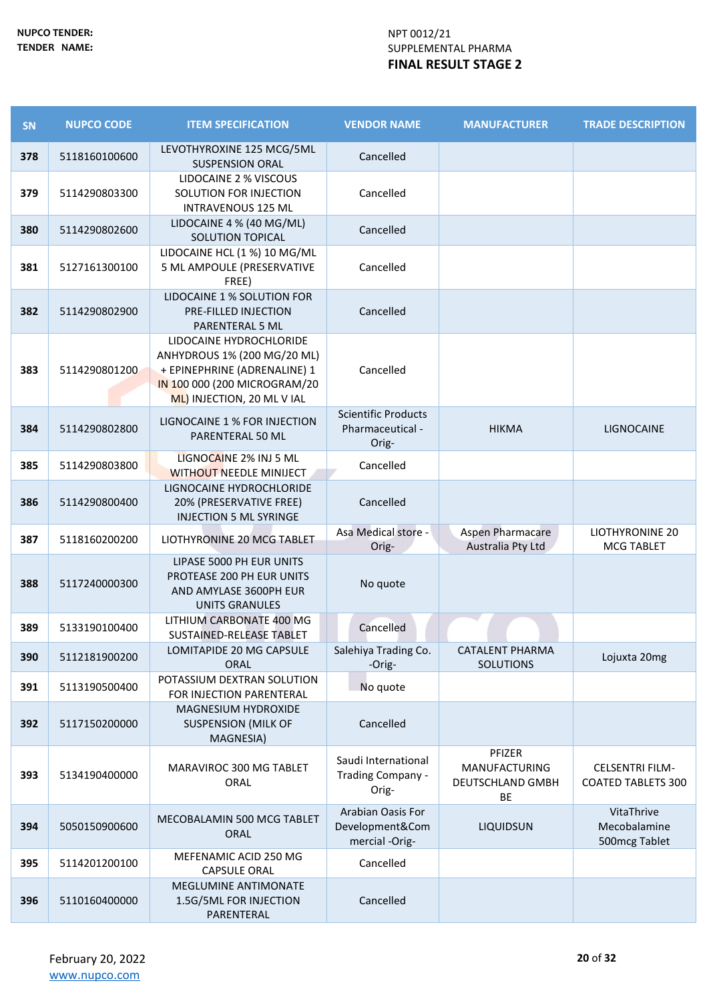| SN  | <b>NUPCO CODE</b> | <b>ITEM SPECIFICATION</b>                                                                                                                            | <b>VENDOR NAME</b>                                      | <b>MANUFACTURER</b>                                                    | <b>TRADE DESCRIPTION</b>                            |
|-----|-------------------|------------------------------------------------------------------------------------------------------------------------------------------------------|---------------------------------------------------------|------------------------------------------------------------------------|-----------------------------------------------------|
| 378 | 5118160100600     | LEVOTHYROXINE 125 MCG/5ML<br><b>SUSPENSION ORAL</b>                                                                                                  | Cancelled                                               |                                                                        |                                                     |
| 379 | 5114290803300     | LIDOCAINE 2 % VISCOUS<br>SOLUTION FOR INJECTION<br><b>INTRAVENOUS 125 ML</b>                                                                         | Cancelled                                               |                                                                        |                                                     |
| 380 | 5114290802600     | LIDOCAINE 4 % (40 MG/ML)<br>SOLUTION TOPICAL                                                                                                         | Cancelled                                               |                                                                        |                                                     |
| 381 | 5127161300100     | LIDOCAINE HCL (1 %) 10 MG/ML<br>5 ML AMPOULE (PRESERVATIVE<br>FREE)                                                                                  | Cancelled                                               |                                                                        |                                                     |
| 382 | 5114290802900     | LIDOCAINE 1 % SOLUTION FOR<br>PRE-FILLED INJECTION<br>PARENTERAL 5 ML                                                                                | Cancelled                                               |                                                                        |                                                     |
| 383 | 5114290801200     | LIDOCAINE HYDROCHLORIDE<br>ANHYDROUS 1% (200 MG/20 ML)<br>+ EPINEPHRINE (ADRENALINE) 1<br>IN 100 000 (200 MICROGRAM/20<br>ML) INJECTION, 20 ML V IAL | Cancelled                                               |                                                                        |                                                     |
| 384 | 5114290802800     | LIGNOCAINE 1 % FOR INJECTION<br>PARENTERAL 50 ML                                                                                                     | <b>Scientific Products</b><br>Pharmaceutical -<br>Orig- | <b>HIKMA</b>                                                           | LIGNOCAINE                                          |
| 385 | 5114290803800     | LIGNOCAINE 2% INJ 5 ML<br><b>WITHOUT NEEDLE MINIJECT</b>                                                                                             | Cancelled                                               |                                                                        |                                                     |
| 386 | 5114290800400     | LIGNOCAINE HYDROCHLORIDE<br>20% (PRESERVATIVE FREE)<br><b>INJECTION 5 ML SYRINGE</b>                                                                 | Cancelled                                               |                                                                        |                                                     |
| 387 | 5118160200200     | LIOTHYRONINE 20 MCG TABLET                                                                                                                           | Asa Medical store -<br>Orig-                            | Aspen Pharmacare<br>Australia Pty Ltd                                  | <b>LIOTHYRONINE 20</b><br><b>MCG TABLET</b>         |
| 388 | 5117240000300     | LIPASE 5000 PH EUR UNITS<br>PROTEASE 200 PH EUR UNITS<br>AND AMYLASE 3600PH EUR<br><b>UNITS GRANULES</b>                                             | No quote                                                |                                                                        |                                                     |
| 389 | 5133190100400     | LITHIUM CARBONATE 400 MG<br>SUSTAINED-RELEASE TABLET                                                                                                 | Cancelled                                               |                                                                        |                                                     |
| 390 | 5112181900200     | LOMITAPIDE 20 MG CAPSULE<br><b>ORAL</b>                                                                                                              | Salehiya Trading Co.<br>-Orig-                          | <b>CATALENT PHARMA</b><br><b>SOLUTIONS</b>                             | Lojuxta 20mg                                        |
| 391 | 5113190500400     | POTASSIUM DEXTRAN SOLUTION<br>FOR INJECTION PARENTERAL                                                                                               | No quote                                                |                                                                        |                                                     |
| 392 | 5117150200000     | MAGNESIUM HYDROXIDE<br><b>SUSPENSION (MILK OF</b><br>MAGNESIA)                                                                                       | Cancelled                                               |                                                                        |                                                     |
| 393 | 5134190400000     | MARAVIROC 300 MG TABLET<br>ORAL                                                                                                                      | Saudi International<br>Trading Company -<br>Orig-       | PFIZER<br><b>MANUFACTURING</b><br><b>DEUTSCHLAND GMBH</b><br><b>BE</b> | <b>CELSENTRI FILM-</b><br><b>COATED TABLETS 300</b> |
| 394 | 5050150900600     | MECOBALAMIN 500 MCG TABLET<br>ORAL                                                                                                                   | Arabian Oasis For<br>Development&Com<br>mercial -Orig-  | <b>LIQUIDSUN</b>                                                       | VitaThrive<br>Mecobalamine<br>500mcg Tablet         |
| 395 | 5114201200100     | MEFENAMIC ACID 250 MG<br><b>CAPSULE ORAL</b>                                                                                                         | Cancelled                                               |                                                                        |                                                     |
| 396 | 5110160400000     | MEGLUMINE ANTIMONATE<br>1.5G/5ML FOR INJECTION<br>PARENTERAL                                                                                         | Cancelled                                               |                                                                        |                                                     |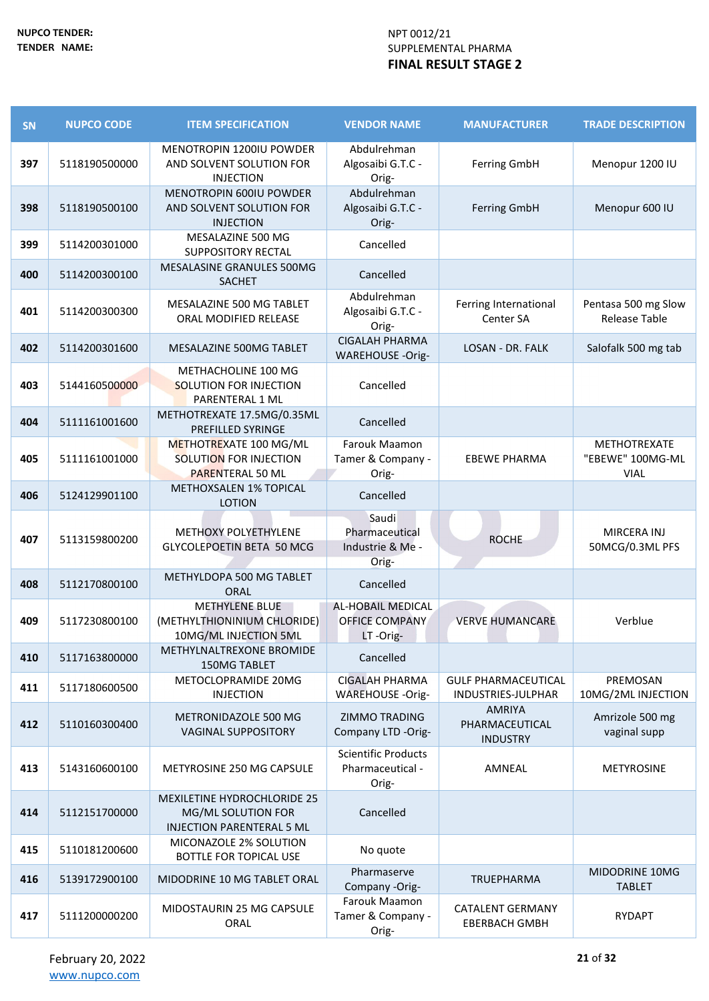| <b>SN</b> | <b>NUPCO CODE</b> | <b>ITEM SPECIFICATION</b>                                                                    | <b>VENDOR NAME</b>                                            | <b>MANUFACTURER</b>                                | <b>TRADE DESCRIPTION</b>                        |
|-----------|-------------------|----------------------------------------------------------------------------------------------|---------------------------------------------------------------|----------------------------------------------------|-------------------------------------------------|
| 397       | 5118190500000     | MENOTROPIN 1200IU POWDER<br>AND SOLVENT SOLUTION FOR<br><b>INJECTION</b>                     | Abdulrehman<br>Algosaibi G.T.C -<br>Orig-                     | <b>Ferring GmbH</b>                                | Menopur 1200 IU                                 |
| 398       | 5118190500100     | <b>MENOTROPIN 600IU POWDER</b><br>AND SOLVENT SOLUTION FOR<br><b>INJECTION</b>               | Abdulrehman<br>Algosaibi G.T.C -<br>Orig-                     | <b>Ferring GmbH</b>                                | Menopur 600 IU                                  |
| 399       | 5114200301000     | MESALAZINE 500 MG<br><b>SUPPOSITORY RECTAL</b>                                               | Cancelled                                                     |                                                    |                                                 |
| 400       | 5114200300100     | MESALASINE GRANULES 500MG<br><b>SACHET</b>                                                   | Cancelled                                                     |                                                    |                                                 |
| 401       | 5114200300300     | MESALAZINE 500 MG TABLET<br>ORAL MODIFIED RELEASE                                            | Abdulrehman<br>Algosaibi G.T.C -<br>Orig-                     | Ferring International<br>Center SA                 | Pentasa 500 mg Slow<br><b>Release Table</b>     |
| 402       | 5114200301600     | <b>MESALAZINE 500MG TABLET</b>                                                               | <b>CIGALAH PHARMA</b><br><b>WAREHOUSE -Orig-</b>              | <b>LOSAN - DR. FALK</b>                            | Salofalk 500 mg tab                             |
| 403       | 5144160500000     | METHACHOLINE 100 MG<br><b>SOLUTION FOR INJECTION</b><br>PARENTERAL 1 ML                      | Cancelled                                                     |                                                    |                                                 |
| 404       | 5111161001600     | METHOTREXATE 17.5MG/0.35ML<br>PREFILLED SYRINGE                                              | Cancelled                                                     |                                                    |                                                 |
| 405       | 5111161001000     | METHOTREXATE 100 MG/ML<br>SOLUTION FOR INJECTION<br><b>PARENTERAL 50 ML</b>                  | Farouk Maamon<br>Tamer & Company -<br>Orig-                   | <b>EBEWE PHARMA</b>                                | METHOTREXATE<br>"EBEWE" 100MG-ML<br><b>VIAL</b> |
| 406       | 5124129901100     | METHOXSALEN 1% TOPICAL<br><b>LOTION</b>                                                      | Cancelled                                                     |                                                    |                                                 |
| 407       | 5113159800200     | METHOXY POLYETHYLENE<br>GLYCOLEPOETIN BETA 50 MCG                                            | Saudi<br>Pharmaceutical<br>Industrie & Me -<br>Orig-          | <b>ROCHE</b>                                       | MIRCERA INJ<br>50MCG/0.3ML PFS                  |
| 408       | 5112170800100     | METHYLDOPA 500 MG TABLET<br>ORAL                                                             | Cancelled                                                     |                                                    |                                                 |
| 409       | 5117230800100     | <b>METHYLENE BLUE</b><br>(METHYLTHIONINIUM CHLORIDE)<br>10MG/ML INJECTION 5ML                | <b>AL-HOBAIL MEDICAL</b><br><b>OFFICE COMPANY</b><br>LT-Orig- | <b>VERVE HUMANCARE</b>                             | Verblue                                         |
| 410       | 5117163800000     | METHYLNALTREXONE BROMIDE<br>150MG TABLET                                                     | Cancelled                                                     |                                                    |                                                 |
| 411       | 5117180600500     | METOCLOPRAMIDE 20MG<br><b>INJECTION</b>                                                      | <b>CIGALAH PHARMA</b><br>WAREHOUSE -Orig-                     | <b>GULF PHARMACEUTICAL</b><br>INDUSTRIES-JULPHAR   | PREMOSAN<br>10MG/2ML INJECTION                  |
| 412       | 5110160300400     | METRONIDAZOLE 500 MG<br><b>VAGINAL SUPPOSITORY</b>                                           | <b>ZIMMO TRADING</b><br>Company LTD -Orig-                    | <b>AMRIYA</b><br>PHARMACEUTICAL<br><b>INDUSTRY</b> | Amrizole 500 mg<br>vaginal supp                 |
| 413       | 5143160600100     | METYROSINE 250 MG CAPSULE                                                                    | <b>Scientific Products</b><br>Pharmaceutical -<br>Orig-       | AMNEAL                                             | <b>METYROSINE</b>                               |
| 414       | 5112151700000     | <b>MEXILETINE HYDROCHLORIDE 25</b><br>MG/ML SOLUTION FOR<br><b>INJECTION PARENTERAL 5 ML</b> | Cancelled                                                     |                                                    |                                                 |
| 415       | 5110181200600     | MICONAZOLE 2% SOLUTION<br><b>BOTTLE FOR TOPICAL USE</b>                                      | No quote                                                      |                                                    |                                                 |
| 416       | 5139172900100     | MIDODRINE 10 MG TABLET ORAL                                                                  | Pharmaserve<br>Company -Orig-                                 | TRUEPHARMA                                         | MIDODRINE 10MG<br><b>TABLET</b>                 |
| 417       | 5111200000200     | MIDOSTAURIN 25 MG CAPSULE<br>ORAL                                                            | <b>Farouk Maamon</b><br>Tamer & Company -<br>Orig-            | <b>CATALENT GERMANY</b><br><b>EBERBACH GMBH</b>    | <b>RYDAPT</b>                                   |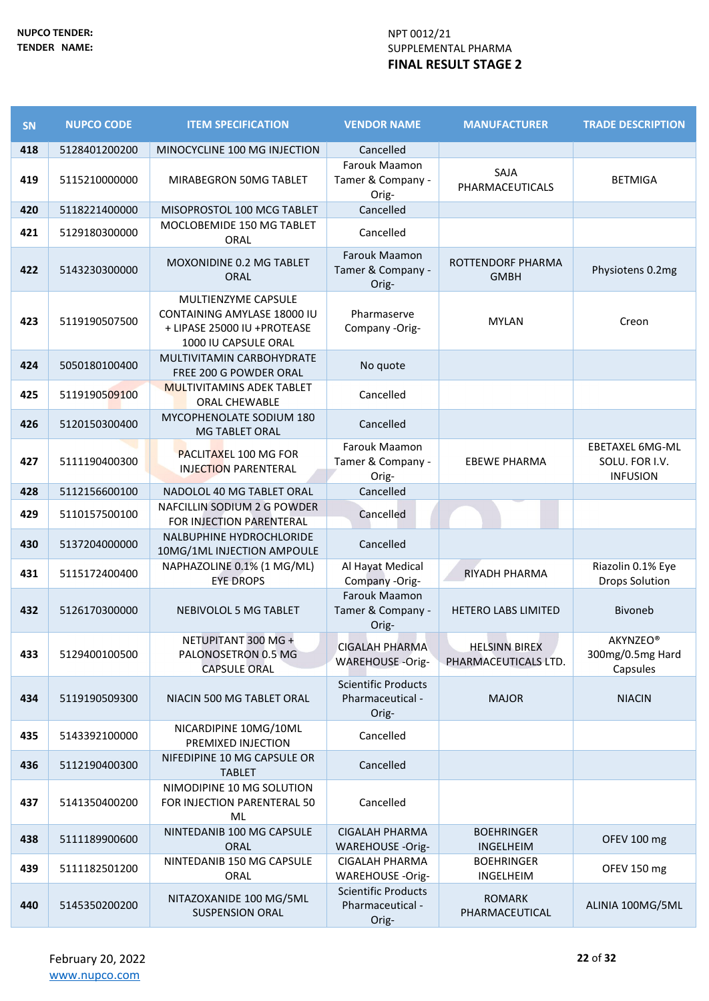| SN  | <b>NUPCO CODE</b> | <b>ITEM SPECIFICATION</b>                                                                                 | <b>VENDOR NAME</b>                                      | <b>MANUFACTURER</b>                          | <b>TRADE DESCRIPTION</b>                                    |
|-----|-------------------|-----------------------------------------------------------------------------------------------------------|---------------------------------------------------------|----------------------------------------------|-------------------------------------------------------------|
| 418 | 5128401200200     | MINOCYCLINE 100 MG INJECTION                                                                              | Cancelled                                               |                                              |                                                             |
| 419 | 5115210000000     | MIRABEGRON 50MG TABLET                                                                                    | Farouk Maamon<br>Tamer & Company -<br>Orig-             | SAJA<br>PHARMACEUTICALS                      | <b>BETMIGA</b>                                              |
| 420 | 5118221400000     | MISOPROSTOL 100 MCG TABLET                                                                                | Cancelled                                               |                                              |                                                             |
| 421 | 5129180300000     | MOCLOBEMIDE 150 MG TABLET<br>ORAL                                                                         | Cancelled                                               |                                              |                                                             |
| 422 | 5143230300000     | MOXONIDINE 0.2 MG TABLET<br><b>ORAL</b>                                                                   | Farouk Maamon<br>Tamer & Company -<br>Orig-             | ROTTENDORF PHARMA<br><b>GMBH</b>             | Physiotens 0.2mg                                            |
| 423 | 5119190507500     | MULTIENZYME CAPSULE<br>CONTAINING AMYLASE 18000 IU<br>+ LIPASE 25000 IU +PROTEASE<br>1000 IU CAPSULE ORAL | Pharmaserve<br>Company -Orig-                           | <b>MYLAN</b>                                 | Creon                                                       |
| 424 | 5050180100400     | MULTIVITAMIN CARBOHYDRATE<br>FREE 200 G POWDER ORAL                                                       | No quote                                                |                                              |                                                             |
| 425 | 5119190509100     | <b>MULTIVITAMINS ADEK TABLET</b><br>ORAL CHEWABLE                                                         | Cancelled                                               |                                              |                                                             |
| 426 | 5120150300400     | MYCOPHENOLATE SODIUM 180<br><b>MG TABLET ORAL</b>                                                         | Cancelled                                               |                                              |                                                             |
| 427 | 5111190400300     | <b>PACLITAXEL 100 MG FOR</b><br><b>INJECTION PARENTERAL</b>                                               | Farouk Maamon<br>Tamer & Company -<br>Orig-             | <b>EBEWE PHARMA</b>                          | <b>EBETAXEL 6MG-ML</b><br>SOLU. FOR I.V.<br><b>INFUSION</b> |
| 428 | 5112156600100     | NADOLOL 40 MG TABLET ORAL                                                                                 | Cancelled                                               |                                              |                                                             |
| 429 | 5110157500100     | NAFCILLIN SODIUM 2 G POWDER<br>FOR INJECTION PARENTERAL                                                   | Cancelled                                               |                                              |                                                             |
| 430 | 5137204000000     | NALBUPHINE HYDROCHLORIDE<br>10MG/1ML INJECTION AMPOULE                                                    | Cancelled                                               |                                              |                                                             |
| 431 | 5115172400400     | NAPHAZOLINE 0.1% (1 MG/ML)<br><b>EYE DROPS</b>                                                            | Al Hayat Medical<br>Company -Orig-                      | RIYADH PHARMA                                | Riazolin 0.1% Eye<br><b>Drops Solution</b>                  |
| 432 | 5126170300000     | NEBIVOLOL 5 MG TABLET                                                                                     | Farouk Maamon<br>Tamer & Company -<br>Orig-             | HETERO LABS LIMITED                          | <b>Bivoneb</b>                                              |
| 433 | 5129400100500     | NETUPITANT 300 MG +<br>PALONOSETRON 0.5 MG<br><b>CAPSULE ORAL</b>                                         | <b>CIGALAH PHARMA</b><br><b>WAREHOUSE -Orig-</b>        | <b>HELSINN BIREX</b><br>PHARMACEUTICALS LTD. | <b>AKYNZEO®</b><br>300mg/0.5mg Hard<br>Capsules             |
| 434 | 5119190509300     | NIACIN 500 MG TABLET ORAL                                                                                 | <b>Scientific Products</b><br>Pharmaceutical -<br>Orig- | <b>MAJOR</b>                                 | <b>NIACIN</b>                                               |
| 435 | 5143392100000     | NICARDIPINE 10MG/10ML<br>PREMIXED INJECTION                                                               | Cancelled                                               |                                              |                                                             |
| 436 | 5112190400300     | NIFEDIPINE 10 MG CAPSULE OR<br><b>TABLET</b>                                                              | Cancelled                                               |                                              |                                                             |
| 437 | 5141350400200     | NIMODIPINE 10 MG SOLUTION<br>FOR INJECTION PARENTERAL 50<br>ML                                            | Cancelled                                               |                                              |                                                             |
| 438 | 5111189900600     | NINTEDANIB 100 MG CAPSULE<br><b>ORAL</b>                                                                  | <b>CIGALAH PHARMA</b><br><b>WAREHOUSE -Orig-</b>        | <b>BOEHRINGER</b><br>INGELHEIM               | OFEV 100 mg                                                 |
| 439 | 5111182501200     | NINTEDANIB 150 MG CAPSULE<br>ORAL                                                                         | <b>CIGALAH PHARMA</b><br>WAREHOUSE -Orig-               | <b>BOEHRINGER</b><br>INGELHEIM               | OFEV 150 mg                                                 |
| 440 | 5145350200200     | NITAZOXANIDE 100 MG/5ML<br><b>SUSPENSION ORAL</b>                                                         | <b>Scientific Products</b><br>Pharmaceutical -<br>Orig- | <b>ROMARK</b><br>PHARMACEUTICAL              | ALINIA 100MG/5ML                                            |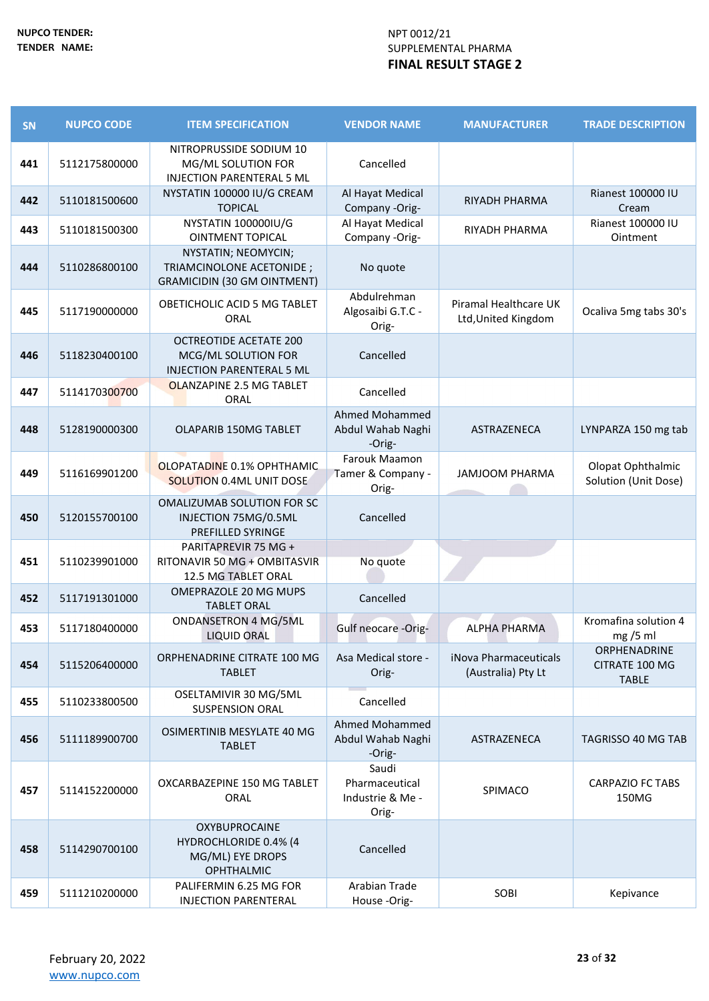| SN  | <b>NUPCO CODE</b> | <b>ITEM SPECIFICATION</b>                                                                | <b>VENDOR NAME</b>                                   | <b>MANUFACTURER</b>                          | <b>TRADE DESCRIPTION</b>                       |
|-----|-------------------|------------------------------------------------------------------------------------------|------------------------------------------------------|----------------------------------------------|------------------------------------------------|
| 441 | 5112175800000     | NITROPRUSSIDE SODIUM 10<br>MG/ML SOLUTION FOR<br><b>INJECTION PARENTERAL 5 ML</b>        | Cancelled                                            |                                              |                                                |
| 442 | 5110181500600     | NYSTATIN 100000 IU/G CREAM<br><b>TOPICAL</b>                                             | Al Hayat Medical<br>Company -Orig-                   | <b>RIYADH PHARMA</b>                         | Rianest 100000 IU<br>Cream                     |
| 443 | 5110181500300     | NYSTATIN 100000IU/G<br><b>OINTMENT TOPICAL</b>                                           | Al Hayat Medical<br>Company -Orig-                   | RIYADH PHARMA                                | Rianest 100000 IU<br>Ointment                  |
| 444 | 5110286800100     | NYSTATIN; NEOMYCIN;<br>TRIAMCINOLONE ACETONIDE ;<br><b>GRAMICIDIN (30 GM OINTMENT)</b>   | No quote                                             |                                              |                                                |
| 445 | 5117190000000     | OBETICHOLIC ACID 5 MG TABLET<br>ORAL                                                     | Abdulrehman<br>Algosaibi G.T.C -<br>Orig-            | Piramal Healthcare UK<br>Ltd, United Kingdom | Ocaliva 5mg tabs 30's                          |
| 446 | 5118230400100     | <b>OCTREOTIDE ACETATE 200</b><br>MCG/ML SOLUTION FOR<br><b>INJECTION PARENTERAL 5 ML</b> | Cancelled                                            |                                              |                                                |
| 447 | 5114170300700     | OLANZAPINE 2.5 MG TABLET<br>ORAL                                                         | Cancelled                                            |                                              |                                                |
| 448 | 5128190000300     | OLAPARIB 150MG TABLET                                                                    | Ahmed Mohammed<br>Abdul Wahab Naghi<br>-Orig-        | ASTRAZENECA                                  | LYNPARZA 150 mg tab                            |
| 449 | 5116169901200     | OLOPATADINE 0.1% OPHTHAMIC<br>SOLUTION 0.4ML UNIT DOSE                                   | Farouk Maamon<br>Tamer & Company -<br>Orig-          | <b>JAMJOOM PHARMA</b>                        | Olopat Ophthalmic<br>Solution (Unit Dose)      |
| 450 | 5120155700100     | OMALIZUMAB SOLUTION FOR SC<br>INJECTION 75MG/0.5ML<br>PREFILLED SYRINGE                  | Cancelled                                            |                                              |                                                |
| 451 | 5110239901000     | PARITAPREVIR 75 MG +<br>RITONAVIR 50 MG + OMBITASVIR<br>12.5 MG TABLET ORAL              | No quote                                             |                                              |                                                |
| 452 | 5117191301000     | OMEPRAZOLE 20 MG MUPS<br><b>TABLET ORAL</b>                                              | Cancelled                                            |                                              |                                                |
| 453 | 5117180400000     | <b>ONDANSETRON 4 MG/5ML</b><br><b>LIQUID ORAL</b>                                        | Gulf neocare -Orig-                                  | <b>ALPHA PHARMA</b>                          | Kromafina solution 4<br>mg /5 ml               |
| 454 | 5115206400000     | ORPHENADRINE CITRATE 100 MG<br><b>TABLET</b>                                             | Asa Medical store -<br>Orig-                         | iNova Pharmaceuticals<br>(Australia) Pty Lt  | ORPHENADRINE<br>CITRATE 100 MG<br><b>TABLE</b> |
| 455 | 5110233800500     | OSELTAMIVIR 30 MG/5ML<br><b>SUSPENSION ORAL</b>                                          | Cancelled                                            |                                              |                                                |
| 456 | 5111189900700     | OSIMERTINIB MESYLATE 40 MG<br><b>TABLET</b>                                              | Ahmed Mohammed<br>Abdul Wahab Naghi<br>-Orig-        | ASTRAZENECA                                  | TAGRISSO 40 MG TAB                             |
| 457 | 5114152200000     | OXCARBAZEPINE 150 MG TABLET<br>ORAL                                                      | Saudi<br>Pharmaceutical<br>Industrie & Me -<br>Orig- | SPIMACO                                      | <b>CARPAZIO FC TABS</b><br>150MG               |
| 458 | 5114290700100     | OXYBUPROCAINE<br>HYDROCHLORIDE 0.4% (4<br>MG/ML) EYE DROPS<br><b>OPHTHALMIC</b>          | Cancelled                                            |                                              |                                                |
| 459 | 5111210200000     | PALIFERMIN 6.25 MG FOR<br><b>INJECTION PARENTERAL</b>                                    | Arabian Trade<br>House -Orig-                        | SOBI                                         | Kepivance                                      |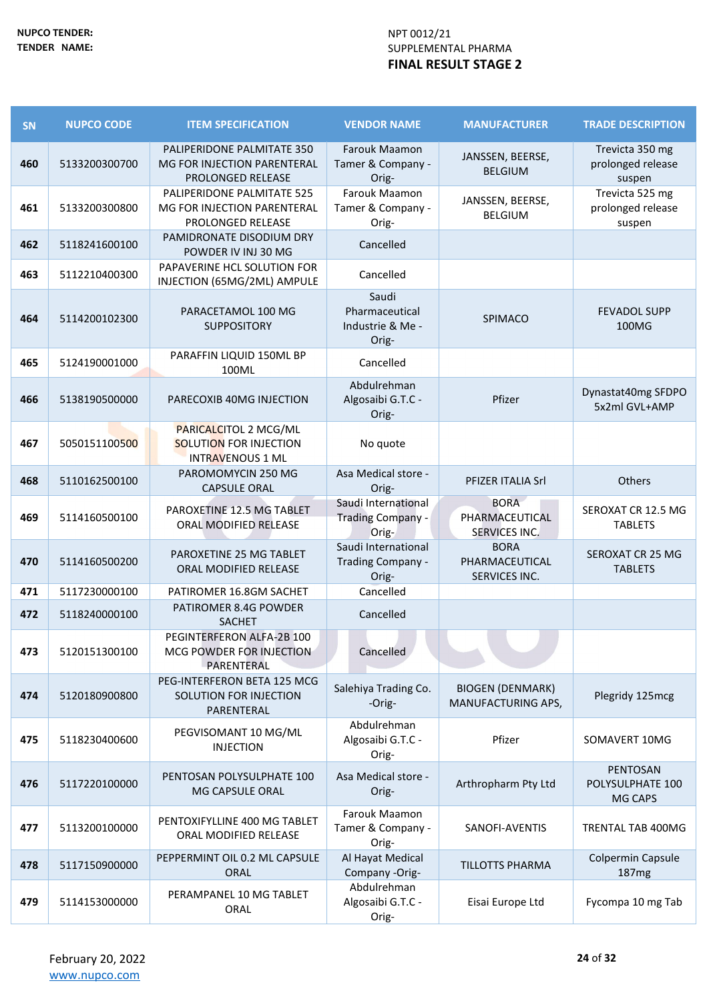| SN  | <b>NUPCO CODE</b> | <b>ITEM SPECIFICATION</b>                                                             | <b>VENDOR NAME</b>                                       | <b>MANUFACTURER</b>                            | <b>TRADE DESCRIPTION</b>                       |
|-----|-------------------|---------------------------------------------------------------------------------------|----------------------------------------------------------|------------------------------------------------|------------------------------------------------|
| 460 | 5133200300700     | PALIPERIDONE PALMITATE 350<br>MG FOR INJECTION PARENTERAL<br><b>PROLONGED RELEASE</b> | <b>Farouk Maamon</b><br>Tamer & Company -<br>Orig-       | JANSSEN, BEERSE,<br><b>BELGIUM</b>             | Trevicta 350 mg<br>prolonged release<br>suspen |
| 461 | 5133200300800     | PALIPERIDONE PALMITATE 525<br>MG FOR INJECTION PARENTERAL<br>PROLONGED RELEASE        | Farouk Maamon<br>Tamer & Company -<br>Orig-              | JANSSEN, BEERSE,<br><b>BELGIUM</b>             | Trevicta 525 mg<br>prolonged release<br>suspen |
| 462 | 5118241600100     | PAMIDRONATE DISODIUM DRY<br>POWDER IV INJ 30 MG                                       | Cancelled                                                |                                                |                                                |
| 463 | 5112210400300     | PAPAVERINE HCL SOLUTION FOR<br>INJECTION (65MG/2ML) AMPULE                            | Cancelled                                                |                                                |                                                |
| 464 | 5114200102300     | PARACETAMOL 100 MG<br><b>SUPPOSITORY</b>                                              | Saudi<br>Pharmaceutical<br>Industrie & Me -<br>Orig-     | SPIMACO                                        | <b>FEVADOL SUPP</b><br>100MG                   |
| 465 | 5124190001000     | PARAFFIN LIQUID 150ML BP<br>100ML                                                     | Cancelled                                                |                                                |                                                |
| 466 | 5138190500000     | PARECOXIB 40MG INJECTION                                                              | Abdulrehman<br>Algosaibi G.T.C -<br>Orig-                | Pfizer                                         | Dynastat40mg SFDPO<br>5x2ml GVL+AMP            |
| 467 | 5050151100500     | PARICALCITOL 2 MCG/ML<br><b>SOLUTION FOR INJECTION</b><br><b>INTRAVENOUS 1 ML</b>     | No quote                                                 |                                                |                                                |
| 468 | 5110162500100     | PAROMOMYCIN 250 MG<br><b>CAPSULE ORAL</b>                                             | Asa Medical store -<br>Orig-                             | <b>PFIZER ITALIA Srl</b>                       | Others                                         |
| 469 | 5114160500100     | PAROXETINE 12.5 MG TABLET<br>ORAL MODIFIED RELEASE                                    | Saudi International<br><b>Trading Company -</b><br>Orig- | <b>BORA</b><br>PHARMACEUTICAL<br>SERVICES INC. | SEROXAT CR 12.5 MG<br><b>TABLETS</b>           |
| 470 | 5114160500200     | PAROXETINE 25 MG TABLET<br>ORAL MODIFIED RELEASE                                      | Saudi International<br>Trading Company -<br>Orig-        | <b>BORA</b><br>PHARMACEUTICAL<br>SERVICES INC. | SEROXAT CR 25 MG<br><b>TABLETS</b>             |
| 471 | 5117230000100     | PATIROMER 16.8GM SACHET                                                               | Cancelled                                                |                                                |                                                |
| 472 | 5118240000100     | PATIROMER 8.4G POWDER<br>SACHET                                                       | Cancelled                                                |                                                |                                                |
| 473 | 5120151300100     | PEGINTERFERON ALFA-2B 100<br>MCG POWDER FOR INJECTION<br>PARENTERAL                   | Cancelled                                                |                                                |                                                |
| 474 | 5120180900800     | PEG-INTERFERON BETA 125 MCG<br>SOLUTION FOR INJECTION<br>PARENTERAL                   | Salehiya Trading Co.<br>-Orig-                           | <b>BIOGEN (DENMARK)</b><br>MANUFACTURING APS,  | Plegridy 125mcg                                |
| 475 | 5118230400600     | PEGVISOMANT 10 MG/ML<br><b>INJECTION</b>                                              | Abdulrehman<br>Algosaibi G.T.C -<br>Orig-                | Pfizer                                         | SOMAVERT 10MG                                  |
| 476 | 5117220100000     | PENTOSAN POLYSULPHATE 100<br>MG CAPSULE ORAL                                          | Asa Medical store -<br>Orig-                             | Arthropharm Pty Ltd                            | PENTOSAN<br>POLYSULPHATE 100<br>MG CAPS        |
| 477 | 5113200100000     | PENTOXIFYLLINE 400 MG TABLET<br>ORAL MODIFIED RELEASE                                 | Farouk Maamon<br>Tamer & Company -<br>Orig-              | SANOFI-AVENTIS                                 | TRENTAL TAB 400MG                              |
| 478 | 5117150900000     | PEPPERMINT OIL 0.2 ML CAPSULE<br>ORAL                                                 | Al Hayat Medical<br>Company -Orig-                       | <b>TILLOTTS PHARMA</b>                         | Colpermin Capsule<br>187mg                     |
| 479 | 5114153000000     | PERAMPANEL 10 MG TABLET<br>ORAL                                                       | Abdulrehman<br>Algosaibi G.T.C -<br>Orig-                | Eisai Europe Ltd                               | Fycompa 10 mg Tab                              |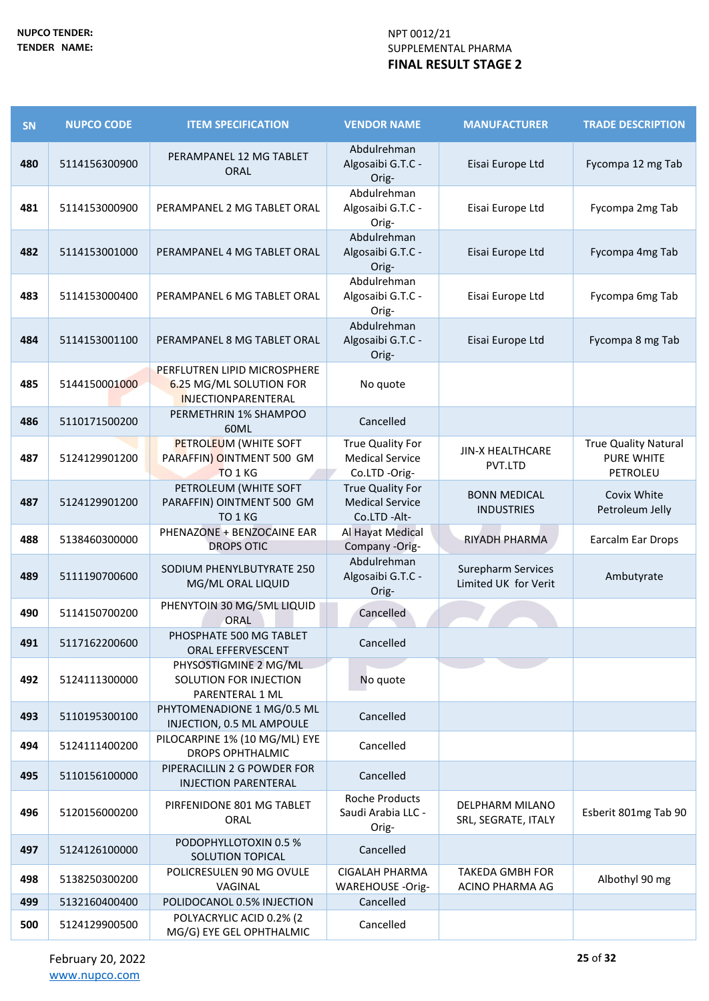| SN  | <b>NUPCO CODE</b> | <b>ITEM SPECIFICATION</b>                                                             | <b>VENDOR NAME</b>                                               | <b>MANUFACTURER</b>                               | <b>TRADE DESCRIPTION</b>                                     |
|-----|-------------------|---------------------------------------------------------------------------------------|------------------------------------------------------------------|---------------------------------------------------|--------------------------------------------------------------|
| 480 | 5114156300900     | PERAMPANEL 12 MG TABLET<br><b>ORAL</b>                                                | Abdulrehman<br>Algosaibi G.T.C -<br>Orig-                        | Eisai Europe Ltd                                  | Fycompa 12 mg Tab                                            |
| 481 | 5114153000900     | PERAMPANEL 2 MG TABLET ORAL                                                           | Abdulrehman<br>Algosaibi G.T.C -<br>Orig-                        | Eisai Europe Ltd                                  | Fycompa 2mg Tab                                              |
| 482 | 5114153001000     | PERAMPANEL 4 MG TABLET ORAL                                                           | Abdulrehman<br>Algosaibi G.T.C -<br>Orig-                        | Eisai Europe Ltd                                  | Fycompa 4mg Tab                                              |
| 483 | 5114153000400     | PERAMPANEL 6 MG TABLET ORAL                                                           | Abdulrehman<br>Algosaibi G.T.C -<br>Orig-                        | Eisai Europe Ltd                                  | Fycompa 6mg Tab                                              |
| 484 | 5114153001100     | PERAMPANEL 8 MG TABLET ORAL                                                           | Abdulrehman<br>Algosaibi G.T.C -<br>Orig-                        | Eisai Europe Ltd                                  | Fycompa 8 mg Tab                                             |
| 485 | 5144150001000     | PERFLUTREN LIPID MICROSPHERE<br>6.25 MG/ML SOLUTION FOR<br><b>INJECTIONPARENTERAL</b> | No quote                                                         |                                                   |                                                              |
| 486 | 5110171500200     | PERMETHRIN 1% SHAMPOO<br>60ML                                                         | Cancelled                                                        |                                                   |                                                              |
| 487 | 5124129901200     | <b>PETROLEUM (WHITE SOFT</b><br>PARAFFIN) OINTMENT 500 GM<br>TO 1 KG                  | True Quality For<br><b>Medical Service</b><br>Co.LTD -Orig-      | <b>JIN-X HEALTHCARE</b><br>PVT.LTD                | <b>True Quality Natural</b><br><b>PURE WHITE</b><br>PETROLEU |
| 487 | 5124129901200     | PETROLEUM (WHITE SOFT<br>PARAFFIN) OINTMENT 500 GM<br>TO 1 KG                         | <b>True Quality For</b><br><b>Medical Service</b><br>Co.LTD-Alt- | <b>BONN MEDICAL</b><br><b>INDUSTRIES</b>          | Covix White<br>Petroleum Jelly                               |
| 488 | 5138460300000     | PHENAZONE + BENZOCAINE EAR<br><b>DROPS OTIC</b>                                       | Al Hayat Medical<br>Company -Orig-                               | RIYADH PHARMA                                     | Earcalm Ear Drops                                            |
| 489 | 5111190700600     | SODIUM PHENYLBUTYRATE 250<br>MG/ML ORAL LIQUID                                        | Abdulrehman<br>Algosaibi G.T.C -<br>Orig-                        | <b>Surepharm Services</b><br>Limited UK for Verit | Ambutyrate                                                   |
| 490 | 5114150700200     | PHENYTOIN 30 MG/5ML LIQUID<br>ORAL                                                    | Cancelled                                                        |                                                   |                                                              |
| 491 | 5117162200600     | PHOSPHATE 500 MG TABLET<br>ORAL EFFERVESCENT                                          | Cancelled                                                        |                                                   |                                                              |
| 492 | 5124111300000     | PHYSOSTIGMINE 2 MG/ML<br>SOLUTION FOR INJECTION<br>PARENTERAL 1 ML                    | No quote                                                         |                                                   |                                                              |
| 493 | 5110195300100     | PHYTOMENADIONE 1 MG/0.5 ML<br>INJECTION, 0.5 ML AMPOULE                               | Cancelled                                                        |                                                   |                                                              |
| 494 | 5124111400200     | PILOCARPINE 1% (10 MG/ML) EYE<br><b>DROPS OPHTHALMIC</b>                              | Cancelled                                                        |                                                   |                                                              |
| 495 | 5110156100000     | PIPERACILLIN 2 G POWDER FOR<br><b>INJECTION PARENTERAL</b>                            | Cancelled                                                        |                                                   |                                                              |
| 496 | 5120156000200     | PIRFENIDONE 801 MG TABLET<br>ORAL                                                     | <b>Roche Products</b><br>Saudi Arabia LLC -<br>Orig-             | DELPHARM MILANO<br>SRL, SEGRATE, ITALY            | Esberit 801mg Tab 90                                         |
| 497 | 5124126100000     | PODOPHYLLOTOXIN 0.5 %<br>SOLUTION TOPICAL                                             | Cancelled                                                        |                                                   |                                                              |
| 498 | 5138250300200     | POLICRESULEN 90 MG OVULE<br>VAGINAL                                                   | <b>CIGALAH PHARMA</b><br><b>WAREHOUSE -Orig-</b>                 | <b>TAKEDA GMBH FOR</b><br>ACINO PHARMA AG         | Albothyl 90 mg                                               |
| 499 | 5132160400400     | POLIDOCANOL 0.5% INJECTION                                                            | Cancelled                                                        |                                                   |                                                              |
| 500 | 5124129900500     | POLYACRYLIC ACID 0.2% (2<br>MG/G) EYE GEL OPHTHALMIC                                  | Cancelled                                                        |                                                   |                                                              |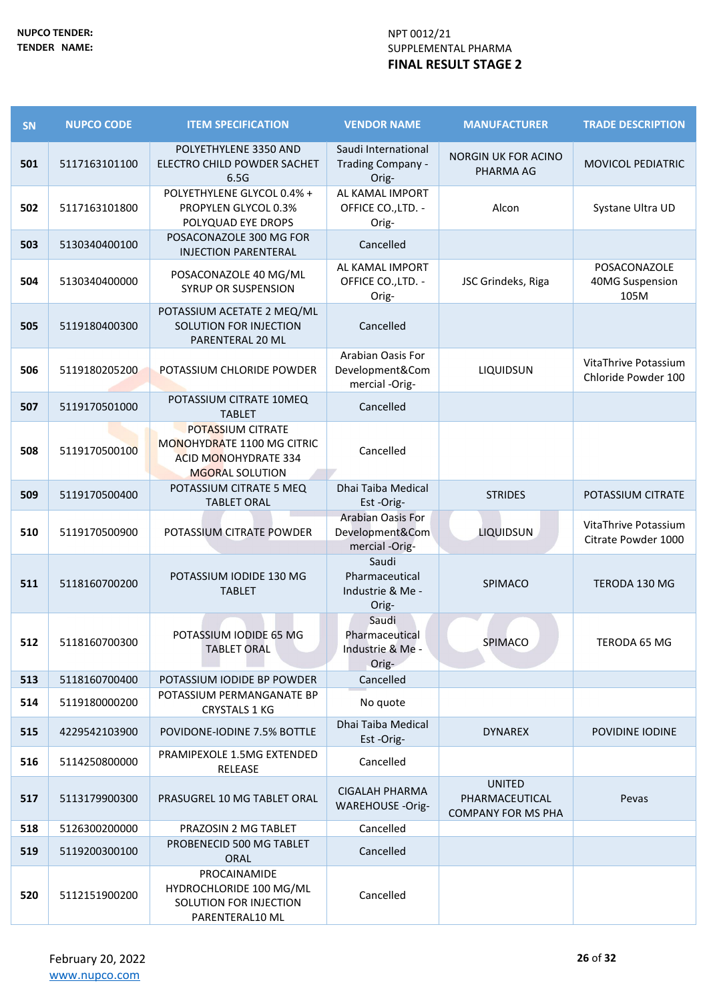| SN  | <b>NUPCO CODE</b> | <b>ITEM SPECIFICATION</b>                                                                                | <b>VENDOR NAME</b>                                     | <b>MANUFACTURER</b>                                          | <b>TRADE DESCRIPTION</b>                    |
|-----|-------------------|----------------------------------------------------------------------------------------------------------|--------------------------------------------------------|--------------------------------------------------------------|---------------------------------------------|
| 501 | 5117163101100     | POLYETHYLENE 3350 AND<br>ELECTRO CHILD POWDER SACHET<br>6.5G                                             | Saudi International<br>Trading Company -<br>Orig-      | <b>NORGIN UK FOR ACINO</b><br>PHARMA AG                      | <b>MOVICOL PEDIATRIC</b>                    |
| 502 | 5117163101800     | POLYETHYLENE GLYCOL 0.4% +<br>PROPYLEN GLYCOL 0.3%<br>POLYQUAD EYE DROPS                                 | AL KAMAL IMPORT<br>OFFICE CO., LTD. -<br>Orig-         | Alcon                                                        | Systane Ultra UD                            |
| 503 | 5130340400100     | POSACONAZOLE 300 MG FOR<br><b>INJECTION PARENTERAL</b>                                                   | Cancelled                                              |                                                              |                                             |
| 504 | 5130340400000     | POSACONAZOLE 40 MG/ML<br><b>SYRUP OR SUSPENSION</b>                                                      | AL KAMAL IMPORT<br>OFFICE CO., LTD. -<br>Orig-         | JSC Grindeks, Riga                                           | POSACONAZOLE<br>40MG Suspension<br>105M     |
| 505 | 5119180400300     | POTASSIUM ACETATE 2 MEQ/ML<br>SOLUTION FOR INJECTION<br>PARENTERAL 20 ML                                 | Cancelled                                              |                                                              |                                             |
| 506 | 5119180205200     | POTASSIUM CHLORIDE POWDER                                                                                | Arabian Oasis For<br>Development&Com<br>mercial -Orig- | LIQUIDSUN                                                    | VitaThrive Potassium<br>Chloride Powder 100 |
| 507 | 5119170501000     | POTASSIUM CITRATE 10MEQ<br><b>TABLET</b>                                                                 | Cancelled                                              |                                                              |                                             |
| 508 | 5119170500100     | POTASSIUM CITRATE<br>MONOHYDRATE 1100 MG CITRIC<br><b>ACID MONOHYDRATE 334</b><br><b>MGORAL SOLUTION</b> | Cancelled                                              |                                                              |                                             |
| 509 | 5119170500400     | POTASSIUM CITRATE 5 MEQ<br><b>TABLET ORAL</b>                                                            | Dhai Taiba Medical<br>Est-Orig-                        | <b>STRIDES</b>                                               | POTASSIUM CITRATE                           |
| 510 | 5119170500900     | POTASSIUM CITRATE POWDER                                                                                 | Arabian Oasis For<br>Development&Com<br>mercial -Orig- | <b>LIQUIDSUN</b>                                             | VitaThrive Potassium<br>Citrate Powder 1000 |
| 511 | 5118160700200     | POTASSIUM IODIDE 130 MG<br><b>TABLET</b>                                                                 | Saudi<br>Pharmaceutical<br>Industrie & Me -<br>Orig-   | SPIMACO                                                      | TERODA 130 MG                               |
| 512 | 5118160700300     | POTASSIUM IODIDE 65 MG<br><b>TABLET ORAL</b>                                                             | Saudi<br>Pharmaceutical<br>Industrie & Me -<br>Orig-   | SPIMACO                                                      | TERODA 65 MG                                |
| 513 | 5118160700400     | POTASSIUM IODIDE BP POWDER                                                                               | Cancelled                                              |                                                              |                                             |
| 514 | 5119180000200     | POTASSIUM PERMANGANATE BP<br><b>CRYSTALS 1 KG</b>                                                        | No quote                                               |                                                              |                                             |
| 515 | 4229542103900     | POVIDONE-IODINE 7.5% BOTTLE                                                                              | Dhai Taiba Medical<br>Est-Orig-                        | <b>DYNAREX</b>                                               | POVIDINE IODINE                             |
| 516 | 5114250800000     | PRAMIPEXOLE 1.5MG EXTENDED<br>RELEASE                                                                    | Cancelled                                              |                                                              |                                             |
| 517 | 5113179900300     | PRASUGREL 10 MG TABLET ORAL                                                                              | <b>CIGALAH PHARMA</b><br><b>WAREHOUSE -Orig-</b>       | <b>UNITED</b><br>PHARMACEUTICAL<br><b>COMPANY FOR MS PHA</b> | Pevas                                       |
| 518 | 5126300200000     | PRAZOSIN 2 MG TABLET                                                                                     | Cancelled                                              |                                                              |                                             |
| 519 | 5119200300100     | PROBENECID 500 MG TABLET<br>ORAL                                                                         | Cancelled                                              |                                                              |                                             |
| 520 | 5112151900200     | PROCAINAMIDE<br>HYDROCHLORIDE 100 MG/ML<br>SOLUTION FOR INJECTION<br>PARENTERAL10 ML                     | Cancelled                                              |                                                              |                                             |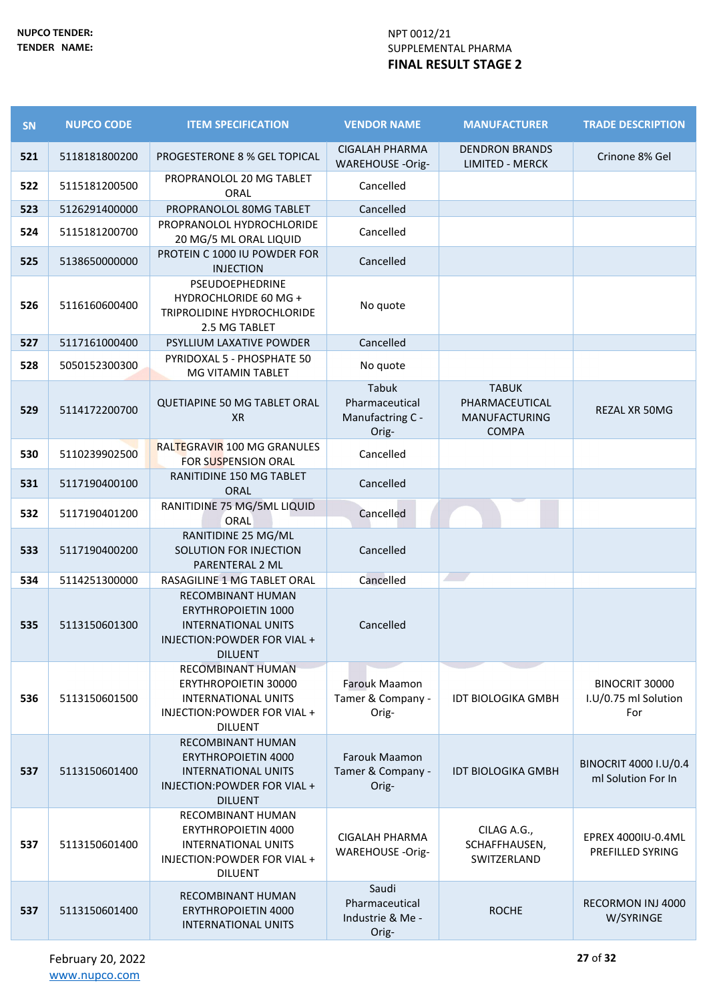| <b>SN</b> | <b>NUPCO CODE</b> | <b>ITEM SPECIFICATION</b>                                                                                                              | <b>VENDOR NAME</b>                                   | <b>MANUFACTURER</b>                                                    | <b>TRADE DESCRIPTION</b>                      |
|-----------|-------------------|----------------------------------------------------------------------------------------------------------------------------------------|------------------------------------------------------|------------------------------------------------------------------------|-----------------------------------------------|
| 521       | 5118181800200     | PROGESTERONE 8 % GEL TOPICAL                                                                                                           | <b>CIGALAH PHARMA</b><br><b>WAREHOUSE -Orig-</b>     | <b>DENDRON BRANDS</b><br><b>LIMITED - MERCK</b>                        | Crinone 8% Gel                                |
| 522       | 5115181200500     | PROPRANOLOL 20 MG TABLET<br>ORAL                                                                                                       | Cancelled                                            |                                                                        |                                               |
| 523       | 5126291400000     | PROPRANOLOL 80MG TABLET                                                                                                                | Cancelled                                            |                                                                        |                                               |
| 524       | 5115181200700     | PROPRANOLOL HYDROCHLORIDE<br>20 MG/5 ML ORAL LIQUID                                                                                    | Cancelled                                            |                                                                        |                                               |
| 525       | 5138650000000     | PROTEIN C 1000 IU POWDER FOR<br><b>INJECTION</b>                                                                                       | Cancelled                                            |                                                                        |                                               |
| 526       | 5116160600400     | PSEUDOEPHEDRINE<br>HYDROCHLORIDE 60 MG +<br>TRIPROLIDINE HYDROCHLORIDE<br>2.5 MG TABLET                                                | No quote                                             |                                                                        |                                               |
| 527       | 5117161000400     | PSYLLIUM LAXATIVE POWDER                                                                                                               | Cancelled                                            |                                                                        |                                               |
| 528       | 5050152300300     | PYRIDOXAL 5 - PHOSPHATE 50<br>MG VITAMIN TABLET                                                                                        | No quote                                             |                                                                        |                                               |
| 529       | 5114172200700     | QUETIAPINE 50 MG TABLET ORAL<br><b>XR</b>                                                                                              | Tabuk<br>Pharmaceutical<br>Manufactring C -<br>Orig- | <b>TABUK</b><br>PHARMACEUTICAL<br><b>MANUFACTURING</b><br><b>COMPA</b> | REZAL XR 50MG                                 |
| 530       | 5110239902500     | RALTEGRAVIR 100 MG GRANULES<br>FOR SUSPENSION ORAL                                                                                     | Cancelled                                            |                                                                        |                                               |
| 531       | 5117190400100     | <b>RANITIDINE 150 MG TABLET</b><br><b>ORAL</b>                                                                                         | Cancelled                                            |                                                                        |                                               |
| 532       | 5117190401200     | RANITIDINE 75 MG/5ML LIQUID<br>ORAL                                                                                                    | Cancelled                                            |                                                                        |                                               |
| 533       | 5117190400200     | RANITIDINE 25 MG/ML<br>SOLUTION FOR INJECTION<br>PARENTERAL 2 ML                                                                       | Cancelled                                            |                                                                        |                                               |
| 534       | 5114251300000     | RASAGILINE 1 MG TABLET ORAL                                                                                                            | Cancelled                                            | $\overline{\phantom{a}}$                                               |                                               |
| 535       | 5113150601300     | <b>RECOMBINANT HUMAN</b><br><b>ERYTHROPOIETIN 1000</b><br><b>INTERNATIONAL UNITS</b><br>INJECTION: POWDER FOR VIAL +<br><b>DILUENT</b> | Cancelled                                            |                                                                        |                                               |
| 536       | 5113150601500     | RECOMBINANT HUMAN<br><b>ERYTHROPOIETIN 30000</b><br><b>INTERNATIONAL UNITS</b><br>INJECTION: POWDER FOR VIAL +<br><b>DILUENT</b>       | <b>Farouk Maamon</b><br>Tamer & Company -<br>Orig-   | <b>IDT BIOLOGIKA GMBH</b>                                              | BINOCRIT 30000<br>I.U/0.75 ml Solution<br>For |
| 537       | 5113150601400     | <b>RECOMBINANT HUMAN</b><br><b>ERYTHROPOIETIN 4000</b><br><b>INTERNATIONAL UNITS</b><br>INJECTION: POWDER FOR VIAL +<br><b>DILUENT</b> | Farouk Maamon<br>Tamer & Company -<br>Orig-          | <b>IDT BIOLOGIKA GMBH</b>                                              | BINOCRIT 4000 I.U/0.4<br>ml Solution For In   |
| 537       | 5113150601400     | RECOMBINANT HUMAN<br><b>ERYTHROPOIETIN 4000</b><br><b>INTERNATIONAL UNITS</b><br>INJECTION: POWDER FOR VIAL +<br><b>DILUENT</b>        | <b>CIGALAH PHARMA</b><br><b>WAREHOUSE -Orig-</b>     | CILAG A.G.,<br>SCHAFFHAUSEN,<br>SWITZERLAND                            | EPREX 4000IU-0.4ML<br>PREFILLED SYRING        |
| 537       | 5113150601400     | RECOMBINANT HUMAN<br><b>ERYTHROPOIETIN 4000</b><br><b>INTERNATIONAL UNITS</b>                                                          | Saudi<br>Pharmaceutical<br>Industrie & Me -<br>Orig- | <b>ROCHE</b>                                                           | <b>RECORMON INJ 4000</b><br>W/SYRINGE         |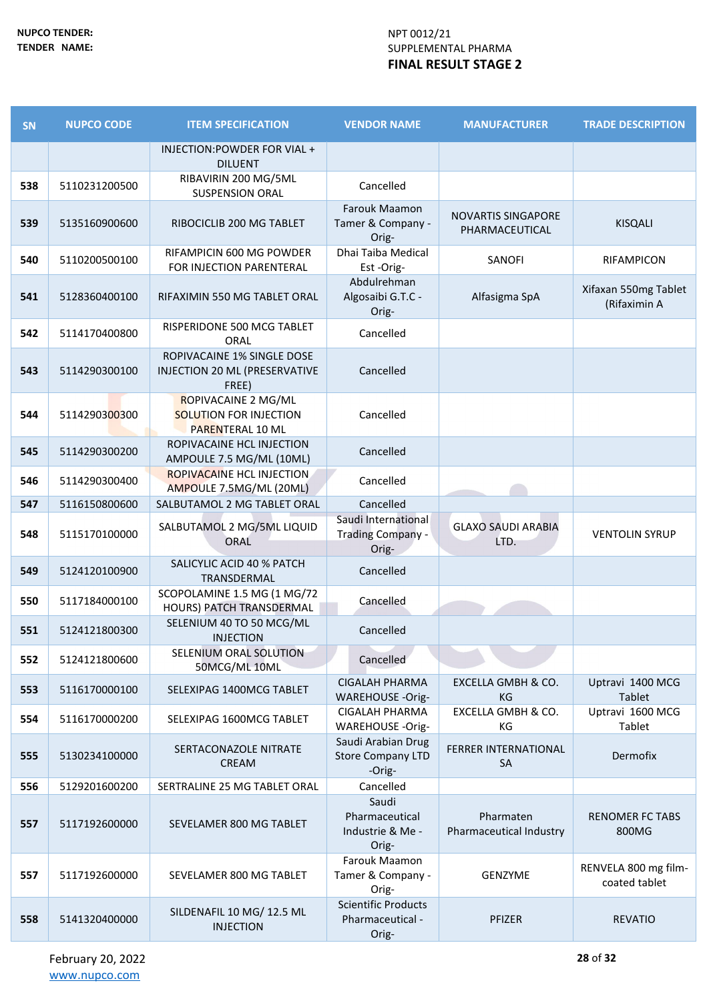| <b>SN</b> | <b>NUPCO CODE</b> | <b>ITEM SPECIFICATION</b>                                                | <b>VENDOR NAME</b>                                       | <b>MANUFACTURER</b>                         | <b>TRADE DESCRIPTION</b>              |
|-----------|-------------------|--------------------------------------------------------------------------|----------------------------------------------------------|---------------------------------------------|---------------------------------------|
|           |                   | INJECTION: POWDER FOR VIAL +<br><b>DILUENT</b>                           |                                                          |                                             |                                       |
| 538       | 5110231200500     | RIBAVIRIN 200 MG/5ML<br><b>SUSPENSION ORAL</b>                           | Cancelled                                                |                                             |                                       |
| 539       | 5135160900600     | RIBOCICLIB 200 MG TABLET                                                 | Farouk Maamon<br>Tamer & Company -<br>Orig-              | <b>NOVARTIS SINGAPORE</b><br>PHARMACEUTICAL | <b>KISQALI</b>                        |
| 540       | 5110200500100     | RIFAMPICIN 600 MG POWDER<br>FOR INJECTION PARENTERAL                     | Dhai Taiba Medical<br>Est-Orig-                          | SANOFI                                      | RIFAMPICON                            |
| 541       | 5128360400100     | RIFAXIMIN 550 MG TABLET ORAL                                             | Abdulrehman<br>Algosaibi G.T.C -<br>Orig-                | Alfasigma SpA                               | Xifaxan 550mg Tablet<br>(Rifaximin A  |
| 542       | 5114170400800     | RISPERIDONE 500 MCG TABLET<br>ORAL                                       | Cancelled                                                |                                             |                                       |
| 543       | 5114290300100     | ROPIVACAINE 1% SINGLE DOSE<br>INJECTION 20 ML (PRESERVATIVE<br>FREE)     | Cancelled                                                |                                             |                                       |
| 544       | 5114290300300     | ROPIVACAINE 2 MG/ML<br><b>SOLUTION FOR INJECTION</b><br>PARENTERAL 10 ML | Cancelled                                                |                                             |                                       |
| 545       | 5114290300200     | ROPIVACAINE HCL INJECTION<br>AMPOULE 7.5 MG/ML (10ML)                    | Cancelled                                                |                                             |                                       |
| 546       | 5114290300400     | <b>ROPIVACAINE HCL INJECTION</b><br>AMPOULE 7.5MG/ML (20ML)              | Cancelled                                                |                                             |                                       |
| 547       | 5116150800600     | SALBUTAMOL 2 MG TABLET ORAL                                              | Cancelled                                                |                                             |                                       |
| 548       | 5115170100000     | SALBUTAMOL 2 MG/5ML LIQUID<br><b>ORAL</b>                                | Saudi International<br>Trading Company -<br>Orig-        | <b>GLAXO SAUDI ARABIA</b><br>LTD.           | <b>VENTOLIN SYRUP</b>                 |
| 549       | 5124120100900     | SALICYLIC ACID 40 % PATCH<br>TRANSDERMAL                                 | Cancelled                                                |                                             |                                       |
| 550       | 5117184000100     | SCOPOLAMINE 1.5 MG (1 MG/72<br>HOURS) PATCH TRANSDERMAL                  | Cancelled                                                |                                             |                                       |
| 551       | 5124121800300     | SELENIUM 40 TO 50 MCG/ML<br><b>INJECTION</b>                             | Cancelled                                                |                                             |                                       |
| 552       | 5124121800600     | SELENIUM ORAL SOLUTION<br>50MCG/ML 10ML                                  | Cancelled                                                |                                             |                                       |
| 553       | 5116170000100     | SELEXIPAG 1400MCG TABLET                                                 | <b>CIGALAH PHARMA</b><br><b>WAREHOUSE -Orig-</b>         | EXCELLA GMBH & CO.<br>KG                    | Uptravi 1400 MCG<br>Tablet            |
| 554       | 5116170000200     | SELEXIPAG 1600MCG TABLET                                                 | CIGALAH PHARMA<br>WAREHOUSE -Orig-                       | EXCELLA GMBH & CO.<br>КG                    | Uptravi 1600 MCG<br>Tablet            |
| 555       | 5130234100000     | SERTACONAZOLE NITRATE<br>CREAM                                           | Saudi Arabian Drug<br><b>Store Company LTD</b><br>-Orig- | FERRER INTERNATIONAL<br><b>SA</b>           | Dermofix                              |
| 556       | 5129201600200     | SERTRALINE 25 MG TABLET ORAL                                             | Cancelled                                                |                                             |                                       |
| 557       | 5117192600000     | SEVELAMER 800 MG TABLET                                                  | Saudi<br>Pharmaceutical<br>Industrie & Me -<br>Orig-     | Pharmaten<br>Pharmaceutical Industry        | <b>RENOMER FC TABS</b><br>800MG       |
| 557       | 5117192600000     | SEVELAMER 800 MG TABLET                                                  | Farouk Maamon<br>Tamer & Company -<br>Orig-              | GENZYME                                     | RENVELA 800 mg film-<br>coated tablet |
| 558       | 5141320400000     | SILDENAFIL 10 MG/ 12.5 ML<br><b>INJECTION</b>                            | <b>Scientific Products</b><br>Pharmaceutical -<br>Orig-  | PFIZER                                      | <b>REVATIO</b>                        |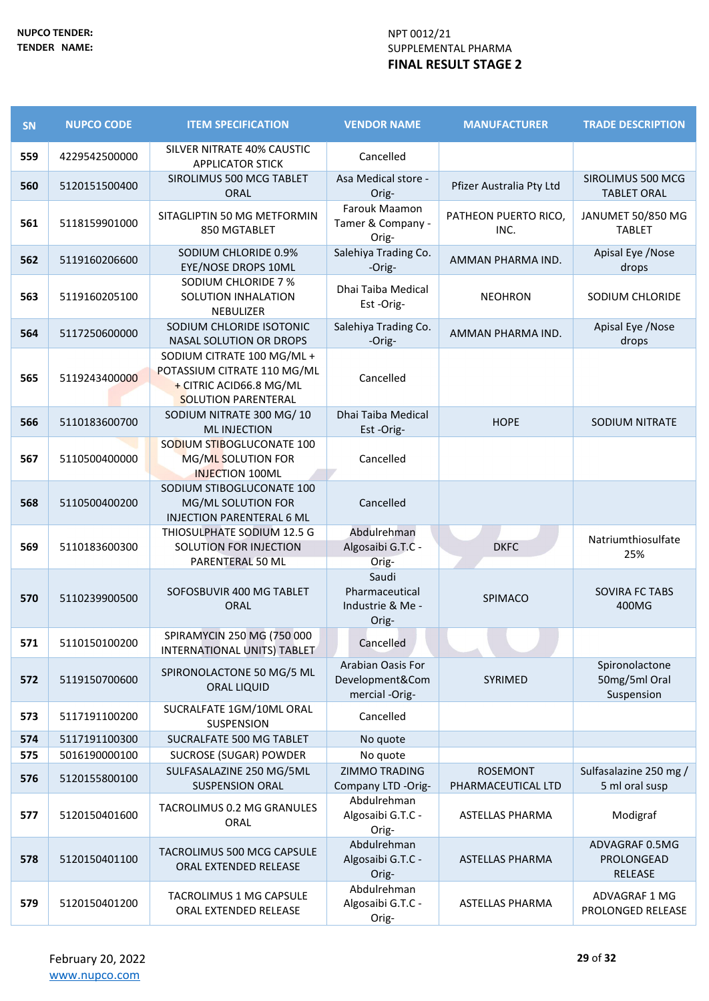| SN  | <b>NUPCO CODE</b> | <b>ITEM SPECIFICATION</b>                                                                                          | <b>VENDOR NAME</b>                                     | <b>MANUFACTURER</b>          | <b>TRADE DESCRIPTION</b>                      |
|-----|-------------------|--------------------------------------------------------------------------------------------------------------------|--------------------------------------------------------|------------------------------|-----------------------------------------------|
| 559 | 4229542500000     | SILVER NITRATE 40% CAUSTIC<br><b>APPLICATOR STICK</b>                                                              | Cancelled                                              |                              |                                               |
| 560 | 5120151500400     | SIROLIMUS 500 MCG TABLET<br><b>ORAL</b>                                                                            | Asa Medical store -<br>Orig-                           | Pfizer Australia Pty Ltd     | SIROLIMUS 500 MCG<br><b>TABLET ORAL</b>       |
| 561 | 5118159901000     | SITAGLIPTIN 50 MG METFORMIN<br>850 MGTABLET                                                                        | Farouk Maamon<br>Tamer & Company -<br>Orig-            | PATHEON PUERTO RICO,<br>INC. | JANUMET 50/850 MG<br><b>TABLET</b>            |
| 562 | 5119160206600     | SODIUM CHLORIDE 0.9%<br>EYE/NOSE DROPS 10ML                                                                        | Salehiya Trading Co.<br>-Orig-                         | AMMAN PHARMA IND.            | Apisal Eye /Nose<br>drops                     |
| 563 | 5119160205100     | SODIUM CHLORIDE 7 %<br>SOLUTION INHALATION<br>NEBULIZER                                                            | Dhai Taiba Medical<br>Est-Orig-                        | <b>NEOHRON</b>               | SODIUM CHLORIDE                               |
| 564 | 5117250600000     | SODIUM CHLORIDE ISOTONIC<br>NASAL SOLUTION OR DROPS                                                                | Salehiya Trading Co.<br>-Orig-                         | AMMAN PHARMA IND.            | Apisal Eye / Nose<br>drops                    |
| 565 | 5119243400000     | SODIUM CITRATE 100 MG/ML +<br>POTASSIUM CITRATE 110 MG/ML<br>+ CITRIC ACID66.8 MG/ML<br><b>SOLUTION PARENTERAL</b> | Cancelled                                              |                              |                                               |
| 566 | 5110183600700     | SODIUM NITRATE 300 MG/10<br><b>ML INJECTION</b>                                                                    | Dhai Taiba Medical<br>Est-Orig-                        | <b>HOPE</b>                  | SODIUM NITRATE                                |
| 567 | 5110500400000     | SODIUM STIBOGLUCONATE 100<br>MG/ML SOLUTION FOR<br><b>INJECTION 100ML</b>                                          | Cancelled                                              |                              |                                               |
| 568 | 5110500400200     | SODIUM STIBOGLUCONATE 100<br>MG/ML SOLUTION FOR<br><b>INJECTION PARENTERAL 6 ML</b>                                | Cancelled                                              |                              |                                               |
| 569 | 5110183600300     | THIOSULPHATE SODIUM 12.5 G<br>SOLUTION FOR INJECTION<br>PARENTERAL 50 ML                                           | Abdulrehman<br>Algosaibi G.T.C -<br>Orig-              | <b>DKFC</b>                  | Natriumthiosulfate<br>25%                     |
| 570 | 5110239900500     | SOFOSBUVIR 400 MG TABLET<br>ORAL                                                                                   | Saudi<br>Pharmaceutical<br>Industrie & Me -<br>Orig-   | SPIMACO                      | SOVIRA FC TABS<br>400MG                       |
| 571 | 5110150100200     | SPIRAMYCIN 250 MG (750 000<br>INTERNATIONAL UNITS) TABLET                                                          | Cancelled                                              |                              |                                               |
| 572 | 5119150700600     | SPIRONOLACTONE 50 MG/5 ML<br><b>ORAL LIQUID</b>                                                                    | Arabian Oasis For<br>Development&Com<br>mercial -Orig- | SYRIMED                      | Spironolactone<br>50mg/5ml Oral<br>Suspension |
| 573 | 5117191100200     | SUCRALFATE 1GM/10ML ORAL<br><b>SUSPENSION</b>                                                                      | Cancelled                                              |                              |                                               |
| 574 | 5117191100300     | SUCRALFATE 500 MG TABLET                                                                                           | No quote                                               |                              |                                               |
| 575 | 5016190000100     | SUCROSE (SUGAR) POWDER<br>SULFASALAZINE 250 MG/5ML                                                                 | No quote<br><b>ZIMMO TRADING</b>                       | <b>ROSEMONT</b>              | Sulfasalazine 250 mg /                        |
| 576 | 5120155800100     | <b>SUSPENSION ORAL</b>                                                                                             | Company LTD -Orig-                                     | PHARMACEUTICAL LTD           | 5 ml oral susp                                |
| 577 | 5120150401600     | TACROLIMUS 0.2 MG GRANULES<br>ORAL                                                                                 | Abdulrehman<br>Algosaibi G.T.C -<br>Orig-              | <b>ASTELLAS PHARMA</b>       | Modigraf                                      |
| 578 | 5120150401100     | TACROLIMUS 500 MCG CAPSULE<br>ORAL EXTENDED RELEASE                                                                | Abdulrehman<br>Algosaibi G.T.C -<br>Orig-              | <b>ASTELLAS PHARMA</b>       | ADVAGRAF 0.5MG<br>PROLONGEAD<br>RELEASE       |
| 579 | 5120150401200     | TACROLIMUS 1 MG CAPSULE<br>ORAL EXTENDED RELEASE                                                                   | Abdulrehman<br>Algosaibi G.T.C -<br>Orig-              | <b>ASTELLAS PHARMA</b>       | ADVAGRAF 1 MG<br>PROLONGED RELEASE            |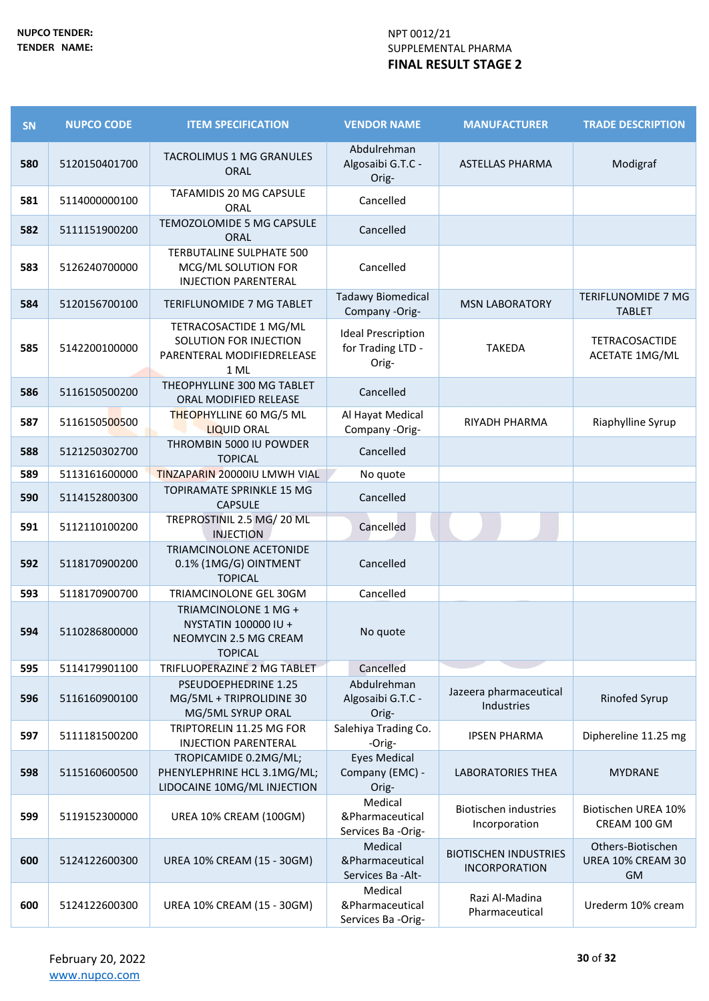| SN  | <b>NUPCO CODE</b> | <b>ITEM SPECIFICATION</b>                                                               | <b>VENDOR NAME</b>                                      | <b>MANUFACTURER</b>                                  | <b>TRADE DESCRIPTION</b>                            |
|-----|-------------------|-----------------------------------------------------------------------------------------|---------------------------------------------------------|------------------------------------------------------|-----------------------------------------------------|
| 580 | 5120150401700     | TACROLIMUS 1 MG GRANULES<br><b>ORAL</b>                                                 | Abdulrehman<br>Algosaibi G.T.C -<br>Orig-               | <b>ASTELLAS PHARMA</b>                               | Modigraf                                            |
| 581 | 5114000000100     | TAFAMIDIS 20 MG CAPSULE<br>ORAL                                                         | Cancelled                                               |                                                      |                                                     |
| 582 | 5111151900200     | TEMOZOLOMIDE 5 MG CAPSULE<br><b>ORAL</b>                                                | Cancelled                                               |                                                      |                                                     |
| 583 | 5126240700000     | TERBUTALINE SULPHATE 500<br>MCG/ML SOLUTION FOR<br><b>INJECTION PARENTERAL</b>          | Cancelled                                               |                                                      |                                                     |
| 584 | 5120156700100     | TERIFLUNOMIDE 7 MG TABLET                                                               | <b>Tadawy Biomedical</b><br>Company -Orig-              | <b>MSN LABORATORY</b>                                | TERIFLUNOMIDE 7 MG<br><b>TABLET</b>                 |
| 585 | 5142200100000     | TETRACOSACTIDE 1 MG/ML<br>SOLUTION FOR INJECTION<br>PARENTERAL MODIFIEDRELEASE<br>1 ML  | <b>Ideal Prescription</b><br>for Trading LTD -<br>Orig- | <b>TAKEDA</b>                                        | <b>TETRACOSACTIDE</b><br><b>ACETATE 1MG/ML</b>      |
| 586 | 5116150500200     | THEOPHYLLINE 300 MG TABLET<br>ORAL MODIFIED RELEASE                                     | Cancelled                                               |                                                      |                                                     |
| 587 | 5116150500500     | <b>THEOPHYLLINE 60 MG/5 ML</b><br><b>LIQUID ORAL</b>                                    | Al Hayat Medical<br>Company -Orig-                      | RIYADH PHARMA                                        | Riaphylline Syrup                                   |
| 588 | 5121250302700     | THROMBIN 5000 IU POWDER<br><b>TOPICAL</b>                                               | Cancelled                                               |                                                      |                                                     |
| 589 | 5113161600000     | <b>TINZAPARIN 20000IU LMWH VIAL</b>                                                     | No quote                                                |                                                      |                                                     |
| 590 | 5114152800300     | TOPIRAMATE SPRINKLE 15 MG<br><b>CAPSULE</b>                                             | Cancelled                                               |                                                      |                                                     |
| 591 | 5112110100200     | TREPROSTINIL 2.5 MG/20 ML<br><b>INJECTION</b>                                           | Cancelled                                               |                                                      |                                                     |
| 592 | 5118170900200     | TRIAMCINOLONE ACETONIDE<br>0.1% (1MG/G) OINTMENT<br><b>TOPICAL</b>                      | Cancelled                                               |                                                      |                                                     |
| 593 | 5118170900700     | TRIAMCINOLONE GEL 30GM                                                                  | Cancelled                                               |                                                      |                                                     |
| 594 | 5110286800000     | TRIAMCINOLONE 1 MG +<br>NYSTATIN 100000 IU +<br>NEOMYCIN 2.5 MG CREAM<br><b>TOPICAL</b> | No quote                                                |                                                      |                                                     |
| 595 | 5114179901100     | TRIFLUOPERAZINE 2 MG TABLET                                                             | Cancelled                                               |                                                      |                                                     |
| 596 | 5116160900100     | PSEUDOEPHEDRINE 1.25<br>MG/5ML + TRIPROLIDINE 30<br>MG/5ML SYRUP ORAL                   | Abdulrehman<br>Algosaibi G.T.C -<br>Orig-               | Jazeera pharmaceutical<br>Industries                 | <b>Rinofed Syrup</b>                                |
| 597 | 5111181500200     | TRIPTORELIN 11.25 MG FOR<br><b>INJECTION PARENTERAL</b>                                 | Salehiya Trading Co.<br>-Orig-                          | <b>IPSEN PHARMA</b>                                  | Diphereline 11.25 mg                                |
| 598 | 5115160600500     | TROPICAMIDE 0.2MG/ML;<br>PHENYLEPHRINE HCL 3.1MG/ML;<br>LIDOCAINE 10MG/ML INJECTION     | <b>Eyes Medical</b><br>Company (EMC) -<br>Orig-         | <b>LABORATORIES THEA</b>                             | <b>MYDRANE</b>                                      |
| 599 | 5119152300000     | UREA 10% CREAM (100GM)                                                                  | Medical<br>&Pharmaceutical<br>Services Ba -Orig-        | <b>Biotischen industries</b><br>Incorporation        | Biotischen UREA 10%<br>CREAM 100 GM                 |
| 600 | 5124122600300     | UREA 10% CREAM (15 - 30GM)                                                              | Medical<br>&Pharmaceutical<br>Services Ba - Alt-        | <b>BIOTISCHEN INDUSTRIES</b><br><b>INCORPORATION</b> | Others-Biotischen<br>UREA 10% CREAM 30<br><b>GM</b> |
| 600 | 5124122600300     | UREA 10% CREAM (15 - 30GM)                                                              | Medical<br>&Pharmaceutical<br>Services Ba -Orig-        | Razi Al-Madina<br>Pharmaceutical                     | Urederm 10% cream                                   |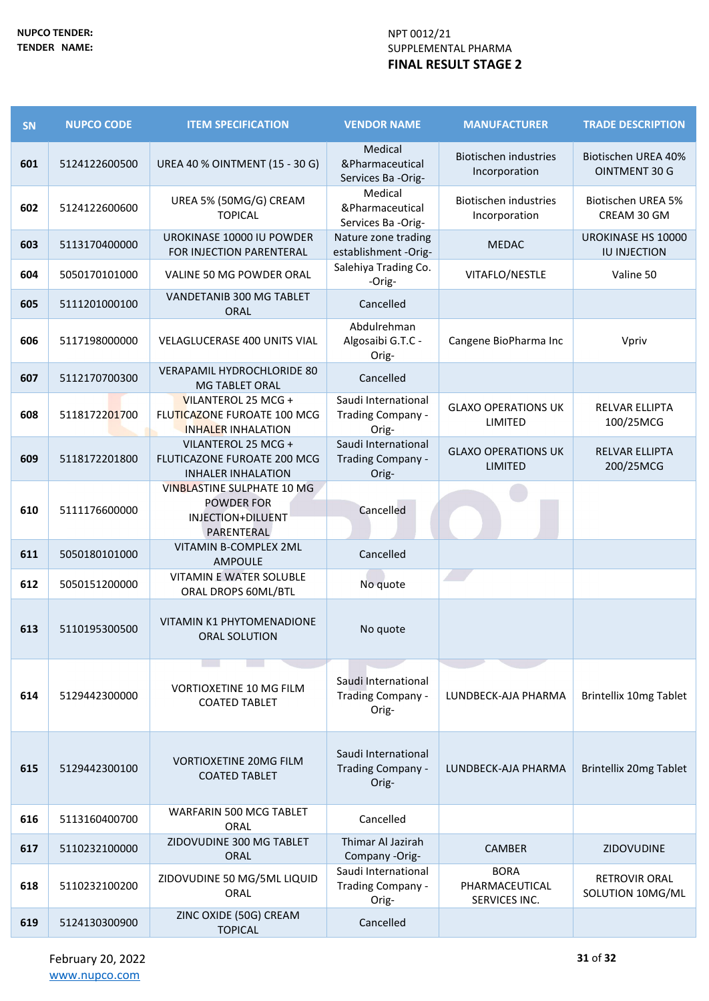| <b>SN</b> | <b>NUPCO CODE</b> | <b>ITEM SPECIFICATION</b>                                                                 | <b>VENDOR NAME</b>                                | <b>MANUFACTURER</b>                            | <b>TRADE DESCRIPTION</b>                    |
|-----------|-------------------|-------------------------------------------------------------------------------------------|---------------------------------------------------|------------------------------------------------|---------------------------------------------|
| 601       | 5124122600500     | UREA 40 % OINTMENT (15 - 30 G)                                                            | Medical<br>&Pharmaceutical<br>Services Ba -Orig-  | <b>Biotischen industries</b><br>Incorporation  | <b>Biotischen UREA 40%</b><br>OINTMENT 30 G |
| 602       | 5124122600600     | UREA 5% (50MG/G) CREAM<br><b>TOPICAL</b>                                                  | Medical<br>&Pharmaceutical<br>Services Ba -Orig-  | <b>Biotischen industries</b><br>Incorporation  | <b>Biotischen UREA 5%</b><br>CREAM 30 GM    |
| 603       | 5113170400000     | UROKINASE 10000 IU POWDER<br>FOR INJECTION PARENTERAL                                     | Nature zone trading<br>establishment -Orig-       | <b>MEDAC</b>                                   | UROKINASE HS 10000<br><b>IU INJECTION</b>   |
| 604       | 5050170101000     | VALINE 50 MG POWDER ORAL                                                                  | Salehiya Trading Co.<br>-Orig-                    | VITAFLO/NESTLE                                 | Valine 50                                   |
| 605       | 5111201000100     | VANDETANIB 300 MG TABLET<br><b>ORAL</b>                                                   | Cancelled                                         |                                                |                                             |
| 606       | 5117198000000     | VELAGLUCERASE 400 UNITS VIAL                                                              | Abdulrehman<br>Algosaibi G.T.C -<br>Orig-         | Cangene BioPharma Inc                          | Vpriv                                       |
| 607       | 5112170700300     | VERAPAMIL HYDROCHLORIDE 80<br>MG TABLET ORAL                                              | Cancelled                                         |                                                |                                             |
| 608       | 5118172201700     | VILANTEROL 25 MCG +<br>FLUTICAZONE FUROATE 100 MCG<br><b>INHALER INHALATION</b>           | Saudi International<br>Trading Company -<br>Orig- | <b>GLAXO OPERATIONS UK</b><br>LIMITED          | <b>RELVAR ELLIPTA</b><br>100/25MCG          |
| 609       | 5118172201800     | VILANTEROL 25 MCG +<br>FLUTICAZONE FUROATE 200 MCG<br><b>INHALER INHALATION</b>           | Saudi International<br>Trading Company -<br>Orig- | <b>GLAXO OPERATIONS UK</b><br><b>LIMITED</b>   | <b>RELVAR ELLIPTA</b><br>200/25MCG          |
| 610       | 5111176600000     | <b>VINBLASTINE SULPHATE 10 MG</b><br><b>POWDER FOR</b><br>INJECTION+DILUENT<br>PARENTERAL | Cancelled                                         |                                                |                                             |
| 611       | 5050180101000     | VITAMIN B-COMPLEX 2ML<br>AMPOULE                                                          | Cancelled                                         |                                                |                                             |
| 612       | 5050151200000     | <b>VITAMIN E WATER SOLUBLE</b><br>ORAL DROPS 60ML/BTL                                     | No quote                                          |                                                |                                             |
| 613       | 5110195300500     | <b>VITAMIN K1 PHYTOMENADIONE</b><br><b>ORAL SOLUTION</b>                                  | No quote                                          |                                                |                                             |
| 614       | 5129442300000     | <b>VORTIOXETINE 10 MG FILM</b><br><b>COATED TABLET</b>                                    | Saudi International<br>Trading Company -<br>Orig- | LUNDBECK-AJA PHARMA                            | <b>Brintellix 10mg Tablet</b>               |
| 615       | 5129442300100     | <b>VORTIOXETINE 20MG FILM</b><br><b>COATED TABLET</b>                                     | Saudi International<br>Trading Company -<br>Orig- | LUNDBECK-AJA PHARMA                            | <b>Brintellix 20mg Tablet</b>               |
| 616       | 5113160400700     | WARFARIN 500 MCG TABLET<br>ORAL                                                           | Cancelled                                         |                                                |                                             |
| 617       | 5110232100000     | ZIDOVUDINE 300 MG TABLET<br>ORAL                                                          | Thimar Al Jazirah<br>Company -Orig-               | <b>CAMBER</b>                                  | <b>ZIDOVUDINE</b>                           |
| 618       | 5110232100200     | ZIDOVUDINE 50 MG/5ML LIQUID<br>ORAL                                                       | Saudi International<br>Trading Company -<br>Orig- | <b>BORA</b><br>PHARMACEUTICAL<br>SERVICES INC. | <b>RETROVIR ORAL</b><br>SOLUTION 10MG/ML    |
| 619       | 5124130300900     | ZINC OXIDE (50G) CREAM<br><b>TOPICAL</b>                                                  | Cancelled                                         |                                                |                                             |